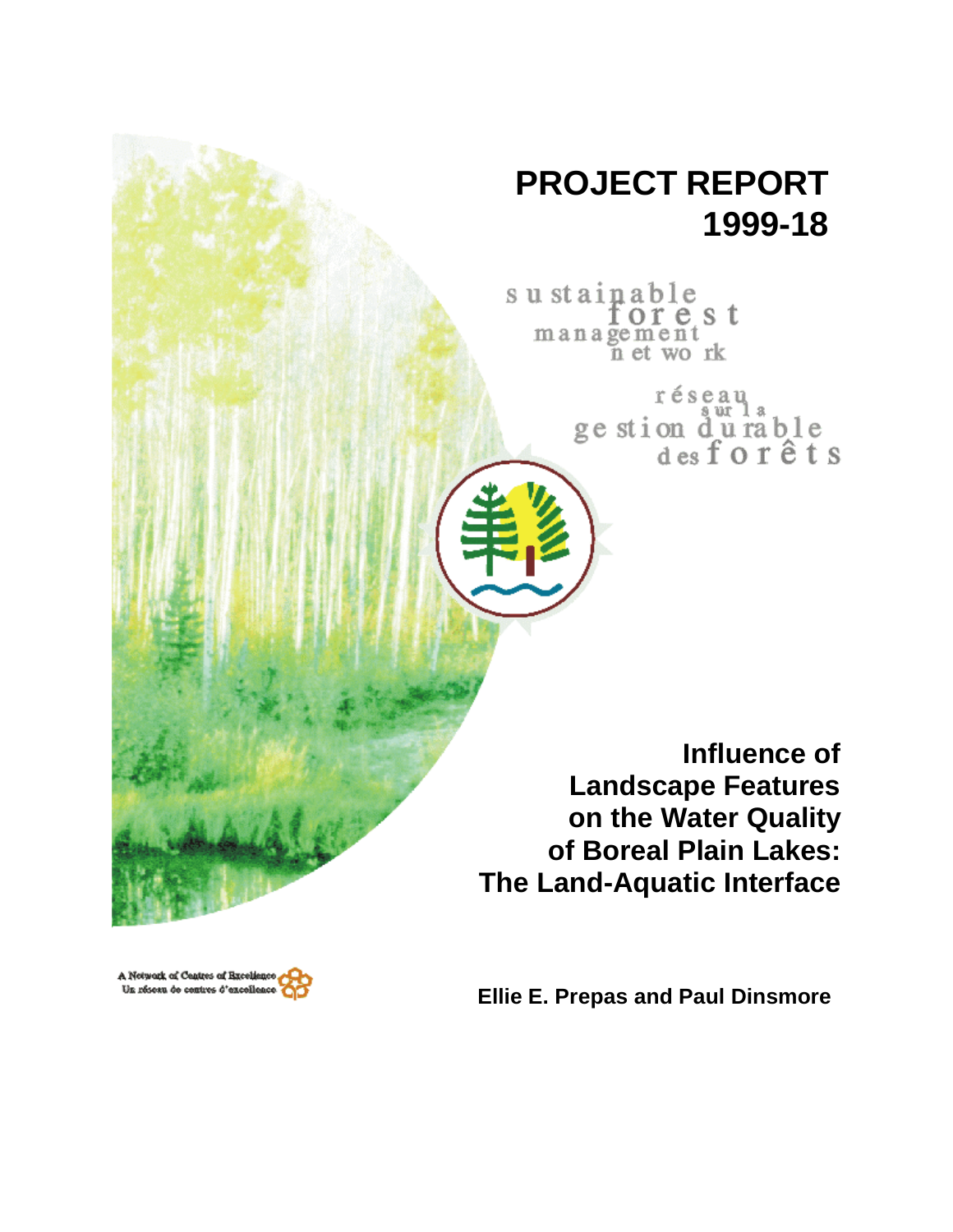# **PROJECT REPORT 1999-18**

sustainable<br>forest<br>management n et work

> réseau ge stion durable<br>desforêts

**Influence of Landscape Features on the Water Quality of Boreal Plain Lakes: The Land-Aquatic Interface**

A Network of Centres of Excellenc Un réseau de centres d'excellenc

**Ellie E. Prepas and Paul Dinsmore**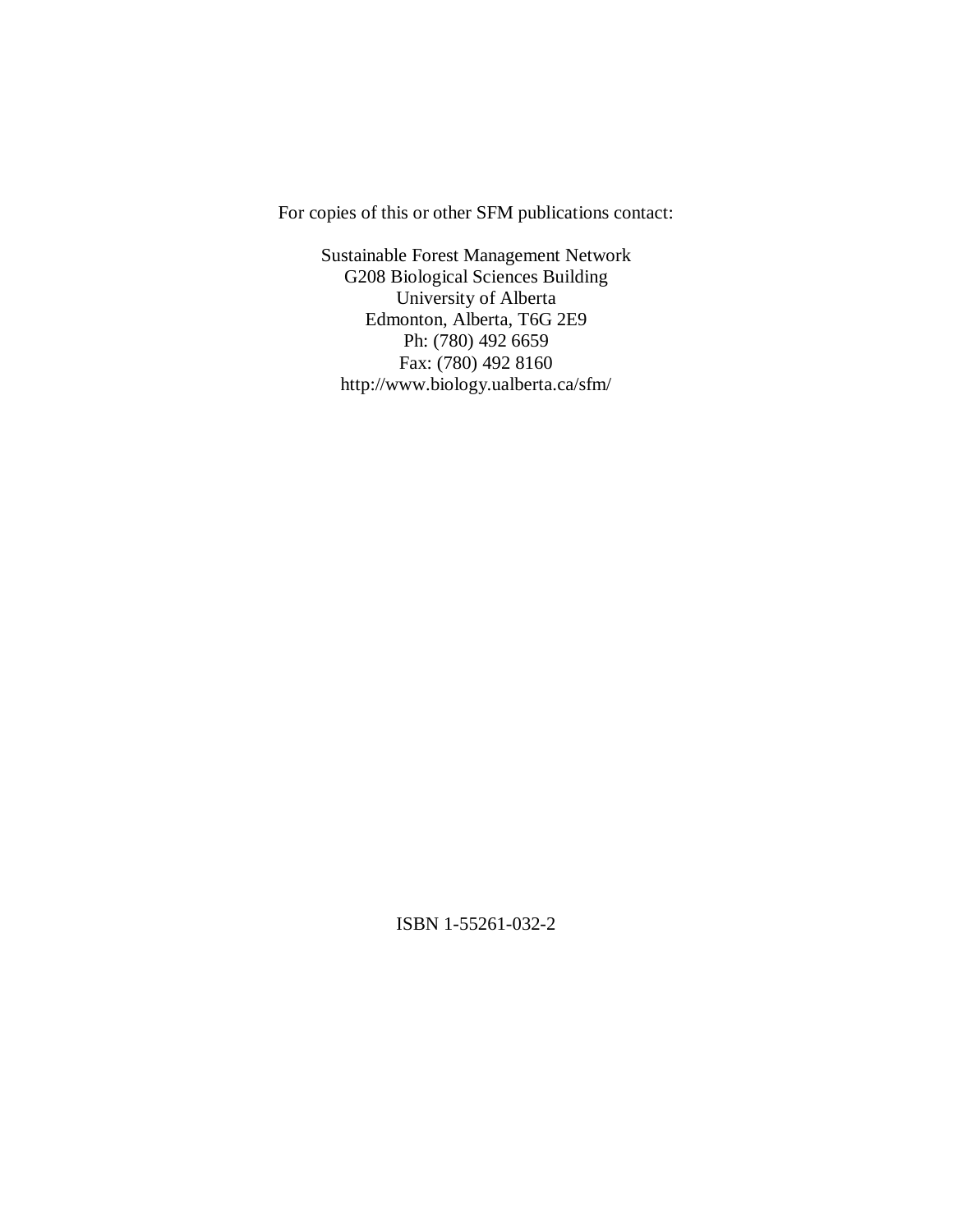For copies of this or other SFM publications contact:

Sustainable Forest Management Network G208 Biological Sciences Building University of Alberta Edmonton, Alberta, T6G 2E9 Ph: (780) 492 6659 Fax: (780) 492 8160 http://www.biology.ualberta.ca/sfm/

ISBN 1-55261-032-2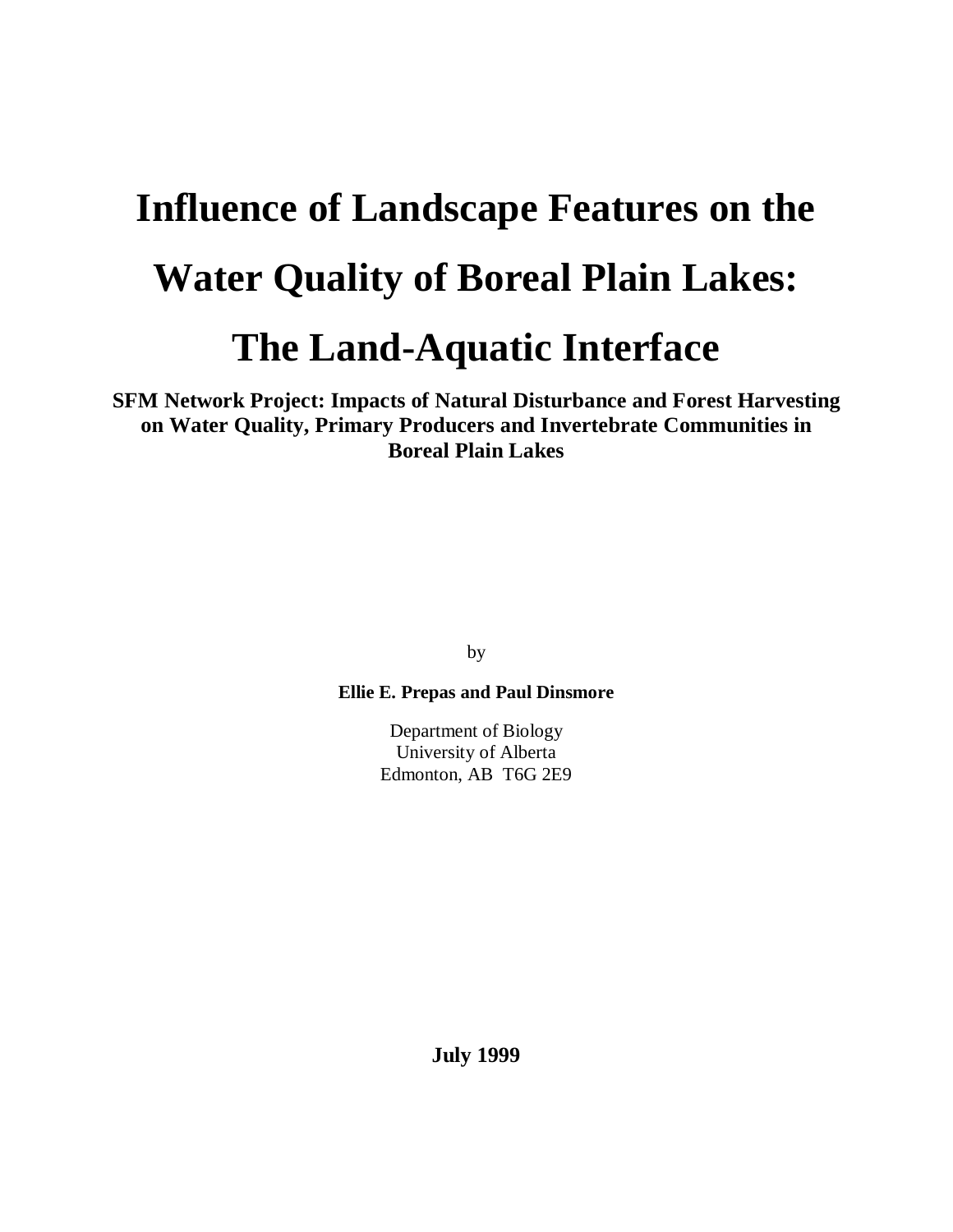# **Influence of Landscape Features on the Water Quality of Boreal Plain Lakes: The Land-Aquatic Interface**

**SFM Network Project: Impacts of Natural Disturbance and Forest Harvesting on Water Quality, Primary Producers and Invertebrate Communities in Boreal Plain Lakes**

by

**Ellie E. Prepas and Paul Dinsmore**

Department of Biology University of Alberta Edmonton, AB T6G 2E9

**July 1999**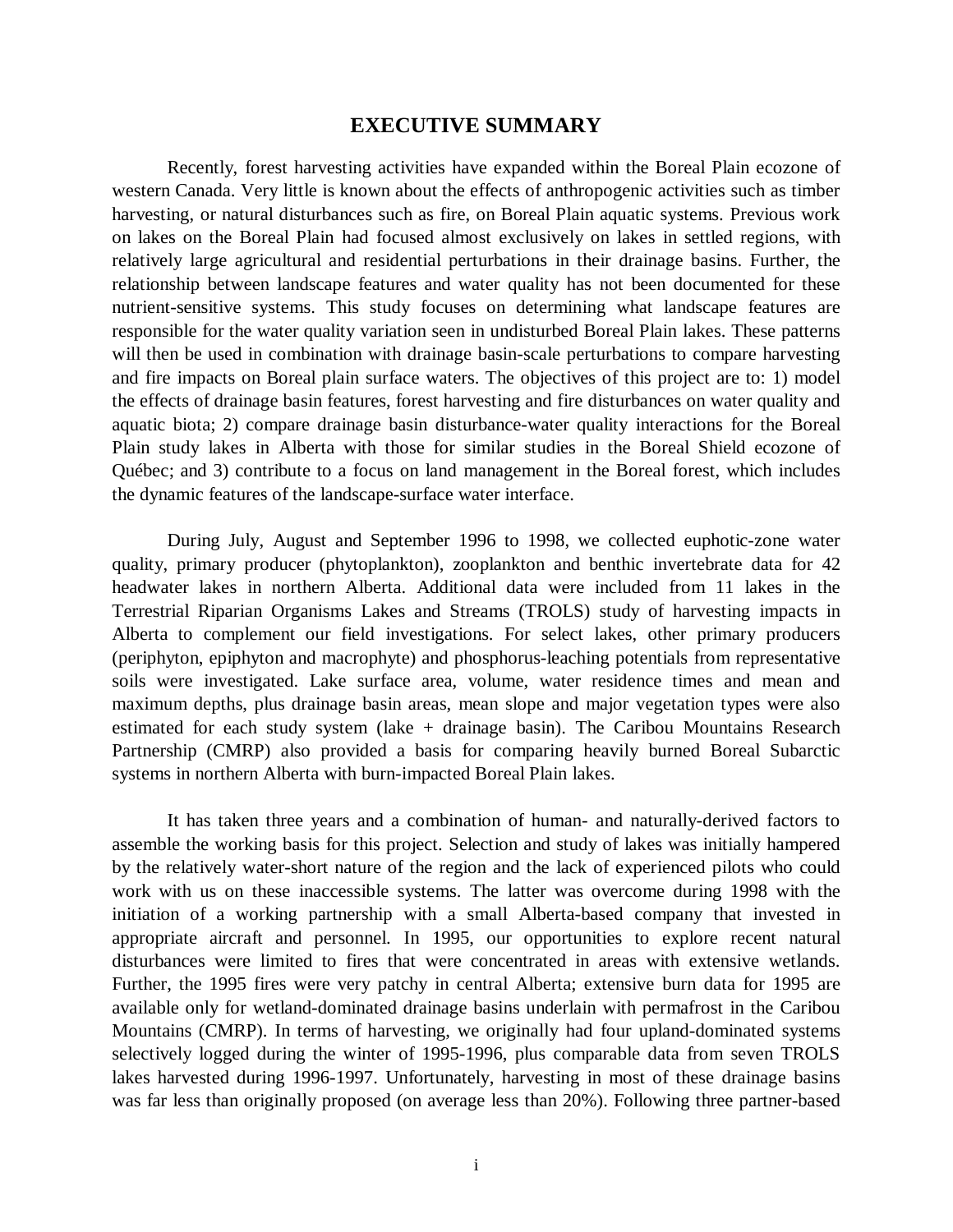# **EXECUTIVE SUMMARY**

Recently, forest harvesting activities have expanded within the Boreal Plain ecozone of western Canada. Very little is known about the effects of anthropogenic activities such as timber harvesting, or natural disturbances such as fire, on Boreal Plain aquatic systems. Previous work on lakes on the Boreal Plain had focused almost exclusively on lakes in settled regions, with relatively large agricultural and residential perturbations in their drainage basins. Further, the relationship between landscape features and water quality has not been documented for these nutrient-sensitive systems. This study focuses on determining what landscape features are responsible for the water quality variation seen in undisturbed Boreal Plain lakes. These patterns will then be used in combination with drainage basin-scale perturbations to compare harvesting and fire impacts on Boreal plain surface waters. The objectives of this project are to: 1) model the effects of drainage basin features, forest harvesting and fire disturbances on water quality and aquatic biota; 2) compare drainage basin disturbance-water quality interactions for the Boreal Plain study lakes in Alberta with those for similar studies in the Boreal Shield ecozone of Québec; and 3) contribute to a focus on land management in the Boreal forest, which includes the dynamic features of the landscape-surface water interface.

During July, August and September 1996 to 1998, we collected euphotic-zone water quality, primary producer (phytoplankton), zooplankton and benthic invertebrate data for 42 headwater lakes in northern Alberta. Additional data were included from 11 lakes in the Terrestrial Riparian Organisms Lakes and Streams (TROLS) study of harvesting impacts in Alberta to complement our field investigations. For select lakes, other primary producers (periphyton, epiphyton and macrophyte) and phosphorus-leaching potentials from representative soils were investigated. Lake surface area, volume, water residence times and mean and maximum depths, plus drainage basin areas, mean slope and major vegetation types were also estimated for each study system (lake + drainage basin). The Caribou Mountains Research Partnership (CMRP) also provided a basis for comparing heavily burned Boreal Subarctic systems in northern Alberta with burn-impacted Boreal Plain lakes.

It has taken three years and a combination of human- and naturally-derived factors to assemble the working basis for this project. Selection and study of lakes was initially hampered by the relatively water-short nature of the region and the lack of experienced pilots who could work with us on these inaccessible systems. The latter was overcome during 1998 with the initiation of a working partnership with a small Alberta-based company that invested in appropriate aircraft and personnel. In 1995, our opportunities to explore recent natural disturbances were limited to fires that were concentrated in areas with extensive wetlands. Further, the 1995 fires were very patchy in central Alberta; extensive burn data for 1995 are available only for wetland-dominated drainage basins underlain with permafrost in the Caribou Mountains (CMRP). In terms of harvesting, we originally had four upland-dominated systems selectively logged during the winter of 1995-1996, plus comparable data from seven TROLS lakes harvested during 1996-1997. Unfortunately, harvesting in most of these drainage basins was far less than originally proposed (on average less than 20%). Following three partner-based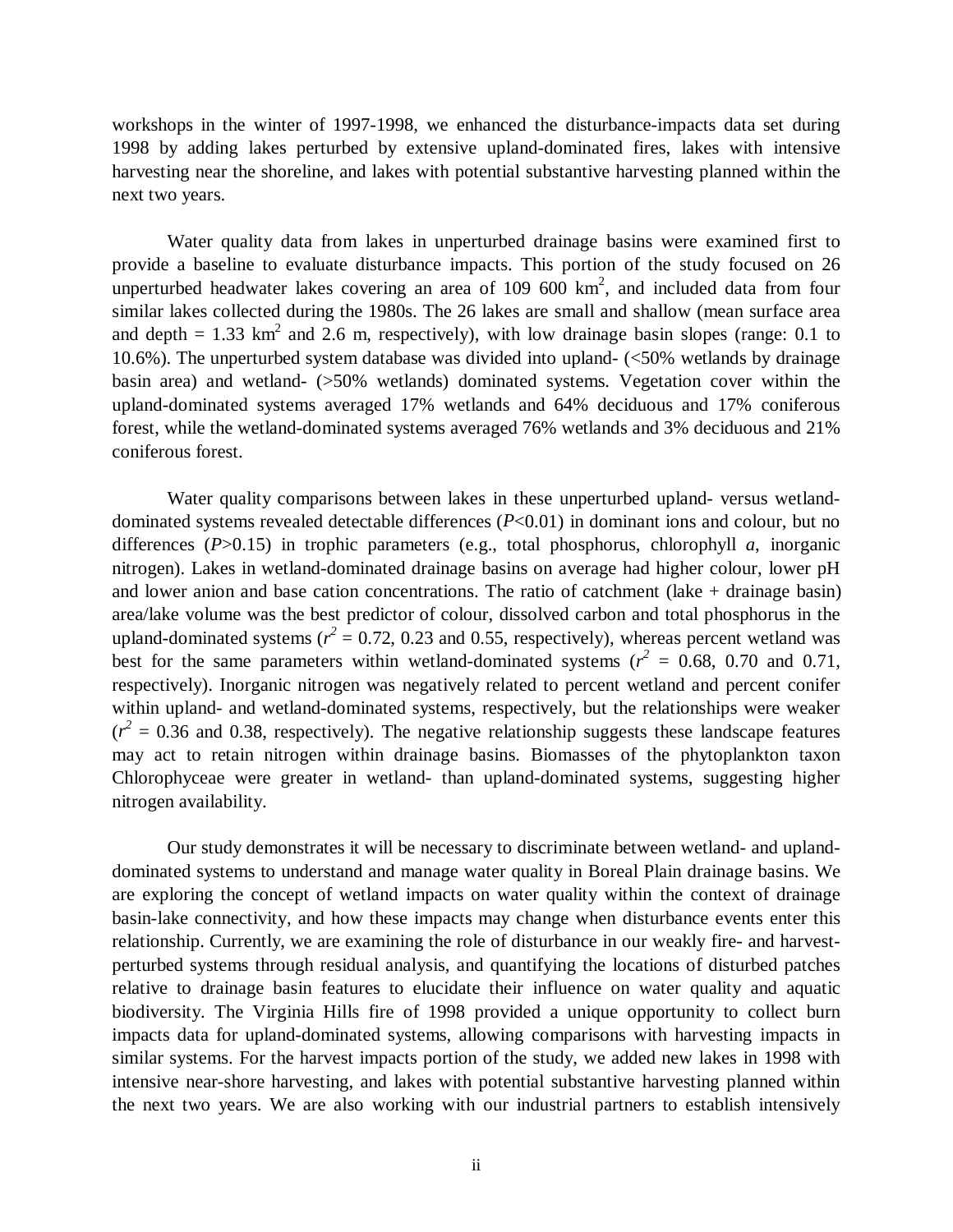workshops in the winter of 1997-1998, we enhanced the disturbance-impacts data set during 1998 by adding lakes perturbed by extensive upland-dominated fires, lakes with intensive harvesting near the shoreline, and lakes with potential substantive harvesting planned within the next two years.

Water quality data from lakes in unperturbed drainage basins were examined first to provide a baseline to evaluate disturbance impacts. This portion of the study focused on 26 unperturbed headwater lakes covering an area of  $109\,600\,km^2$ , and included data from four similar lakes collected during the 1980s. The 26 lakes are small and shallow (mean surface area and depth  $= 1.33$  km<sup>2</sup> and 2.6 m, respectively), with low drainage basin slopes (range: 0.1 to 10.6%). The unperturbed system database was divided into upland- (<50% wetlands by drainage basin area) and wetland- (>50% wetlands) dominated systems. Vegetation cover within the upland-dominated systems averaged 17% wetlands and 64% deciduous and 17% coniferous forest, while the wetland-dominated systems averaged 76% wetlands and 3% deciduous and 21% coniferous forest.

Water quality comparisons between lakes in these unperturbed upland- versus wetlanddominated systems revealed detectable differences (*P*<0.01) in dominant ions and colour, but no differences (*P*>0.15) in trophic parameters (e.g., total phosphorus, chlorophyll *a*, inorganic nitrogen). Lakes in wetland-dominated drainage basins on average had higher colour, lower pH and lower anion and base cation concentrations. The ratio of catchment (lake + drainage basin) area/lake volume was the best predictor of colour, dissolved carbon and total phosphorus in the upland-dominated systems ( $r^2$  = 0.72, 0.23 and 0.55, respectively), whereas percent wetland was best for the same parameters within wetland-dominated systems ( $r^2 = 0.68$ , 0.70 and 0.71, respectively). Inorganic nitrogen was negatively related to percent wetland and percent conifer within upland- and wetland-dominated systems, respectively, but the relationships were weaker  $(r^2 = 0.36$  and 0.38, respectively). The negative relationship suggests these landscape features may act to retain nitrogen within drainage basins. Biomasses of the phytoplankton taxon Chlorophyceae were greater in wetland- than upland-dominated systems, suggesting higher nitrogen availability.

Our study demonstrates it will be necessary to discriminate between wetland- and uplanddominated systems to understand and manage water quality in Boreal Plain drainage basins. We are exploring the concept of wetland impacts on water quality within the context of drainage basin-lake connectivity, and how these impacts may change when disturbance events enter this relationship. Currently, we are examining the role of disturbance in our weakly fire- and harvestperturbed systems through residual analysis, and quantifying the locations of disturbed patches relative to drainage basin features to elucidate their influence on water quality and aquatic biodiversity. The Virginia Hills fire of 1998 provided a unique opportunity to collect burn impacts data for upland-dominated systems, allowing comparisons with harvesting impacts in similar systems. For the harvest impacts portion of the study, we added new lakes in 1998 with intensive near-shore harvesting, and lakes with potential substantive harvesting planned within the next two years. We are also working with our industrial partners to establish intensively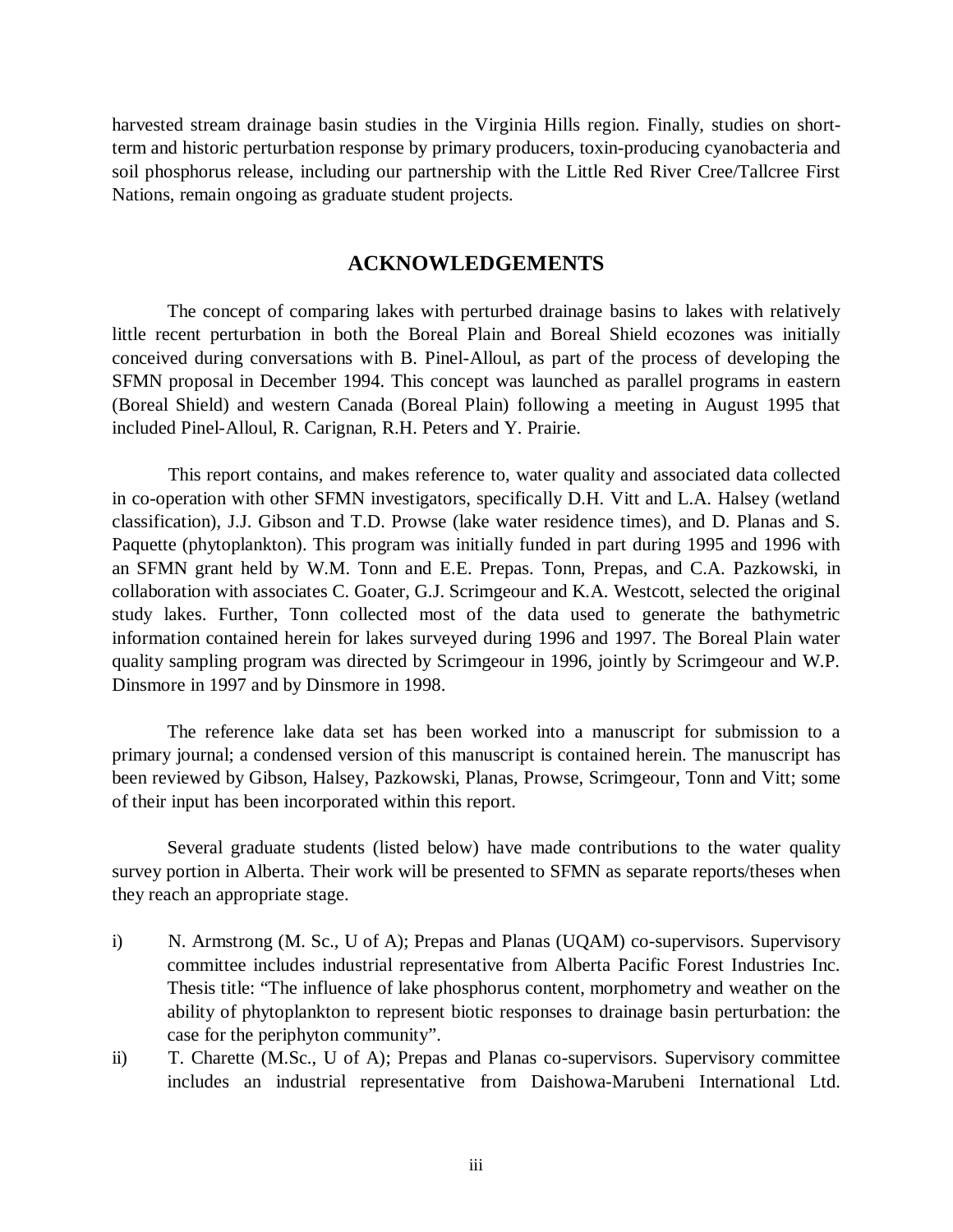harvested stream drainage basin studies in the Virginia Hills region. Finally, studies on shortterm and historic perturbation response by primary producers, toxin-producing cyanobacteria and soil phosphorus release, including our partnership with the Little Red River Cree/Tallcree First Nations, remain ongoing as graduate student projects.

# **ACKNOWLEDGEMENTS**

The concept of comparing lakes with perturbed drainage basins to lakes with relatively little recent perturbation in both the Boreal Plain and Boreal Shield ecozones was initially conceived during conversations with B. Pinel-Alloul, as part of the process of developing the SFMN proposal in December 1994. This concept was launched as parallel programs in eastern (Boreal Shield) and western Canada (Boreal Plain) following a meeting in August 1995 that included Pinel-Alloul, R. Carignan, R.H. Peters and Y. Prairie.

This report contains, and makes reference to, water quality and associated data collected in co-operation with other SFMN investigators, specifically D.H. Vitt and L.A. Halsey (wetland classification), J.J. Gibson and T.D. Prowse (lake water residence times), and D. Planas and S. Paquette (phytoplankton). This program was initially funded in part during 1995 and 1996 with an SFMN grant held by W.M. Tonn and E.E. Prepas. Tonn, Prepas, and C.A. Pazkowski, in collaboration with associates C. Goater, G.J. Scrimgeour and K.A. Westcott, selected the original study lakes. Further, Tonn collected most of the data used to generate the bathymetric information contained herein for lakes surveyed during 1996 and 1997. The Boreal Plain water quality sampling program was directed by Scrimgeour in 1996, jointly by Scrimgeour and W.P. Dinsmore in 1997 and by Dinsmore in 1998.

The reference lake data set has been worked into a manuscript for submission to a primary journal; a condensed version of this manuscript is contained herein. The manuscript has been reviewed by Gibson, Halsey, Pazkowski, Planas, Prowse, Scrimgeour, Tonn and Vitt; some of their input has been incorporated within this report.

Several graduate students (listed below) have made contributions to the water quality survey portion in Alberta. Their work will be presented to SFMN as separate reports/theses when they reach an appropriate stage.

- i) N. Armstrong (M. Sc., U of A); Prepas and Planas (UQAM) co-supervisors. Supervisory committee includes industrial representative from Alberta Pacific Forest Industries Inc. Thesis title: "The influence of lake phosphorus content, morphometry and weather on the ability of phytoplankton to represent biotic responses to drainage basin perturbation: the case for the periphyton community".
- ii) T. Charette (M.Sc., U of A); Prepas and Planas co-supervisors. Supervisory committee includes an industrial representative from Daishowa-Marubeni International Ltd.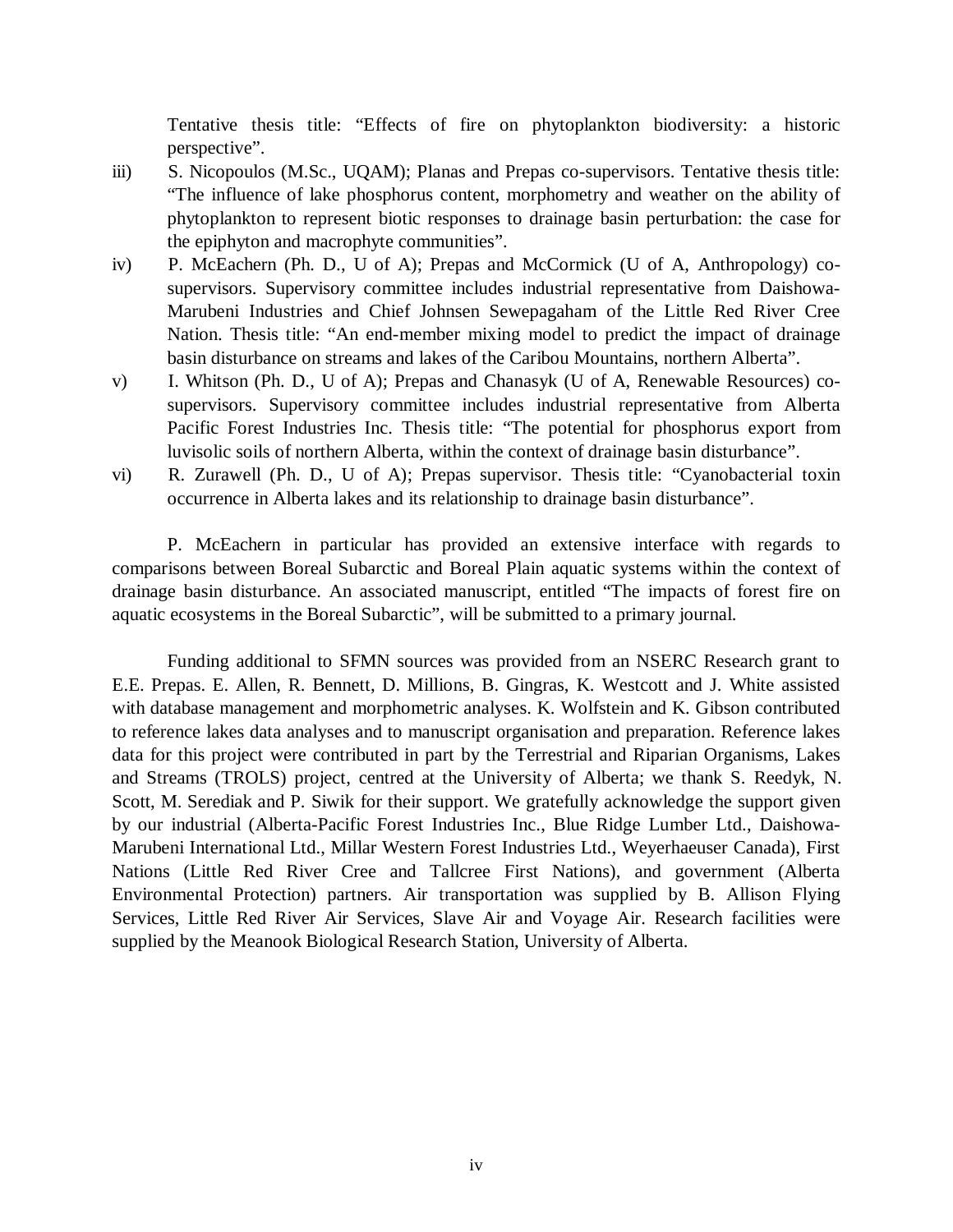Tentative thesis title: "Effects of fire on phytoplankton biodiversity: a historic perspective".

- iii) S. Nicopoulos (M.Sc., UQAM); Planas and Prepas co-supervisors. Tentative thesis title: "The influence of lake phosphorus content, morphometry and weather on the ability of phytoplankton to represent biotic responses to drainage basin perturbation: the case for the epiphyton and macrophyte communities".
- iv) P. McEachern (Ph. D., U of A); Prepas and McCormick (U of A, Anthropology) cosupervisors. Supervisory committee includes industrial representative from Daishowa-Marubeni Industries and Chief Johnsen Sewepagaham of the Little Red River Cree Nation. Thesis title: "An end-member mixing model to predict the impact of drainage basin disturbance on streams and lakes of the Caribou Mountains, northern Alberta".
- v) I. Whitson (Ph. D., U of A); Prepas and Chanasyk (U of A, Renewable Resources) cosupervisors. Supervisory committee includes industrial representative from Alberta Pacific Forest Industries Inc. Thesis title: "The potential for phosphorus export from luvisolic soils of northern Alberta, within the context of drainage basin disturbance".
- vi) R. Zurawell (Ph. D., U of A); Prepas supervisor. Thesis title: "Cyanobacterial toxin occurrence in Alberta lakes and its relationship to drainage basin disturbance".

P. McEachern in particular has provided an extensive interface with regards to comparisons between Boreal Subarctic and Boreal Plain aquatic systems within the context of drainage basin disturbance. An associated manuscript, entitled "The impacts of forest fire on aquatic ecosystems in the Boreal Subarctic", will be submitted to a primary journal.

Funding additional to SFMN sources was provided from an NSERC Research grant to E.E. Prepas. E. Allen, R. Bennett, D. Millions, B. Gingras, K. Westcott and J. White assisted with database management and morphometric analyses. K. Wolfstein and K. Gibson contributed to reference lakes data analyses and to manuscript organisation and preparation. Reference lakes data for this project were contributed in part by the Terrestrial and Riparian Organisms, Lakes and Streams (TROLS) project, centred at the University of Alberta; we thank S. Reedyk, N. Scott, M. Serediak and P. Siwik for their support. We gratefully acknowledge the support given by our industrial (Alberta-Pacific Forest Industries Inc., Blue Ridge Lumber Ltd., Daishowa-Marubeni International Ltd., Millar Western Forest Industries Ltd., Weyerhaeuser Canada), First Nations (Little Red River Cree and Tallcree First Nations), and government (Alberta Environmental Protection) partners. Air transportation was supplied by B. Allison Flying Services, Little Red River Air Services, Slave Air and Voyage Air. Research facilities were supplied by the Meanook Biological Research Station, University of Alberta.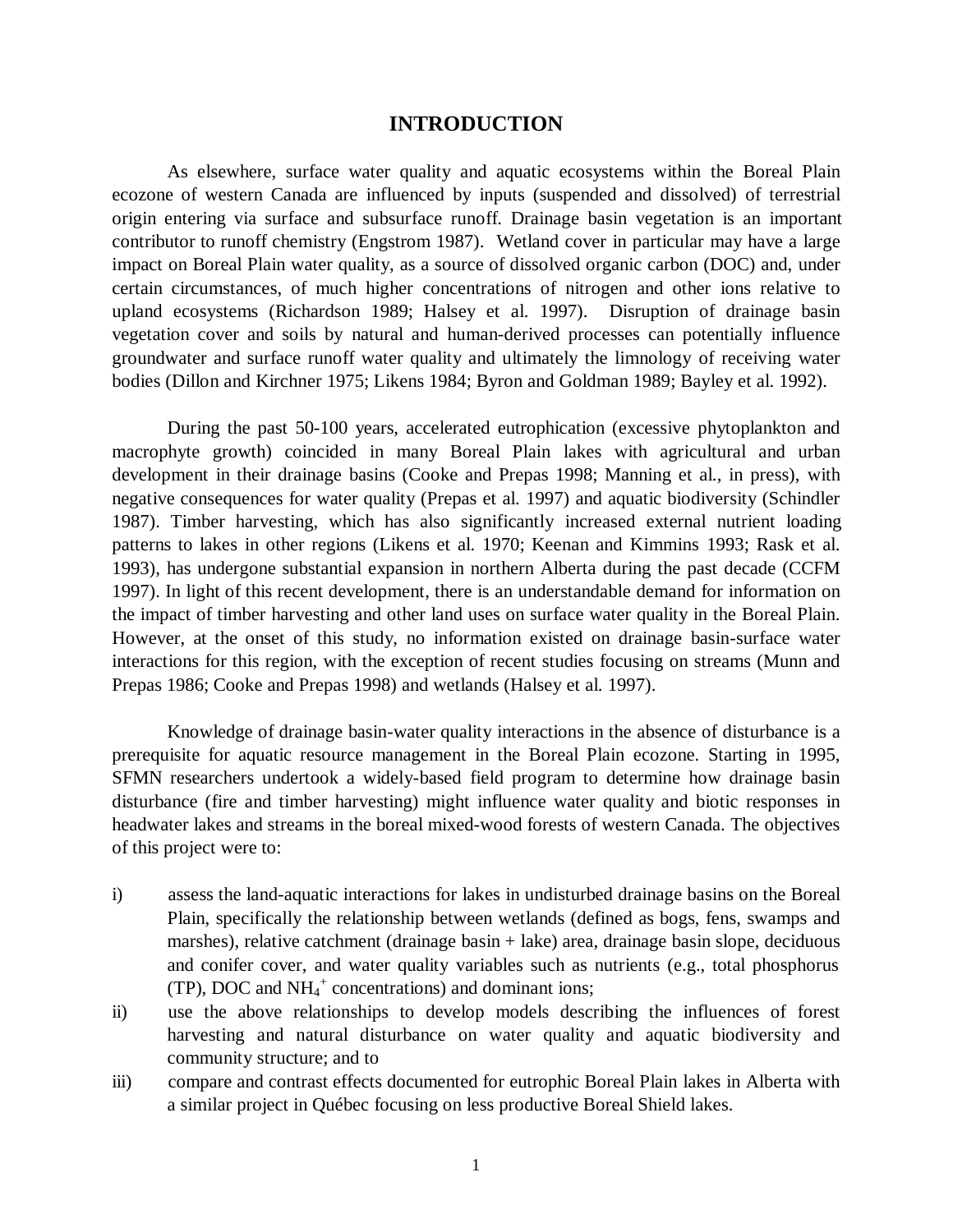# **INTRODUCTION**

As elsewhere, surface water quality and aquatic ecosystems within the Boreal Plain ecozone of western Canada are influenced by inputs (suspended and dissolved) of terrestrial origin entering via surface and subsurface runoff. Drainage basin vegetation is an important contributor to runoff chemistry (Engstrom 1987). Wetland cover in particular may have a large impact on Boreal Plain water quality, as a source of dissolved organic carbon (DOC) and, under certain circumstances, of much higher concentrations of nitrogen and other ions relative to upland ecosystems (Richardson 1989; Halsey et al. 1997). Disruption of drainage basin vegetation cover and soils by natural and human-derived processes can potentially influence groundwater and surface runoff water quality and ultimately the limnology of receiving water bodies (Dillon and Kirchner 1975; Likens 1984; Byron and Goldman 1989; Bayley et al. 1992).

During the past 50-100 years, accelerated eutrophication (excessive phytoplankton and macrophyte growth) coincided in many Boreal Plain lakes with agricultural and urban development in their drainage basins (Cooke and Prepas 1998; Manning et al., in press), with negative consequences for water quality (Prepas et al. 1997) and aquatic biodiversity (Schindler 1987). Timber harvesting, which has also significantly increased external nutrient loading patterns to lakes in other regions (Likens et al. 1970; Keenan and Kimmins 1993; Rask et al. 1993), has undergone substantial expansion in northern Alberta during the past decade (CCFM 1997). In light of this recent development, there is an understandable demand for information on the impact of timber harvesting and other land uses on surface water quality in the Boreal Plain. However, at the onset of this study, no information existed on drainage basin-surface water interactions for this region, with the exception of recent studies focusing on streams (Munn and Prepas 1986; Cooke and Prepas 1998) and wetlands (Halsey et al. 1997).

Knowledge of drainage basin-water quality interactions in the absence of disturbance is a prerequisite for aquatic resource management in the Boreal Plain ecozone. Starting in 1995, SFMN researchers undertook a widely-based field program to determine how drainage basin disturbance (fire and timber harvesting) might influence water quality and biotic responses in headwater lakes and streams in the boreal mixed-wood forests of western Canada. The objectives of this project were to:

- i) assess the land-aquatic interactions for lakes in undisturbed drainage basins on the Boreal Plain, specifically the relationship between wetlands (defined as bogs, fens, swamps and marshes), relative catchment (drainage basin + lake) area, drainage basin slope, deciduous and conifer cover, and water quality variables such as nutrients (e.g., total phosphorus (TP), DOC and  $NH_4^+$  concentrations) and dominant ions;
- ii) use the above relationships to develop models describing the influences of forest harvesting and natural disturbance on water quality and aquatic biodiversity and community structure; and to
- iii) compare and contrast effects documented for eutrophic Boreal Plain lakes in Alberta with a similar project in Québec focusing on less productive Boreal Shield lakes.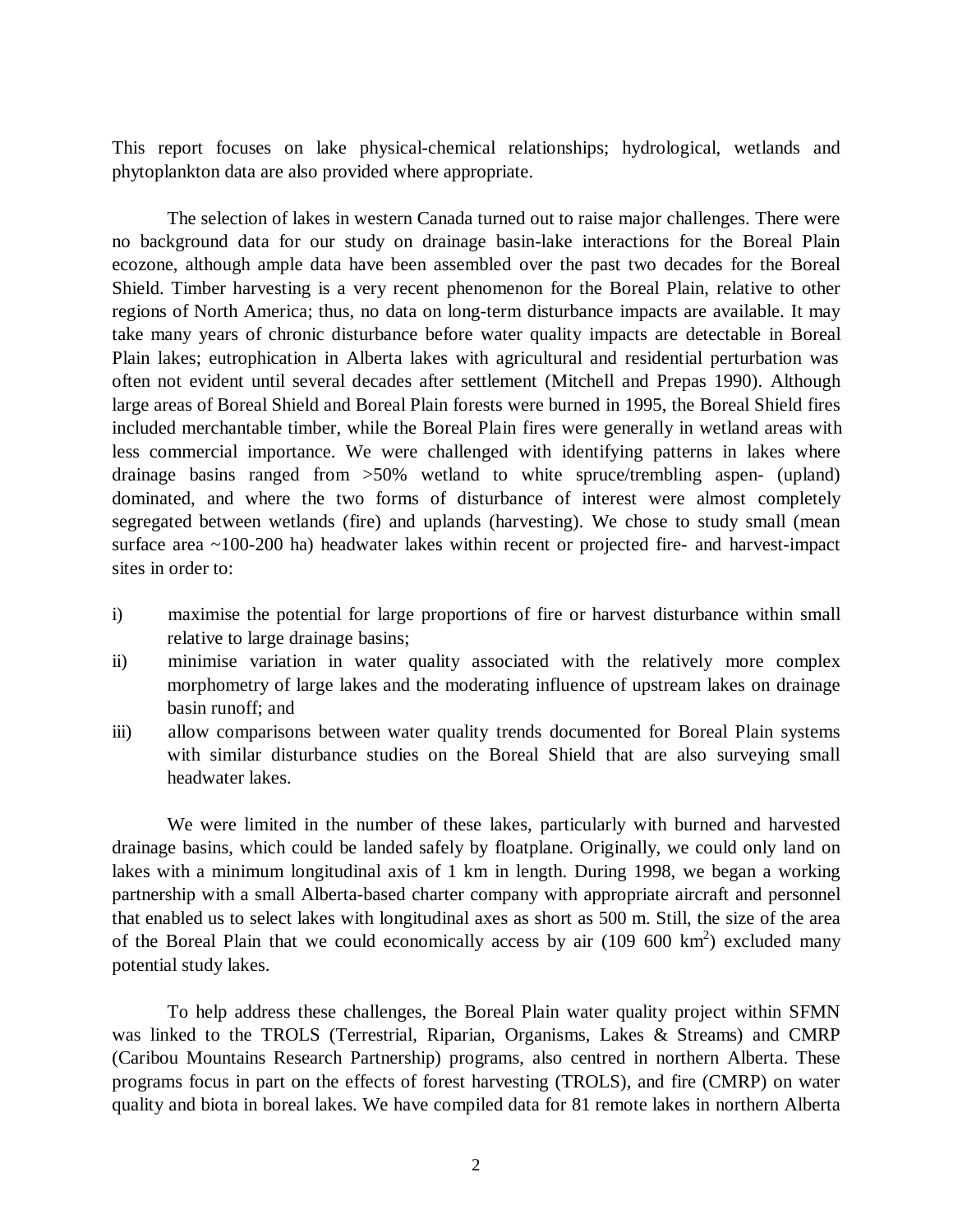This report focuses on lake physical-chemical relationships; hydrological, wetlands and phytoplankton data are also provided where appropriate.

The selection of lakes in western Canada turned out to raise major challenges. There were no background data for our study on drainage basin-lake interactions for the Boreal Plain ecozone, although ample data have been assembled over the past two decades for the Boreal Shield. Timber harvesting is a very recent phenomenon for the Boreal Plain, relative to other regions of North America; thus, no data on long-term disturbance impacts are available. It may take many years of chronic disturbance before water quality impacts are detectable in Boreal Plain lakes; eutrophication in Alberta lakes with agricultural and residential perturbation was often not evident until several decades after settlement (Mitchell and Prepas 1990). Although large areas of Boreal Shield and Boreal Plain forests were burned in 1995, the Boreal Shield fires included merchantable timber, while the Boreal Plain fires were generally in wetland areas with less commercial importance. We were challenged with identifying patterns in lakes where drainage basins ranged from >50% wetland to white spruce/trembling aspen- (upland) dominated, and where the two forms of disturbance of interest were almost completely segregated between wetlands (fire) and uplands (harvesting). We chose to study small (mean surface area ~100-200 ha) headwater lakes within recent or projected fire- and harvest-impact sites in order to:

- i) maximise the potential for large proportions of fire or harvest disturbance within small relative to large drainage basins;
- ii) minimise variation in water quality associated with the relatively more complex morphometry of large lakes and the moderating influence of upstream lakes on drainage basin runoff; and
- iii) allow comparisons between water quality trends documented for Boreal Plain systems with similar disturbance studies on the Boreal Shield that are also surveying small headwater lakes.

We were limited in the number of these lakes, particularly with burned and harvested drainage basins, which could be landed safely by floatplane. Originally, we could only land on lakes with a minimum longitudinal axis of 1 km in length. During 1998, we began a working partnership with a small Alberta-based charter company with appropriate aircraft and personnel that enabled us to select lakes with longitudinal axes as short as 500 m. Still, the size of the area of the Boreal Plain that we could economically access by air  $(109\,600\,km^2)$  excluded many potential study lakes.

To help address these challenges, the Boreal Plain water quality project within SFMN was linked to the TROLS (Terrestrial, Riparian, Organisms, Lakes & Streams) and CMRP (Caribou Mountains Research Partnership) programs, also centred in northern Alberta. These programs focus in part on the effects of forest harvesting (TROLS), and fire (CMRP) on water quality and biota in boreal lakes. We have compiled data for 81 remote lakes in northern Alberta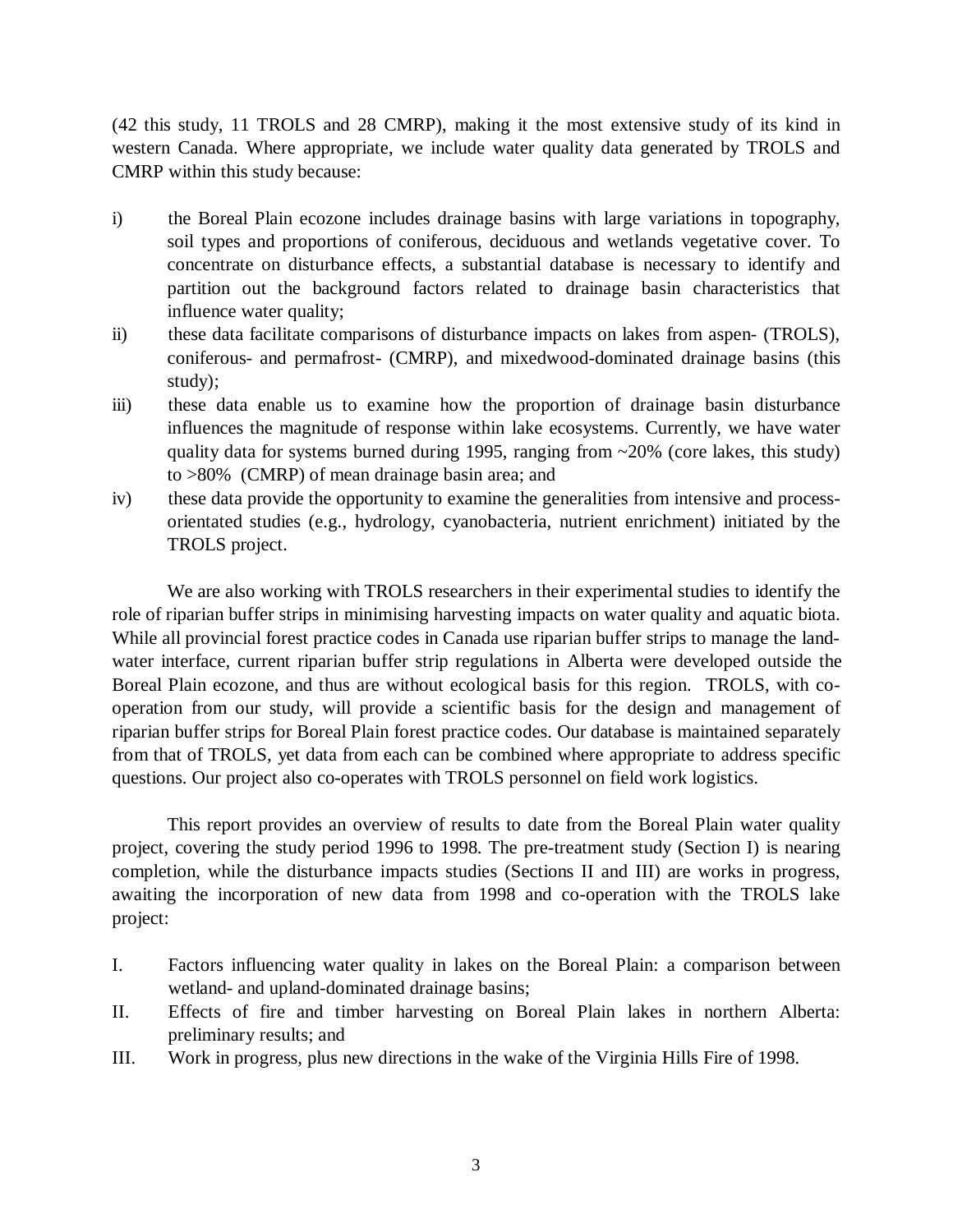(42 this study, 11 TROLS and 28 CMRP), making it the most extensive study of its kind in western Canada. Where appropriate, we include water quality data generated by TROLS and CMRP within this study because:

- i) the Boreal Plain ecozone includes drainage basins with large variations in topography, soil types and proportions of coniferous, deciduous and wetlands vegetative cover. To concentrate on disturbance effects, a substantial database is necessary to identify and partition out the background factors related to drainage basin characteristics that influence water quality;
- ii) these data facilitate comparisons of disturbance impacts on lakes from aspen- (TROLS), coniferous- and permafrost- (CMRP), and mixedwood-dominated drainage basins (this study);
- iii) these data enable us to examine how the proportion of drainage basin disturbance influences the magnitude of response within lake ecosystems. Currently, we have water quality data for systems burned during 1995, ranging from ~20% (core lakes, this study) to >80% (CMRP) of mean drainage basin area; and
- iv) these data provide the opportunity to examine the generalities from intensive and processorientated studies (e.g., hydrology, cyanobacteria, nutrient enrichment) initiated by the TROLS project.

We are also working with TROLS researchers in their experimental studies to identify the role of riparian buffer strips in minimising harvesting impacts on water quality and aquatic biota. While all provincial forest practice codes in Canada use riparian buffer strips to manage the landwater interface, current riparian buffer strip regulations in Alberta were developed outside the Boreal Plain ecozone, and thus are without ecological basis for this region. TROLS, with cooperation from our study, will provide a scientific basis for the design and management of riparian buffer strips for Boreal Plain forest practice codes. Our database is maintained separately from that of TROLS, yet data from each can be combined where appropriate to address specific questions. Our project also co-operates with TROLS personnel on field work logistics.

This report provides an overview of results to date from the Boreal Plain water quality project, covering the study period 1996 to 1998. The pre-treatment study (Section I) is nearing completion, while the disturbance impacts studies (Sections II and III) are works in progress, awaiting the incorporation of new data from 1998 and co-operation with the TROLS lake project:

- I. Factors influencing water quality in lakes on the Boreal Plain: a comparison between wetland- and upland-dominated drainage basins;
- II. Effects of fire and timber harvesting on Boreal Plain lakes in northern Alberta: preliminary results; and
- III. Work in progress, plus new directions in the wake of the Virginia Hills Fire of 1998.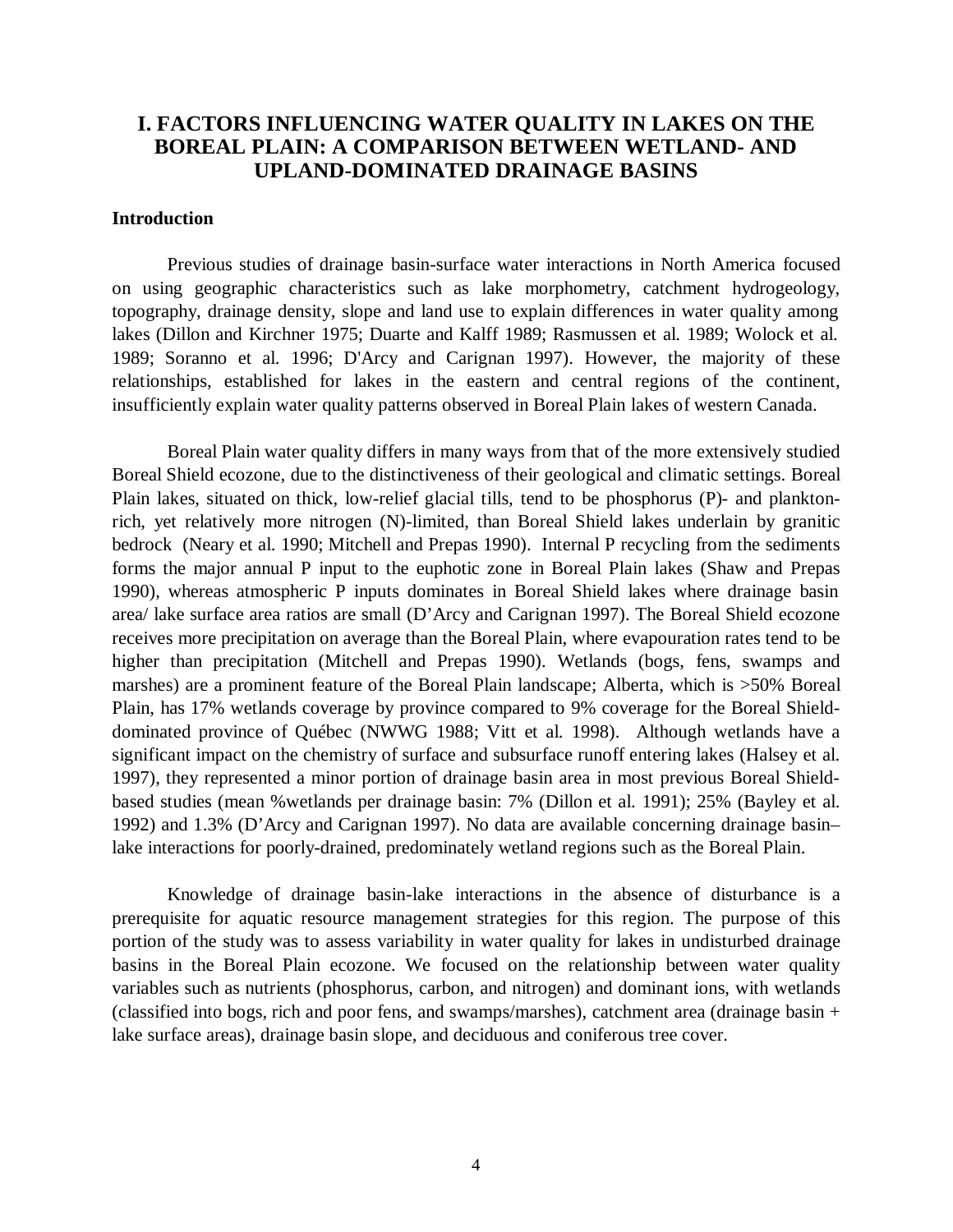# **I. FACTORS INFLUENCING WATER QUALITY IN LAKES ON THE BOREAL PLAIN: A COMPARISON BETWEEN WETLAND- AND UPLAND-DOMINATED DRAINAGE BASINS**

# **Introduction**

Previous studies of drainage basin-surface water interactions in North America focused on using geographic characteristics such as lake morphometry, catchment hydrogeology, topography, drainage density, slope and land use to explain differences in water quality among lakes (Dillon and Kirchner 1975; Duarte and Kalff 1989; Rasmussen et al. 1989; Wolock et al. 1989; Soranno et al. 1996; D'Arcy and Carignan 1997). However, the majority of these relationships, established for lakes in the eastern and central regions of the continent, insufficiently explain water quality patterns observed in Boreal Plain lakes of western Canada.

Boreal Plain water quality differs in many ways from that of the more extensively studied Boreal Shield ecozone, due to the distinctiveness of their geological and climatic settings. Boreal Plain lakes, situated on thick, low-relief glacial tills, tend to be phosphorus (P)- and planktonrich, yet relatively more nitrogen (N)-limited, than Boreal Shield lakes underlain by granitic bedrock (Neary et al. 1990; Mitchell and Prepas 1990). Internal P recycling from the sediments forms the major annual P input to the euphotic zone in Boreal Plain lakes (Shaw and Prepas 1990), whereas atmospheric P inputs dominates in Boreal Shield lakes where drainage basin area/ lake surface area ratios are small (D'Arcy and Carignan 1997). The Boreal Shield ecozone receives more precipitation on average than the Boreal Plain, where evapouration rates tend to be higher than precipitation (Mitchell and Prepas 1990). Wetlands (bogs, fens, swamps and marshes) are a prominent feature of the Boreal Plain landscape; Alberta, which is >50% Boreal Plain, has 17% wetlands coverage by province compared to 9% coverage for the Boreal Shielddominated province of Québec (NWWG 1988; Vitt et al. 1998). Although wetlands have a significant impact on the chemistry of surface and subsurface runoff entering lakes (Halsey et al. 1997), they represented a minor portion of drainage basin area in most previous Boreal Shieldbased studies (mean %wetlands per drainage basin: 7% (Dillon et al. 1991); 25% (Bayley et al. 1992) and 1.3% (D'Arcy and Carignan 1997). No data are available concerning drainage basin– lake interactions for poorly-drained, predominately wetland regions such as the Boreal Plain.

Knowledge of drainage basin-lake interactions in the absence of disturbance is a prerequisite for aquatic resource management strategies for this region. The purpose of this portion of the study was to assess variability in water quality for lakes in undisturbed drainage basins in the Boreal Plain ecozone. We focused on the relationship between water quality variables such as nutrients (phosphorus, carbon, and nitrogen) and dominant ions, with wetlands (classified into bogs, rich and poor fens, and swamps/marshes), catchment area (drainage basin + lake surface areas), drainage basin slope, and deciduous and coniferous tree cover.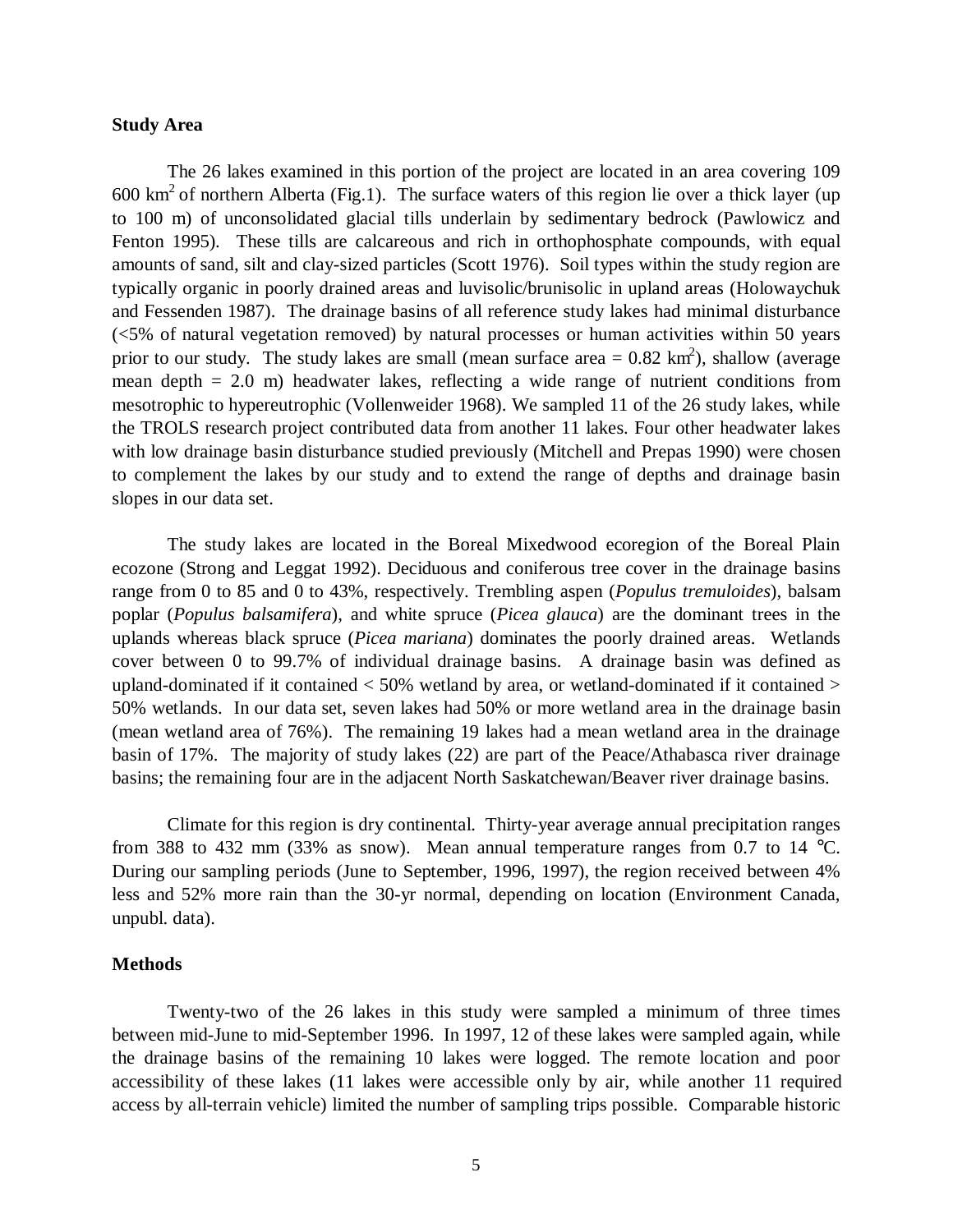# **Study Area**

The 26 lakes examined in this portion of the project are located in an area covering 109  $600 \text{ km}^2$  of northern Alberta (Fig.1). The surface waters of this region lie over a thick layer (up to 100 m) of unconsolidated glacial tills underlain by sedimentary bedrock (Pawlowicz and Fenton 1995). These tills are calcareous and rich in orthophosphate compounds, with equal amounts of sand, silt and clay-sized particles (Scott 1976). Soil types within the study region are typically organic in poorly drained areas and luvisolic/brunisolic in upland areas (Holowaychuk and Fessenden 1987). The drainage basins of all reference study lakes had minimal disturbance (<5% of natural vegetation removed) by natural processes or human activities within 50 years prior to our study. The study lakes are small (mean surface area =  $0.82 \text{ km}^2$ ), shallow (average mean depth = 2.0 m) headwater lakes, reflecting a wide range of nutrient conditions from mesotrophic to hypereutrophic (Vollenweider 1968). We sampled 11 of the 26 study lakes, while the TROLS research project contributed data from another 11 lakes. Four other headwater lakes with low drainage basin disturbance studied previously (Mitchell and Prepas 1990) were chosen to complement the lakes by our study and to extend the range of depths and drainage basin slopes in our data set.

The study lakes are located in the Boreal Mixedwood ecoregion of the Boreal Plain ecozone (Strong and Leggat 1992). Deciduous and coniferous tree cover in the drainage basins range from 0 to 85 and 0 to 43%, respectively. Trembling aspen (*Populus tremuloides*), balsam poplar (*Populus balsamifera*), and white spruce (*Picea glauca*) are the dominant trees in the uplands whereas black spruce (*Picea mariana*) dominates the poorly drained areas. Wetlands cover between 0 to 99.7% of individual drainage basins. A drainage basin was defined as upland-dominated if it contained  $<$  50% wetland by area, or wetland-dominated if it contained  $>$ 50% wetlands. In our data set, seven lakes had 50% or more wetland area in the drainage basin (mean wetland area of 76%). The remaining 19 lakes had a mean wetland area in the drainage basin of 17%. The majority of study lakes (22) are part of the Peace/Athabasca river drainage basins; the remaining four are in the adjacent North Saskatchewan/Beaver river drainage basins.

Climate for this region is dry continental. Thirty-year average annual precipitation ranges from 388 to 432 mm (33% as snow). Mean annual temperature ranges from 0.7 to 14  $^{\circ}$ C. During our sampling periods (June to September, 1996, 1997), the region received between 4% less and 52% more rain than the 30-yr normal, depending on location (Environment Canada, unpubl. data).

#### **Methods**

Twenty-two of the 26 lakes in this study were sampled a minimum of three times between mid-June to mid-September 1996. In 1997, 12 of these lakes were sampled again, while the drainage basins of the remaining 10 lakes were logged. The remote location and poor accessibility of these lakes (11 lakes were accessible only by air, while another 11 required access by all-terrain vehicle) limited the number of sampling trips possible. Comparable historic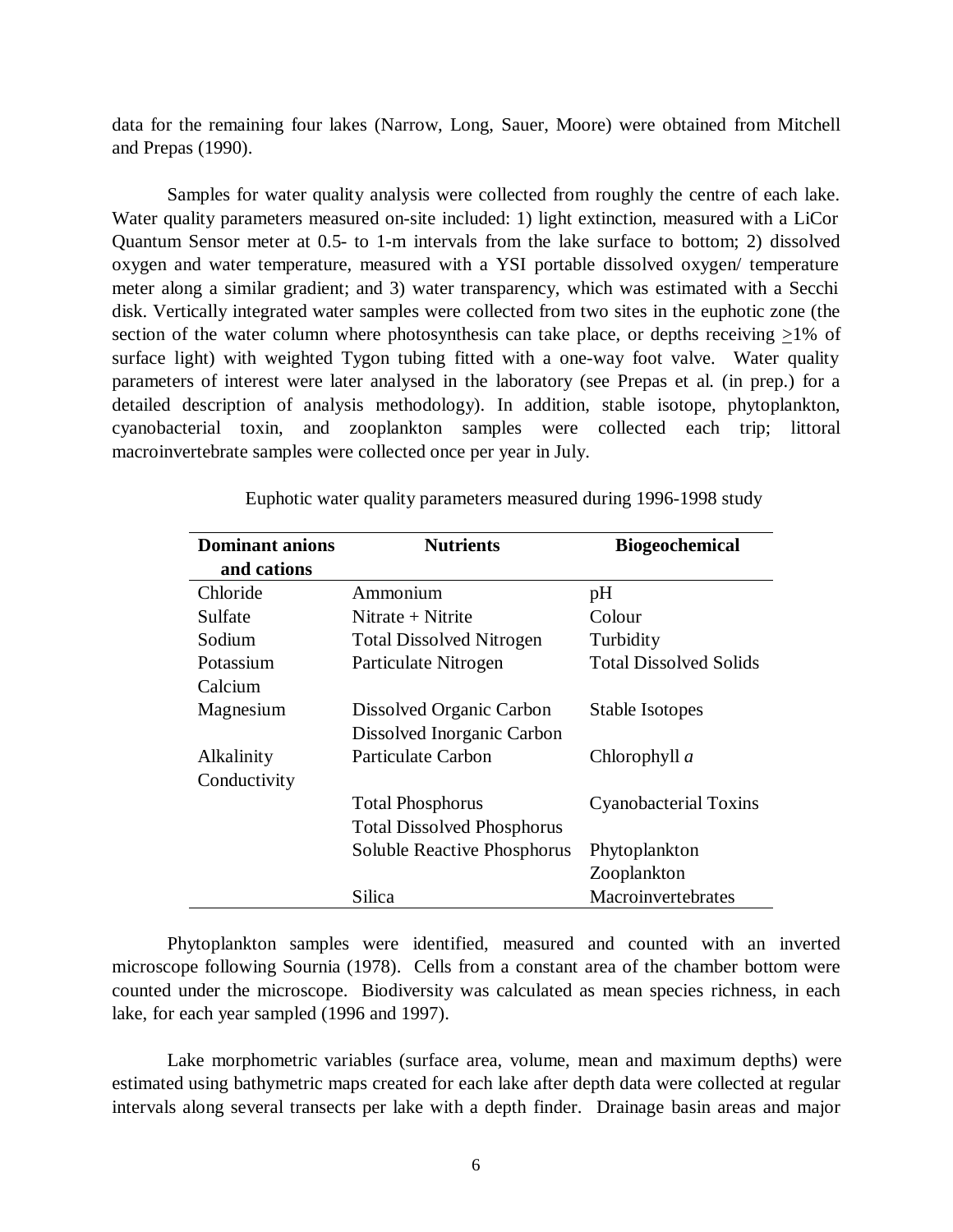data for the remaining four lakes (Narrow, Long, Sauer, Moore) were obtained from Mitchell and Prepas (1990).

Samples for water quality analysis were collected from roughly the centre of each lake. Water quality parameters measured on-site included: 1) light extinction, measured with a LiCor Quantum Sensor meter at 0.5- to 1-m intervals from the lake surface to bottom; 2) dissolved oxygen and water temperature, measured with a YSI portable dissolved oxygen/ temperature meter along a similar gradient; and 3) water transparency, which was estimated with a Secchi disk. Vertically integrated water samples were collected from two sites in the euphotic zone (the section of the water column where photosynthesis can take place, or depths receiving >1% of surface light) with weighted Tygon tubing fitted with a one-way foot valve. Water quality parameters of interest were later analysed in the laboratory (see Prepas et al. (in prep.) for a detailed description of analysis methodology). In addition, stable isotope, phytoplankton, cyanobacterial toxin, and zooplankton samples were collected each trip; littoral macroinvertebrate samples were collected once per year in July.

| <b>Dominant anions</b> | <b>Nutrients</b>                  | <b>Biogeochemical</b>         |
|------------------------|-----------------------------------|-------------------------------|
| and cations            |                                   |                               |
| Chloride               | Ammonium                          | pH                            |
| Sulfate                | Nitrate $+$ Nitrite               | Colour                        |
| Sodium                 | <b>Total Dissolved Nitrogen</b>   | Turbidity                     |
| Potassium              | Particulate Nitrogen              | <b>Total Dissolved Solids</b> |
| Calcium                |                                   |                               |
| Magnesium              | Dissolved Organic Carbon          | Stable Isotopes               |
|                        | Dissolved Inorganic Carbon        |                               |
| Alkalinity             | <b>Particulate Carbon</b>         | Chlorophyll a                 |
| Conductivity           |                                   |                               |
|                        | <b>Total Phosphorus</b>           | Cyanobacterial Toxins         |
|                        | <b>Total Dissolved Phosphorus</b> |                               |
|                        | Soluble Reactive Phosphorus       | Phytoplankton                 |
|                        |                                   | Zooplankton                   |
|                        | Silica                            | Macroinvertebrates            |

Euphotic water quality parameters measured during 1996-1998 study

Phytoplankton samples were identified, measured and counted with an inverted microscope following Sournia (1978). Cells from a constant area of the chamber bottom were counted under the microscope. Biodiversity was calculated as mean species richness, in each lake, for each year sampled (1996 and 1997).

Lake morphometric variables (surface area, volume, mean and maximum depths) were estimated using bathymetric maps created for each lake after depth data were collected at regular intervals along several transects per lake with a depth finder. Drainage basin areas and major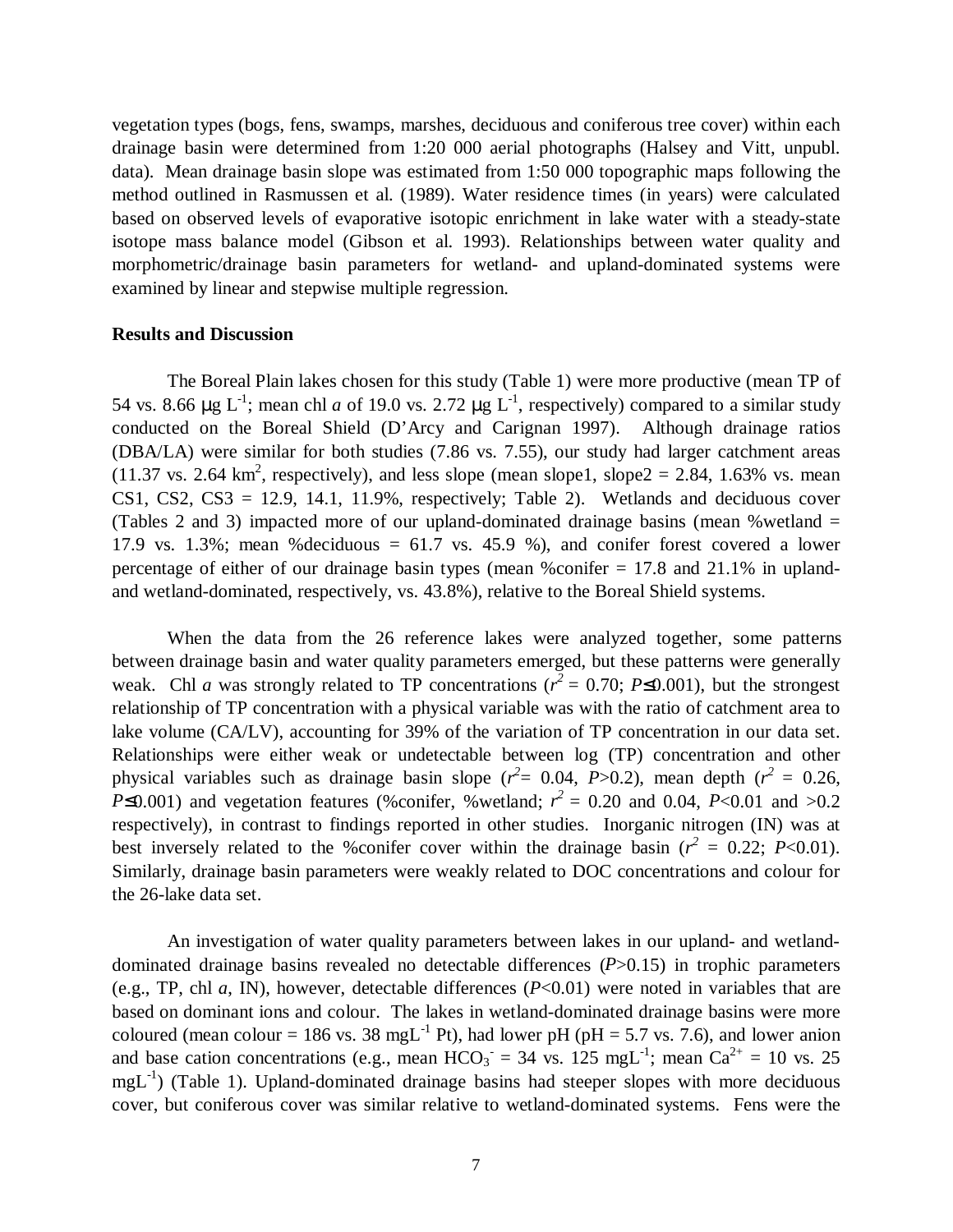vegetation types (bogs, fens, swamps, marshes, deciduous and coniferous tree cover) within each drainage basin were determined from 1:20 000 aerial photographs (Halsey and Vitt, unpubl. data). Mean drainage basin slope was estimated from 1:50 000 topographic maps following the method outlined in Rasmussen et al. (1989). Water residence times (in years) were calculated based on observed levels of evaporative isotopic enrichment in lake water with a steady-state isotope mass balance model (Gibson et al. 1993). Relationships between water quality and morphometric/drainage basin parameters for wetland- and upland-dominated systems were examined by linear and stepwise multiple regression.

#### **Results and Discussion**

The Boreal Plain lakes chosen for this study (Table 1) were more productive (mean TP of 54 vs. 8.66  $\mu$ g L<sup>-1</sup>; mean chl *a* of 19.0 vs. 2.72  $\mu$ g L<sup>-1</sup>, respectively) compared to a similar study conducted on the Boreal Shield (D'Arcy and Carignan 1997). Although drainage ratios (DBA/LA) were similar for both studies (7.86 vs. 7.55), our study had larger catchment areas  $(11.37 \text{ vs. } 2.64 \text{ km}^2, \text{ respectively})$ , and less slope (mean slope1, slope2 = 2.84, 1.63% vs. mean CS1, CS2, CS3 = 12.9, 14.1, 11.9%, respectively; Table 2). Wetlands and deciduous cover (Tables 2 and 3) impacted more of our upland-dominated drainage basins (mean %wetland = 17.9 vs. 1.3%; mean %deciduous =  $61.7$  vs. 45.9 %), and conifer forest covered a lower percentage of either of our drainage basin types (mean %conifer = 17.8 and 21.1% in uplandand wetland-dominated, respectively, vs. 43.8%), relative to the Boreal Shield systems.

When the data from the 26 reference lakes were analyzed together, some patterns between drainage basin and water quality parameters emerged, but these patterns were generally weak. Chl *a* was strongly related to TP concentrations ( $r^2 = 0.70$ ; *P*≤0.001), but the strongest relationship of TP concentration with a physical variable was with the ratio of catchment area to lake volume (CA/LV), accounting for 39% of the variation of TP concentration in our data set. Relationships were either weak or undetectable between log (TP) concentration and other physical variables such as drainage basin slope  $(r^2 = 0.04, P > 0.2)$ , mean depth  $(r^2 = 0.26, P > 0.2)$ *P*≤0.001) and vegetation features (%conifer, %wetland;  $r^2 = 0.20$  and 0.04, *P*<0.01 and >0.2 respectively), in contrast to findings reported in other studies. Inorganic nitrogen (IN) was at best inversely related to the %conifer cover within the drainage basin ( $r^2 = 0.22$ ; *P*<0.01). Similarly, drainage basin parameters were weakly related to DOC concentrations and colour for the 26-lake data set.

An investigation of water quality parameters between lakes in our upland- and wetlanddominated drainage basins revealed no detectable differences (*P*>0.15) in trophic parameters (e.g., TP, chl *a*, IN), however, detectable differences (*P*<0.01) were noted in variables that are based on dominant ions and colour. The lakes in wetland-dominated drainage basins were more coloured (mean colour = 186 vs. 38 mgL<sup>-1</sup> Pt), had lower pH (pH = 5.7 vs. 7.6), and lower anion and base cation concentrations (e.g., mean  $HCO_3 = 34$  vs. 125 mgL<sup>-1</sup>; mean  $Ca^{2+} = 10$  vs. 25  $mgL^{-1}$ ) (Table 1). Upland-dominated drainage basins had steeper slopes with more deciduous cover, but coniferous cover was similar relative to wetland-dominated systems. Fens were the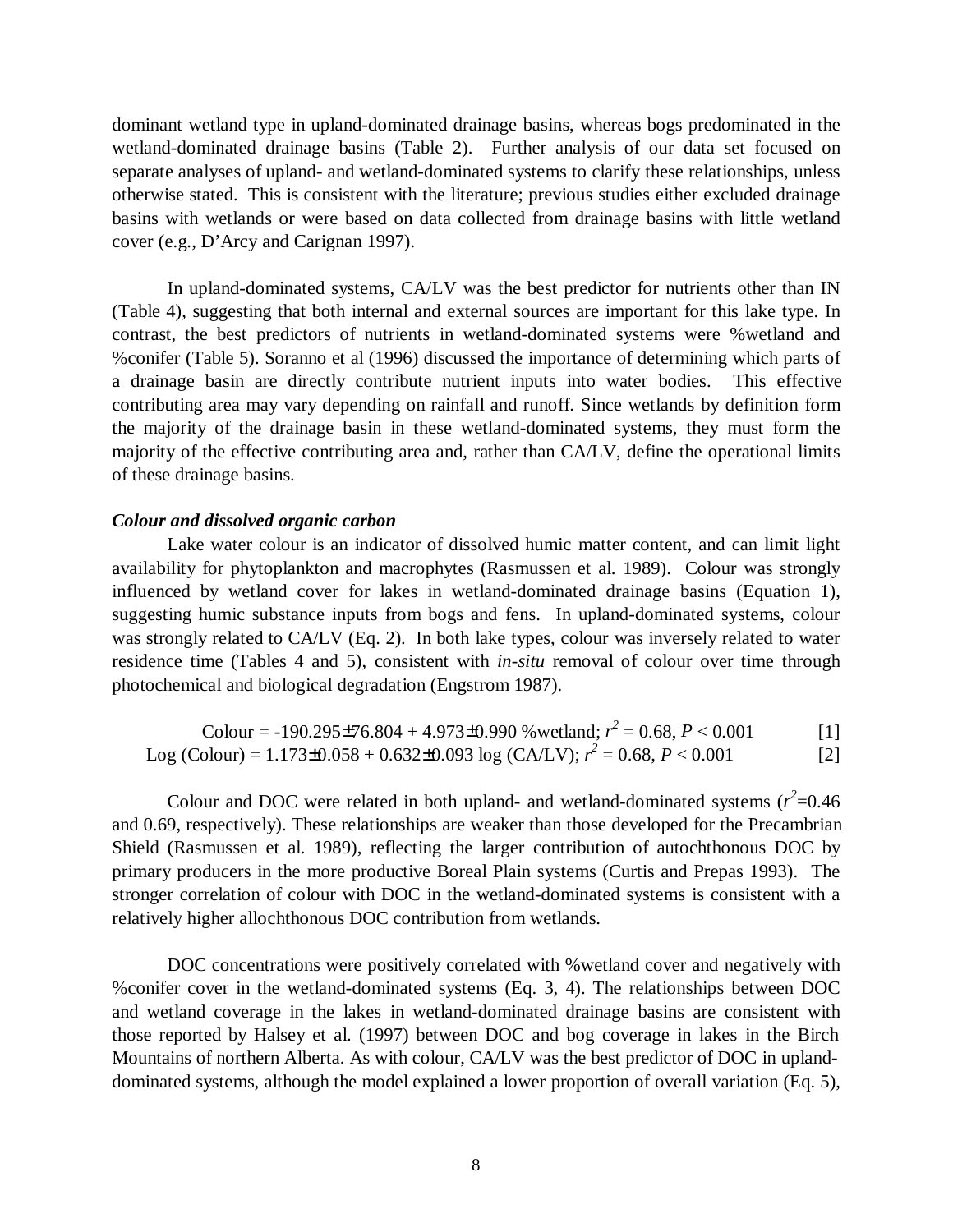dominant wetland type in upland-dominated drainage basins, whereas bogs predominated in the wetland-dominated drainage basins (Table 2). Further analysis of our data set focused on separate analyses of upland- and wetland-dominated systems to clarify these relationships, unless otherwise stated. This is consistent with the literature; previous studies either excluded drainage basins with wetlands or were based on data collected from drainage basins with little wetland cover (e.g., D'Arcy and Carignan 1997).

In upland-dominated systems, CA/LV was the best predictor for nutrients other than IN (Table 4), suggesting that both internal and external sources are important for this lake type. In contrast, the best predictors of nutrients in wetland-dominated systems were %wetland and %conifer (Table 5). Soranno et al (1996) discussed the importance of determining which parts of a drainage basin are directly contribute nutrient inputs into water bodies. This effective contributing area may vary depending on rainfall and runoff. Since wetlands by definition form the majority of the drainage basin in these wetland-dominated systems, they must form the majority of the effective contributing area and, rather than CA/LV, define the operational limits of these drainage basins.

# *Colour and dissolved organic carbon*

Lake water colour is an indicator of dissolved humic matter content, and can limit light availability for phytoplankton and macrophytes (Rasmussen et al. 1989). Colour was strongly influenced by wetland cover for lakes in wetland-dominated drainage basins (Equation 1), suggesting humic substance inputs from bogs and fens. In upland-dominated systems, colour was strongly related to CA/LV (Eq. 2). In both lake types, colour was inversely related to water residence time (Tables 4 and 5), consistent with *in-situ* removal of colour over time through photochemical and biological degradation (Engstrom 1987).

\n Colour = -190.295±76.804 + 4.973±0.990 % wetland; \n 
$$
r^2 = 0.68, \, P < 0.001
$$
\n

\n\n Log (Colour) = 1.173±0.058 + 0.632±0.093 \n log (CA/LV); \n  $r^2 = 0.68, \, P < 0.001$ \n

\n\n [1]\n

Colour and DOC were related in both upland- and wetland-dominated systems  $(r^2=0.46$ and 0.69, respectively). These relationships are weaker than those developed for the Precambrian Shield (Rasmussen et al. 1989), reflecting the larger contribution of autochthonous DOC by primary producers in the more productive Boreal Plain systems (Curtis and Prepas 1993). The stronger correlation of colour with DOC in the wetland-dominated systems is consistent with a relatively higher allochthonous DOC contribution from wetlands.

DOC concentrations were positively correlated with %wetland cover and negatively with %conifer cover in the wetland-dominated systems (Eq. 3, 4). The relationships between DOC and wetland coverage in the lakes in wetland-dominated drainage basins are consistent with those reported by Halsey et al. (1997) between DOC and bog coverage in lakes in the Birch Mountains of northern Alberta. As with colour, CA/LV was the best predictor of DOC in uplanddominated systems, although the model explained a lower proportion of overall variation (Eq. 5),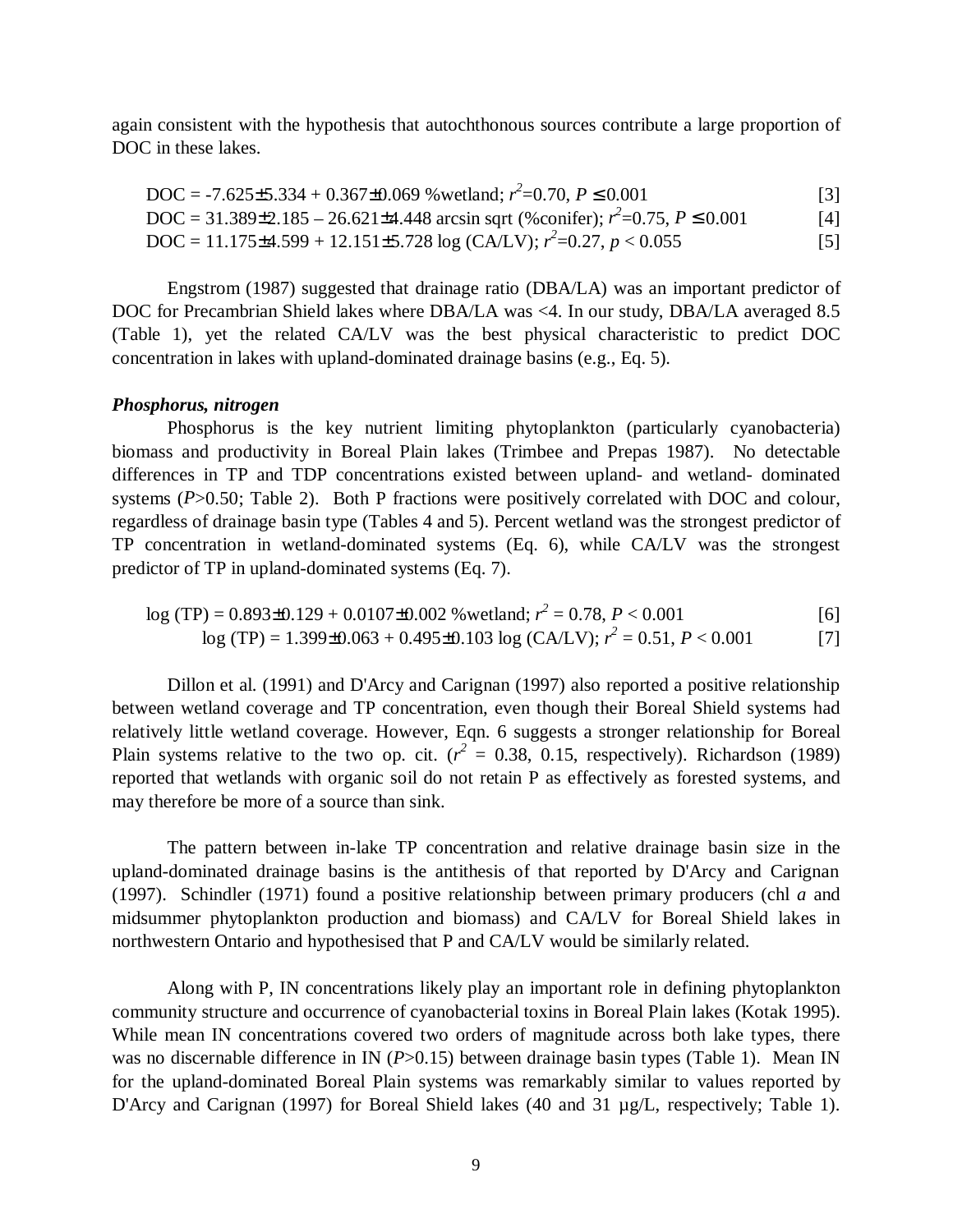again consistent with the hypothesis that autochthonous sources contribute a large proportion of DOC in these lakes.

$$
DOC = -7.625 \pm 5.334 + 0.367 \pm 0.069
$$
 % wetland;  $r^2 = 0.70$ ,  $P \le 0.001$  [3]

$$
DOC = 31.389 \pm 2.185 - 26.621 \pm 4.448 \text{ arcsin sqrt } (\% \text{conifer}); r^2 = 0.75, P \le 0.001
$$
 [4]

 $\text{DOC} = 11.175 \pm 4.599 + 12.151 \pm 5.728 \log (\text{CA/LV}); r^2 = 0.27, p < 0.055$  [5]

Engstrom (1987) suggested that drainage ratio (DBA/LA) was an important predictor of DOC for Precambrian Shield lakes where DBA/LA was <4. In our study, DBA/LA averaged 8.5 (Table 1), yet the related CA/LV was the best physical characteristic to predict DOC concentration in lakes with upland-dominated drainage basins (e.g., Eq. 5).

# *Phosphorus, nitrogen*

Phosphorus is the key nutrient limiting phytoplankton (particularly cyanobacteria) biomass and productivity in Boreal Plain lakes (Trimbee and Prepas 1987). No detectable differences in TP and TDP concentrations existed between upland- and wetland- dominated systems (*P*>0.50; Table 2). Both P fractions were positively correlated with DOC and colour, regardless of drainage basin type (Tables 4 and 5). Percent wetland was the strongest predictor of TP concentration in wetland-dominated systems (Eq. 6), while CA/LV was the strongest predictor of TP in upland-dominated systems (Eq. 7).

$$
\log(TP) = 0.893 \pm 0.129 + 0.0107 \pm 0.002 \text{ % wetland; } r^2 = 0.78, \frac{P}{2} < 0.001 \tag{6}
$$

$$
log (TP) = 1.399 \pm 0.063 + 0.495 \pm 0.103 log (CA/LV); r2 = 0.51, P < 0.001 \tag{7}
$$

Dillon et al. (1991) and D'Arcy and Carignan (1997) also reported a positive relationship between wetland coverage and TP concentration, even though their Boreal Shield systems had relatively little wetland coverage. However, Eqn. 6 suggests a stronger relationship for Boreal Plain systems relative to the two op. cit.  $(r^2 = 0.38, 0.15,$  respectively). Richardson (1989) reported that wetlands with organic soil do not retain P as effectively as forested systems, and may therefore be more of a source than sink.

The pattern between in-lake TP concentration and relative drainage basin size in the upland-dominated drainage basins is the antithesis of that reported by D'Arcy and Carignan (1997). Schindler (1971) found a positive relationship between primary producers (chl *a* and midsummer phytoplankton production and biomass) and CA/LV for Boreal Shield lakes in northwestern Ontario and hypothesised that P and CA/LV would be similarly related.

Along with P, IN concentrations likely play an important role in defining phytoplankton community structure and occurrence of cyanobacterial toxins in Boreal Plain lakes (Kotak 1995). While mean IN concentrations covered two orders of magnitude across both lake types, there was no discernable difference in IN (*P*>0.15) between drainage basin types (Table 1). Mean IN for the upland-dominated Boreal Plain systems was remarkably similar to values reported by D'Arcy and Carignan (1997) for Boreal Shield lakes (40 and 31 µg/L, respectively; Table 1).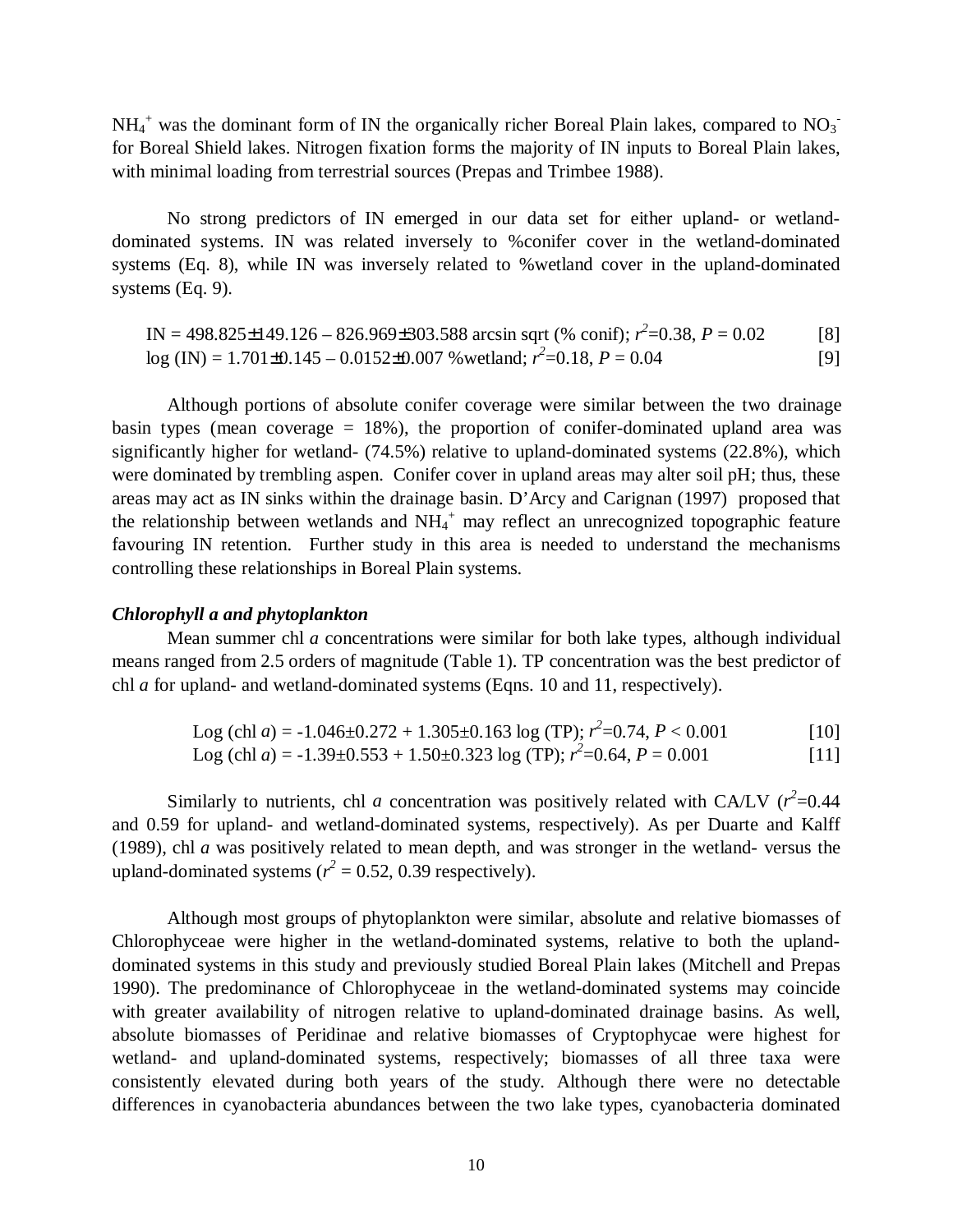$NH_4^+$  was the dominant form of IN the organically richer Boreal Plain lakes, compared to  $NO_3^$ for Boreal Shield lakes. Nitrogen fixation forms the majority of IN inputs to Boreal Plain lakes, with minimal loading from terrestrial sources (Prepas and Trimbee 1988).

No strong predictors of IN emerged in our data set for either upland- or wetlanddominated systems. IN was related inversely to %conifer cover in the wetland-dominated systems (Eq. 8), while IN was inversely related to %wetland cover in the upland-dominated systems (Eq. 9).

IN =  $498.825 \pm 149.126 - 826.969 \pm 303.588$  arcsin sqrt (% conif);  $r^2 = 0.38$ ,  $P = 0.02$  [8]  $log (IN) = 1.701 \pm 0.145 - 0.0152 \pm 0.007$  % wetland;  $r^2 = 0.18$ ,  $P = 0.04$  [9]

Although portions of absolute conifer coverage were similar between the two drainage basin types (mean coverage  $= 18\%$ ), the proportion of conifer-dominated upland area was significantly higher for wetland- (74.5%) relative to upland-dominated systems (22.8%), which were dominated by trembling aspen. Conifer cover in upland areas may alter soil pH; thus, these areas may act as IN sinks within the drainage basin. D'Arcy and Carignan (1997) proposed that the relationship between wetlands and  $NH_4^+$  may reflect an unrecognized topographic feature favouring IN retention. Further study in this area is needed to understand the mechanisms controlling these relationships in Boreal Plain systems.

## *Chlorophyll a and phytoplankton*

Mean summer chl *a* concentrations were similar for both lake types, although individual means ranged from 2.5 orders of magnitude (Table 1). TP concentration was the best predictor of chl *a* for upland- and wetland-dominated systems (Eqns. 10 and 11, respectively).

Log (chl *a*) = -1.046±0.272 + 1.305±0.163 log (TP); 
$$
r^2
$$
=0.74,  $P < 0.001$  [10]  
Log (chl *a*) = -1.39±0.553 + 1.50±0.323 log (TP);  $r^2$ =0.64,  $P = 0.001$  [11]

Similarly to nutrients, chl *a* concentration was positively related with CA/LV ( $r^2$ =0.44 and 0.59 for upland- and wetland-dominated systems, respectively). As per Duarte and Kalff (1989), chl *a* was positively related to mean depth, and was stronger in the wetland- versus the upland-dominated systems ( $r^2 = 0.52$ , 0.39 respectively).

Although most groups of phytoplankton were similar, absolute and relative biomasses of Chlorophyceae were higher in the wetland-dominated systems, relative to both the uplanddominated systems in this study and previously studied Boreal Plain lakes (Mitchell and Prepas 1990). The predominance of Chlorophyceae in the wetland-dominated systems may coincide with greater availability of nitrogen relative to upland-dominated drainage basins. As well, absolute biomasses of Peridinae and relative biomasses of Cryptophycae were highest for wetland- and upland-dominated systems, respectively; biomasses of all three taxa were consistently elevated during both years of the study. Although there were no detectable differences in cyanobacteria abundances between the two lake types, cyanobacteria dominated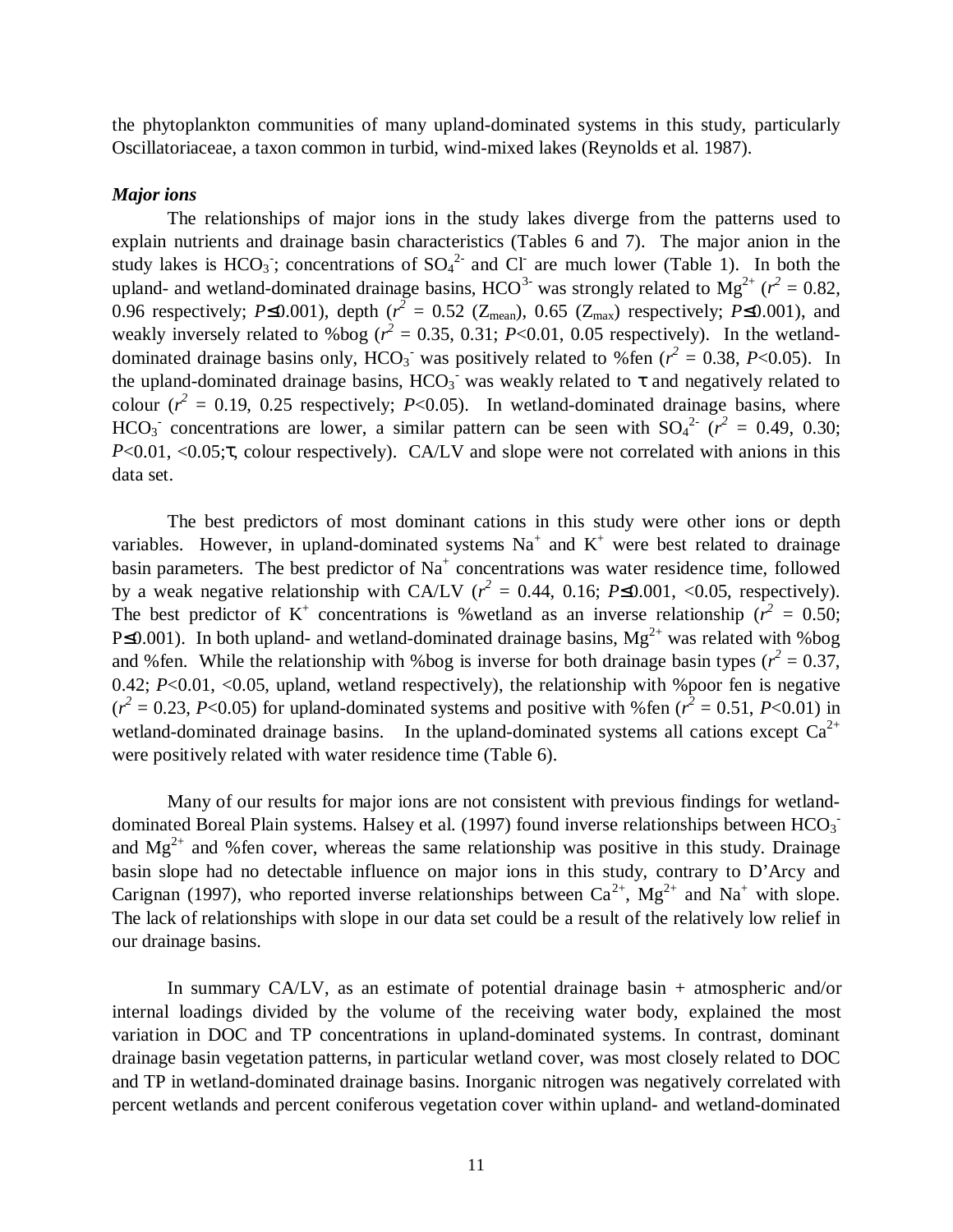the phytoplankton communities of many upland-dominated systems in this study, particularly Oscillatoriaceae, a taxon common in turbid, wind-mixed lakes (Reynolds et al. 1987).

#### *Major ions*

The relationships of major ions in the study lakes diverge from the patterns used to explain nutrients and drainage basin characteristics (Tables 6 and 7). The major anion in the study lakes is  $HCO_3$ ; concentrations of  $SO_4^2$  and Cl are much lower (Table 1). In both the upland- and wetland-dominated drainage basins,  $HCO^{3}$  was strongly related to  $Mg^{2+}$  ( $r^2 = 0.82$ , 0.96 respectively;  $P \le 0.001$ ), depth ( $r^2 = 0.52$  ( $Z_{mean}$ ), 0.65 ( $Z_{max}$ ) respectively;  $P \le 0.001$ ), and weakly inversely related to %bog ( $r^2 = 0.35, 0.31$ ; *P*<0.01, 0.05 respectively). In the wetlanddominated drainage basins only,  $HCO_3^-$  was positively related to %fen ( $r^2 = 0.38$ , P<0.05). In the upland-dominated drainage basins,  $HCO<sub>3</sub>$  was weakly related to  $\tau$  and negatively related to colour  $(r^2 = 0.19, 0.25$  respectively; *P*<0.05). In wetland-dominated drainage basins, where HCO<sub>3</sub><sup>-</sup> concentrations are lower, a similar pattern can be seen with  $SO_4^2$ <sup>2</sup> ( $r^2 = 0.49, 0.30;$ *P*<0.01, <0.05;τ, colour respectively). CA/LV and slope were not correlated with anions in this data set.

The best predictors of most dominant cations in this study were other ions or depth variables. However, in upland-dominated systems  $Na^+$  and  $K^+$  were best related to drainage basin parameters. The best predictor of  $Na<sup>+</sup>$  concentrations was water residence time, followed by a weak negative relationship with CA/LV ( $r^2 = 0.44$ , 0.16; *P*≤0.001, <0.05, respectively). The best predictor of K<sup>+</sup> concentrations is % wetland as an inverse relationship ( $r^2 = 0.50$ ; P $\leq 0.001$ ). In both upland- and wetland-dominated drainage basins,  $Mg^{2+}$  was related with %bog and % fen. While the relationship with % bog is inverse for both drainage basin types ( $r^2 = 0.37$ , 0.42; *P*<0.01, <0.05, upland, wetland respectively), the relationship with %poor fen is negative  $(r^2 = 0.23, P < 0.05)$  for upland-dominated systems and positive with % fen  $(r^2 = 0.51, P < 0.01)$  in wetland-dominated drainage basins. In the upland-dominated systems all cations except  $Ca^{2+}$ were positively related with water residence time (Table 6).

Many of our results for major ions are not consistent with previous findings for wetlanddominated Boreal Plain systems. Halsey et al. (1997) found inverse relationships between  $HCO<sub>3</sub>$ and  $Mg^{2+}$  and % fen cover, whereas the same relationship was positive in this study. Drainage basin slope had no detectable influence on major ions in this study, contrary to D'Arcy and Carignan (1997), who reported inverse relationships between  $Ca^{2+}$ ,  $Mg^{2+}$  and Na<sup>+</sup> with slope. The lack of relationships with slope in our data set could be a result of the relatively low relief in our drainage basins.

In summary CA/LV, as an estimate of potential drainage basin + atmospheric and/or internal loadings divided by the volume of the receiving water body, explained the most variation in DOC and TP concentrations in upland-dominated systems. In contrast, dominant drainage basin vegetation patterns, in particular wetland cover, was most closely related to DOC and TP in wetland-dominated drainage basins. Inorganic nitrogen was negatively correlated with percent wetlands and percent coniferous vegetation cover within upland- and wetland-dominated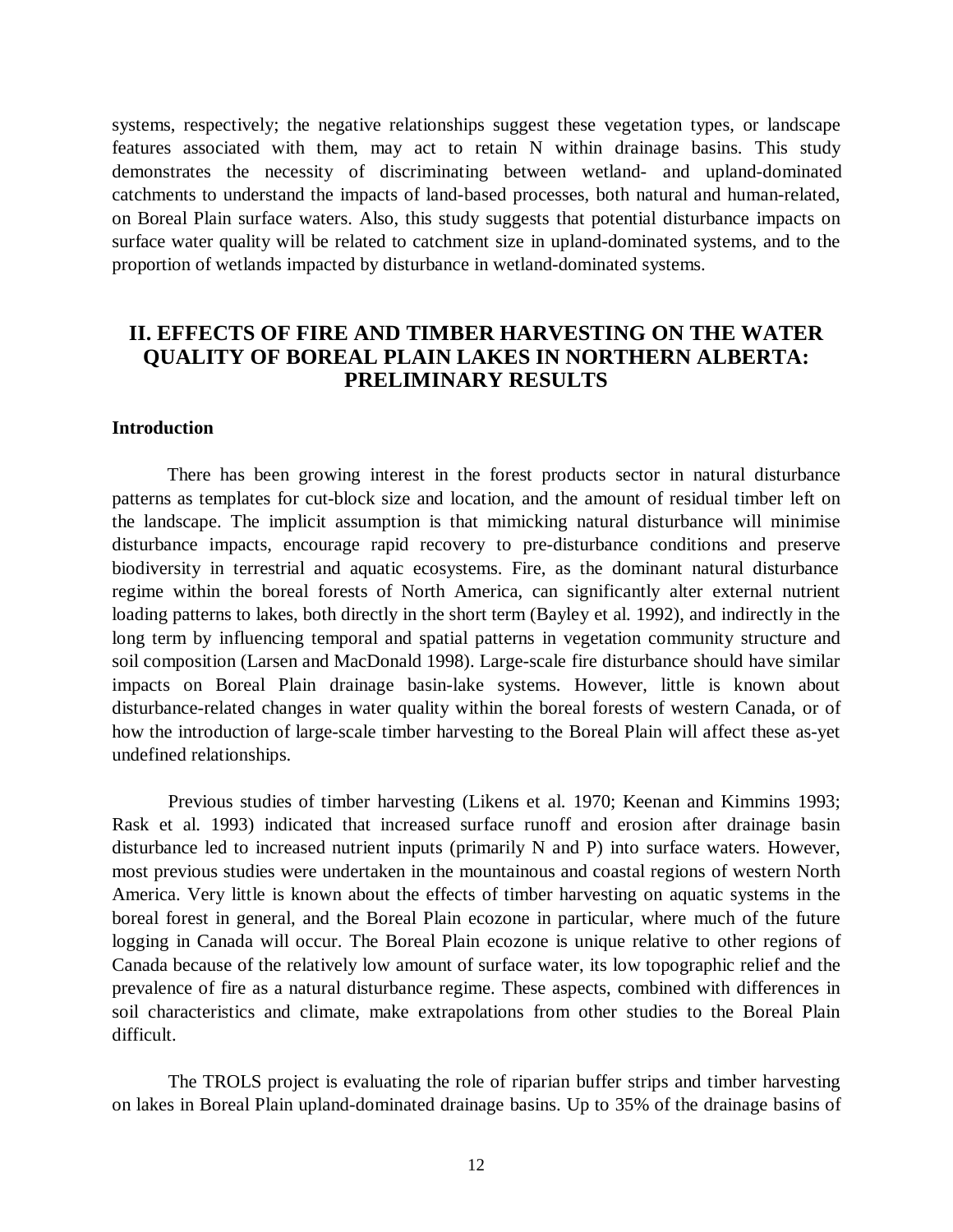systems, respectively; the negative relationships suggest these vegetation types, or landscape features associated with them, may act to retain N within drainage basins. This study demonstrates the necessity of discriminating between wetland- and upland-dominated catchments to understand the impacts of land-based processes, both natural and human-related, on Boreal Plain surface waters. Also, this study suggests that potential disturbance impacts on surface water quality will be related to catchment size in upland-dominated systems, and to the proportion of wetlands impacted by disturbance in wetland-dominated systems.

# **II. EFFECTS OF FIRE AND TIMBER HARVESTING ON THE WATER QUALITY OF BOREAL PLAIN LAKES IN NORTHERN ALBERTA: PRELIMINARY RESULTS**

### **Introduction**

There has been growing interest in the forest products sector in natural disturbance patterns as templates for cut-block size and location, and the amount of residual timber left on the landscape. The implicit assumption is that mimicking natural disturbance will minimise disturbance impacts, encourage rapid recovery to pre-disturbance conditions and preserve biodiversity in terrestrial and aquatic ecosystems. Fire, as the dominant natural disturbance regime within the boreal forests of North America, can significantly alter external nutrient loading patterns to lakes, both directly in the short term (Bayley et al. 1992), and indirectly in the long term by influencing temporal and spatial patterns in vegetation community structure and soil composition (Larsen and MacDonald 1998). Large-scale fire disturbance should have similar impacts on Boreal Plain drainage basin-lake systems. However, little is known about disturbance-related changes in water quality within the boreal forests of western Canada, or of how the introduction of large-scale timber harvesting to the Boreal Plain will affect these as-yet undefined relationships.

Previous studies of timber harvesting (Likens et al. 1970; Keenan and Kimmins 1993; Rask et al. 1993) indicated that increased surface runoff and erosion after drainage basin disturbance led to increased nutrient inputs (primarily N and P) into surface waters. However, most previous studies were undertaken in the mountainous and coastal regions of western North America. Very little is known about the effects of timber harvesting on aquatic systems in the boreal forest in general, and the Boreal Plain ecozone in particular, where much of the future logging in Canada will occur. The Boreal Plain ecozone is unique relative to other regions of Canada because of the relatively low amount of surface water, its low topographic relief and the prevalence of fire as a natural disturbance regime. These aspects, combined with differences in soil characteristics and climate, make extrapolations from other studies to the Boreal Plain difficult.

The TROLS project is evaluating the role of riparian buffer strips and timber harvesting on lakes in Boreal Plain upland-dominated drainage basins. Up to 35% of the drainage basins of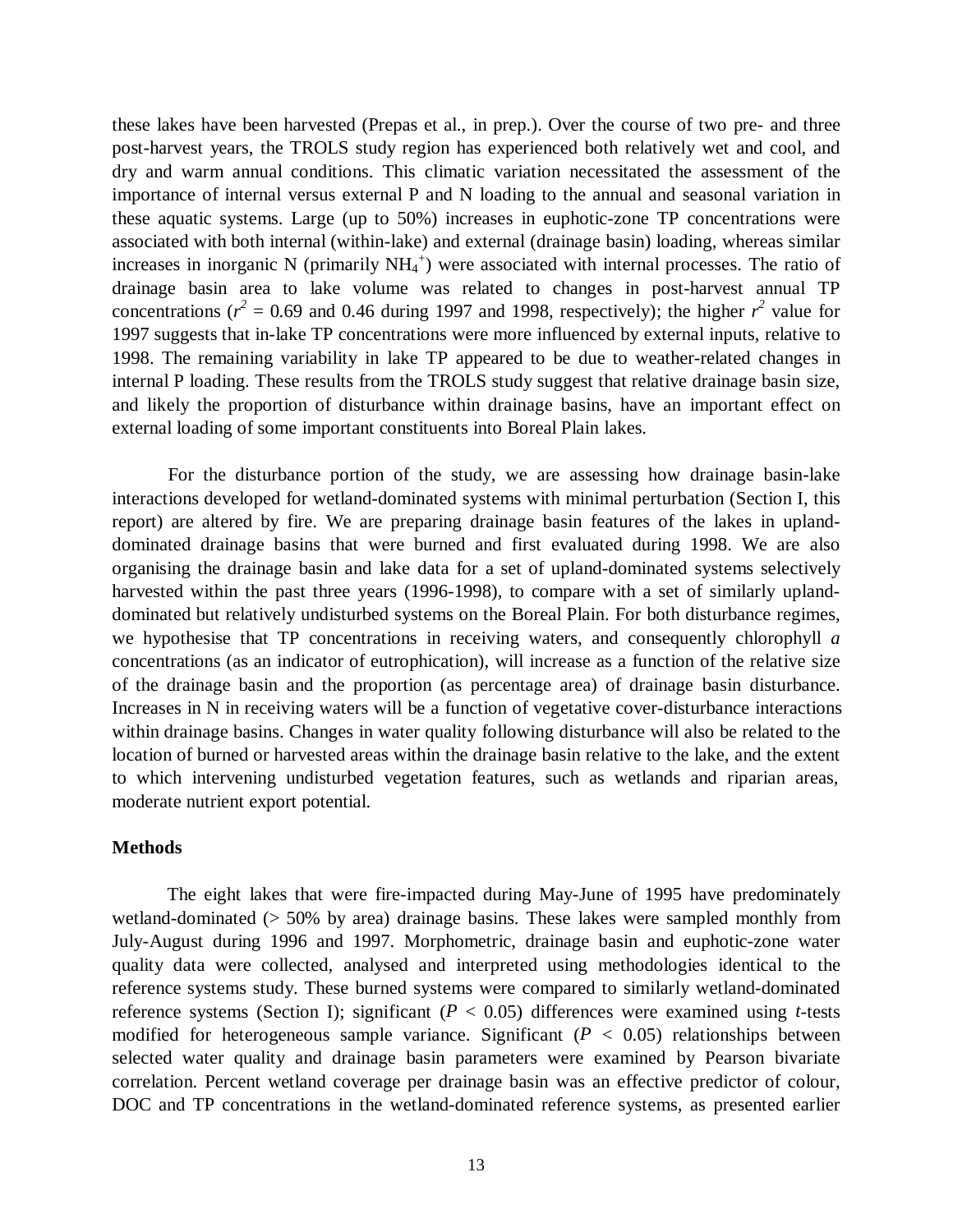these lakes have been harvested (Prepas et al., in prep.). Over the course of two pre- and three post-harvest years, the TROLS study region has experienced both relatively wet and cool, and dry and warm annual conditions. This climatic variation necessitated the assessment of the importance of internal versus external P and N loading to the annual and seasonal variation in these aquatic systems. Large (up to 50%) increases in euphotic-zone TP concentrations were associated with both internal (within-lake) and external (drainage basin) loading, whereas similar increases in inorganic N (primarily  $NH_4$ <sup>+</sup>) were associated with internal processes. The ratio of drainage basin area to lake volume was related to changes in post-harvest annual TP concentrations ( $r^2 = 0.69$  and 0.46 during 1997 and 1998, respectively); the higher  $r^2$  value for 1997 suggests that in-lake TP concentrations were more influenced by external inputs, relative to 1998. The remaining variability in lake TP appeared to be due to weather-related changes in internal P loading. These results from the TROLS study suggest that relative drainage basin size, and likely the proportion of disturbance within drainage basins, have an important effect on external loading of some important constituents into Boreal Plain lakes.

For the disturbance portion of the study, we are assessing how drainage basin-lake interactions developed for wetland-dominated systems with minimal perturbation (Section I, this report) are altered by fire. We are preparing drainage basin features of the lakes in uplanddominated drainage basins that were burned and first evaluated during 1998. We are also organising the drainage basin and lake data for a set of upland-dominated systems selectively harvested within the past three years (1996-1998), to compare with a set of similarly uplanddominated but relatively undisturbed systems on the Boreal Plain. For both disturbance regimes, we hypothesise that TP concentrations in receiving waters, and consequently chlorophyll *a* concentrations (as an indicator of eutrophication), will increase as a function of the relative size of the drainage basin and the proportion (as percentage area) of drainage basin disturbance. Increases in N in receiving waters will be a function of vegetative cover-disturbance interactions within drainage basins. Changes in water quality following disturbance will also be related to the location of burned or harvested areas within the drainage basin relative to the lake, and the extent to which intervening undisturbed vegetation features, such as wetlands and riparian areas, moderate nutrient export potential.

# **Methods**

The eight lakes that were fire-impacted during May-June of 1995 have predominately wetland-dominated (> 50% by area) drainage basins. These lakes were sampled monthly from July-August during 1996 and 1997. Morphometric, drainage basin and euphotic-zone water quality data were collected, analysed and interpreted using methodologies identical to the reference systems study. These burned systems were compared to similarly wetland-dominated reference systems (Section I); significant (*P* < 0.05) differences were examined using *t*-tests modified for heterogeneous sample variance. Significant  $(P < 0.05)$  relationships between selected water quality and drainage basin parameters were examined by Pearson bivariate correlation. Percent wetland coverage per drainage basin was an effective predictor of colour, DOC and TP concentrations in the wetland-dominated reference systems, as presented earlier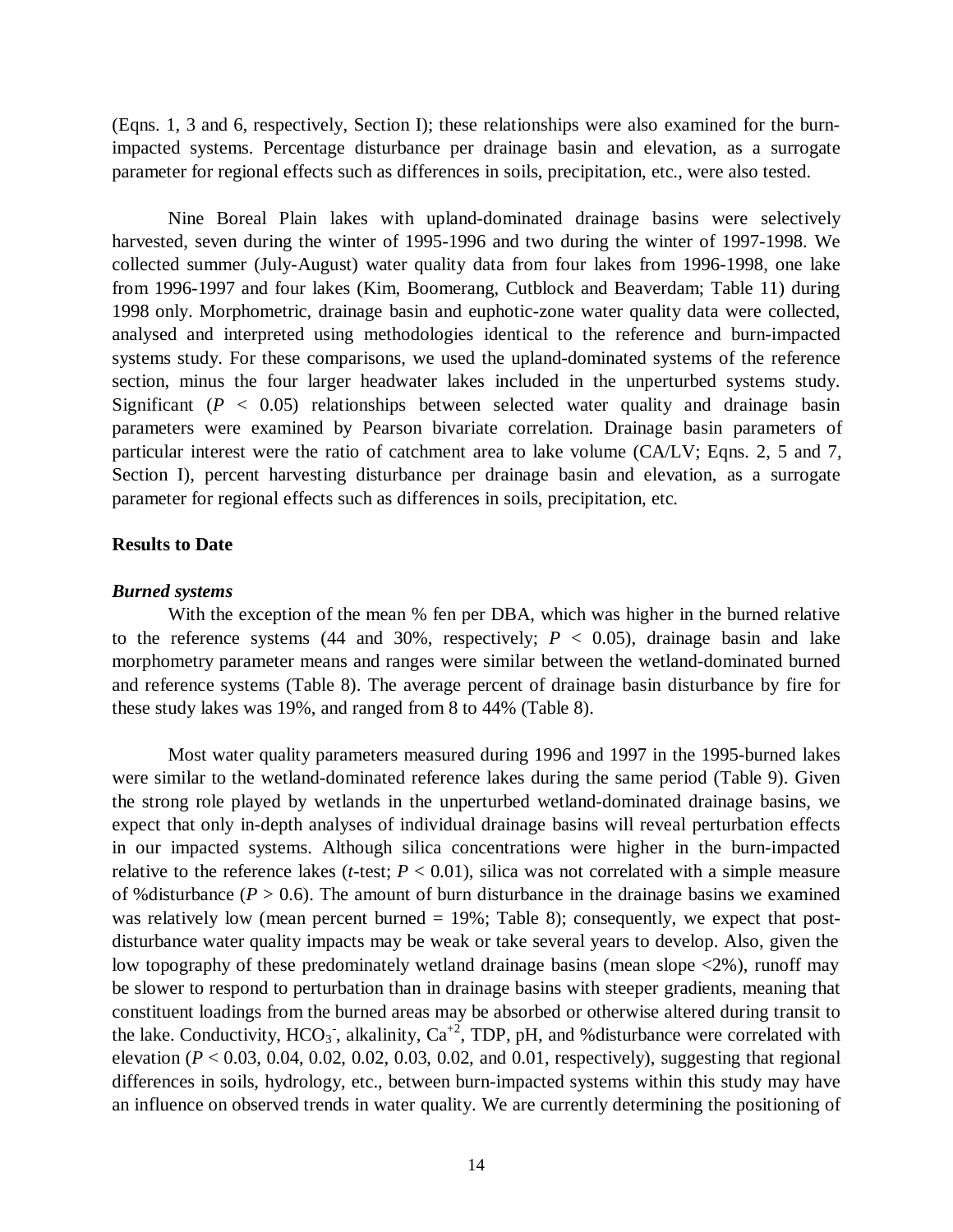(Eqns. 1, 3 and 6, respectively, Section I); these relationships were also examined for the burnimpacted systems. Percentage disturbance per drainage basin and elevation, as a surrogate parameter for regional effects such as differences in soils, precipitation, etc., were also tested.

Nine Boreal Plain lakes with upland-dominated drainage basins were selectively harvested, seven during the winter of 1995-1996 and two during the winter of 1997-1998. We collected summer (July-August) water quality data from four lakes from 1996-1998, one lake from 1996-1997 and four lakes (Kim, Boomerang, Cutblock and Beaverdam; Table 11) during 1998 only. Morphometric, drainage basin and euphotic-zone water quality data were collected, analysed and interpreted using methodologies identical to the reference and burn-impacted systems study. For these comparisons, we used the upland-dominated systems of the reference section, minus the four larger headwater lakes included in the unperturbed systems study. Significant  $(P < 0.05)$  relationships between selected water quality and drainage basin parameters were examined by Pearson bivariate correlation. Drainage basin parameters of particular interest were the ratio of catchment area to lake volume (CA/LV; Eqns. 2, 5 and 7, Section I), percent harvesting disturbance per drainage basin and elevation, as a surrogate parameter for regional effects such as differences in soils, precipitation, etc.

# **Results to Date**

#### *Burned systems*

With the exception of the mean % fen per DBA, which was higher in the burned relative to the reference systems (44 and 30%, respectively;  $P < 0.05$ ), drainage basin and lake morphometry parameter means and ranges were similar between the wetland-dominated burned and reference systems (Table 8). The average percent of drainage basin disturbance by fire for these study lakes was 19%, and ranged from 8 to 44% (Table 8).

Most water quality parameters measured during 1996 and 1997 in the 1995-burned lakes were similar to the wetland-dominated reference lakes during the same period (Table 9). Given the strong role played by wetlands in the unperturbed wetland-dominated drainage basins, we expect that only in-depth analyses of individual drainage basins will reveal perturbation effects in our impacted systems. Although silica concentrations were higher in the burn-impacted relative to the reference lakes (*t*-test;  $P < 0.01$ ), silica was not correlated with a simple measure of %disturbance ( $P > 0.6$ ). The amount of burn disturbance in the drainage basins we examined was relatively low (mean percent burned  $= 19\%$ ; Table 8); consequently, we expect that postdisturbance water quality impacts may be weak or take several years to develop. Also, given the low topography of these predominately wetland drainage basins (mean slope <2%), runoff may be slower to respond to perturbation than in drainage basins with steeper gradients, meaning that constituent loadings from the burned areas may be absorbed or otherwise altered during transit to the lake. Conductivity,  $HCO_3$ , alkalinity,  $Ca^{+2}$ , TDP, pH, and % disturbance were correlated with elevation ( $P < 0.03$ , 0.04, 0.02, 0.02, 0.03, 0.02, and 0.01, respectively), suggesting that regional differences in soils, hydrology, etc., between burn-impacted systems within this study may have an influence on observed trends in water quality. We are currently determining the positioning of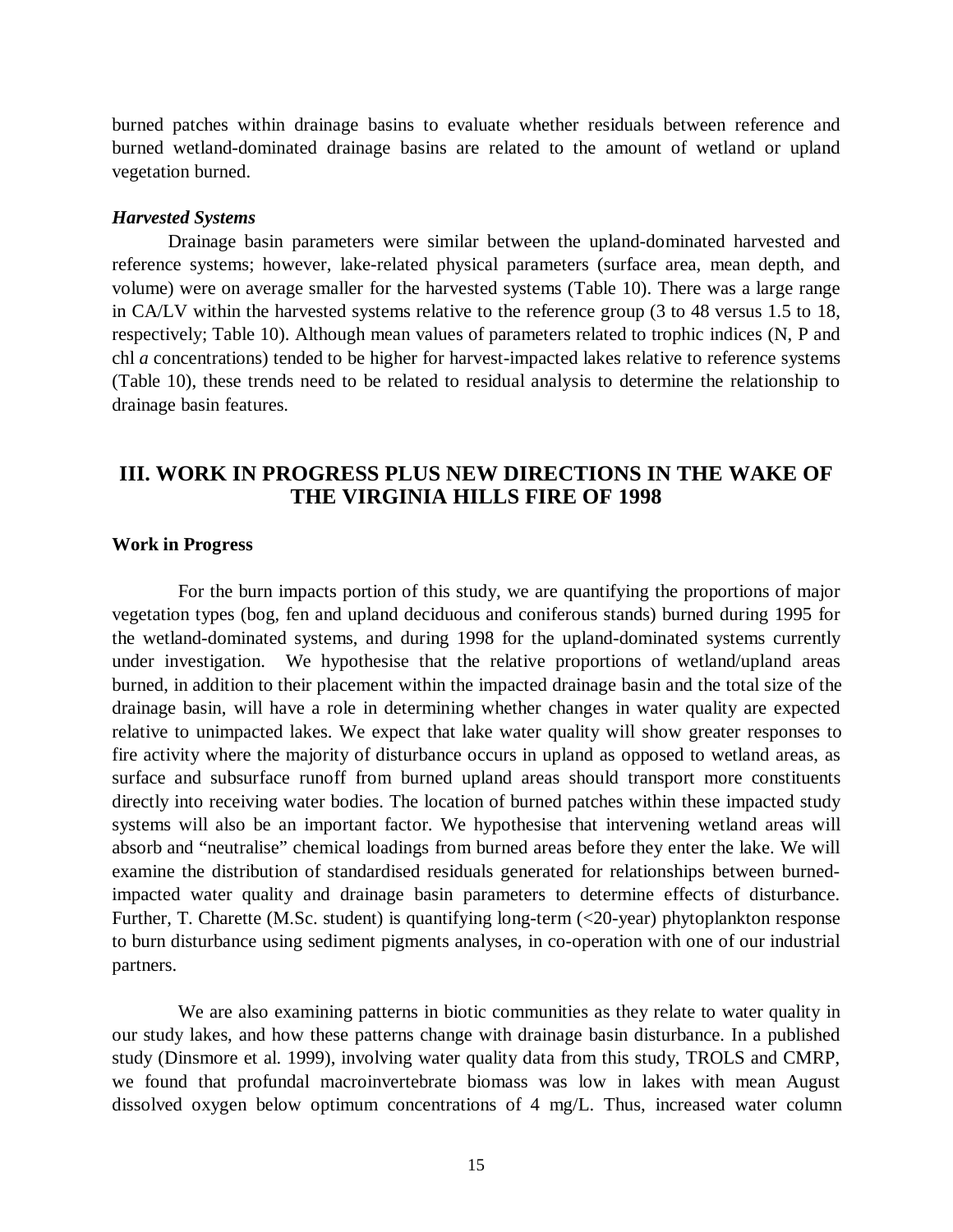burned patches within drainage basins to evaluate whether residuals between reference and burned wetland-dominated drainage basins are related to the amount of wetland or upland vegetation burned.

#### *Harvested Systems*

Drainage basin parameters were similar between the upland-dominated harvested and reference systems; however, lake-related physical parameters (surface area, mean depth, and volume) were on average smaller for the harvested systems (Table 10). There was a large range in CA/LV within the harvested systems relative to the reference group (3 to 48 versus 1.5 to 18, respectively; Table 10). Although mean values of parameters related to trophic indices (N, P and chl *a* concentrations) tended to be higher for harvest-impacted lakes relative to reference systems (Table 10), these trends need to be related to residual analysis to determine the relationship to drainage basin features.

# **III. WORK IN PROGRESS PLUS NEW DIRECTIONS IN THE WAKE OF THE VIRGINIA HILLS FIRE OF 1998**

## **Work in Progress**

For the burn impacts portion of this study, we are quantifying the proportions of major vegetation types (bog, fen and upland deciduous and coniferous stands) burned during 1995 for the wetland-dominated systems, and during 1998 for the upland-dominated systems currently under investigation. We hypothesise that the relative proportions of wetland/upland areas burned, in addition to their placement within the impacted drainage basin and the total size of the drainage basin, will have a role in determining whether changes in water quality are expected relative to unimpacted lakes. We expect that lake water quality will show greater responses to fire activity where the majority of disturbance occurs in upland as opposed to wetland areas, as surface and subsurface runoff from burned upland areas should transport more constituents directly into receiving water bodies. The location of burned patches within these impacted study systems will also be an important factor. We hypothesise that intervening wetland areas will absorb and "neutralise" chemical loadings from burned areas before they enter the lake. We will examine the distribution of standardised residuals generated for relationships between burnedimpacted water quality and drainage basin parameters to determine effects of disturbance. Further, T. Charette (M.Sc. student) is quantifying long-term (<20-year) phytoplankton response to burn disturbance using sediment pigments analyses, in co-operation with one of our industrial partners.

We are also examining patterns in biotic communities as they relate to water quality in our study lakes, and how these patterns change with drainage basin disturbance. In a published study (Dinsmore et al. 1999), involving water quality data from this study, TROLS and CMRP, we found that profundal macroinvertebrate biomass was low in lakes with mean August dissolved oxygen below optimum concentrations of 4 mg/L. Thus, increased water column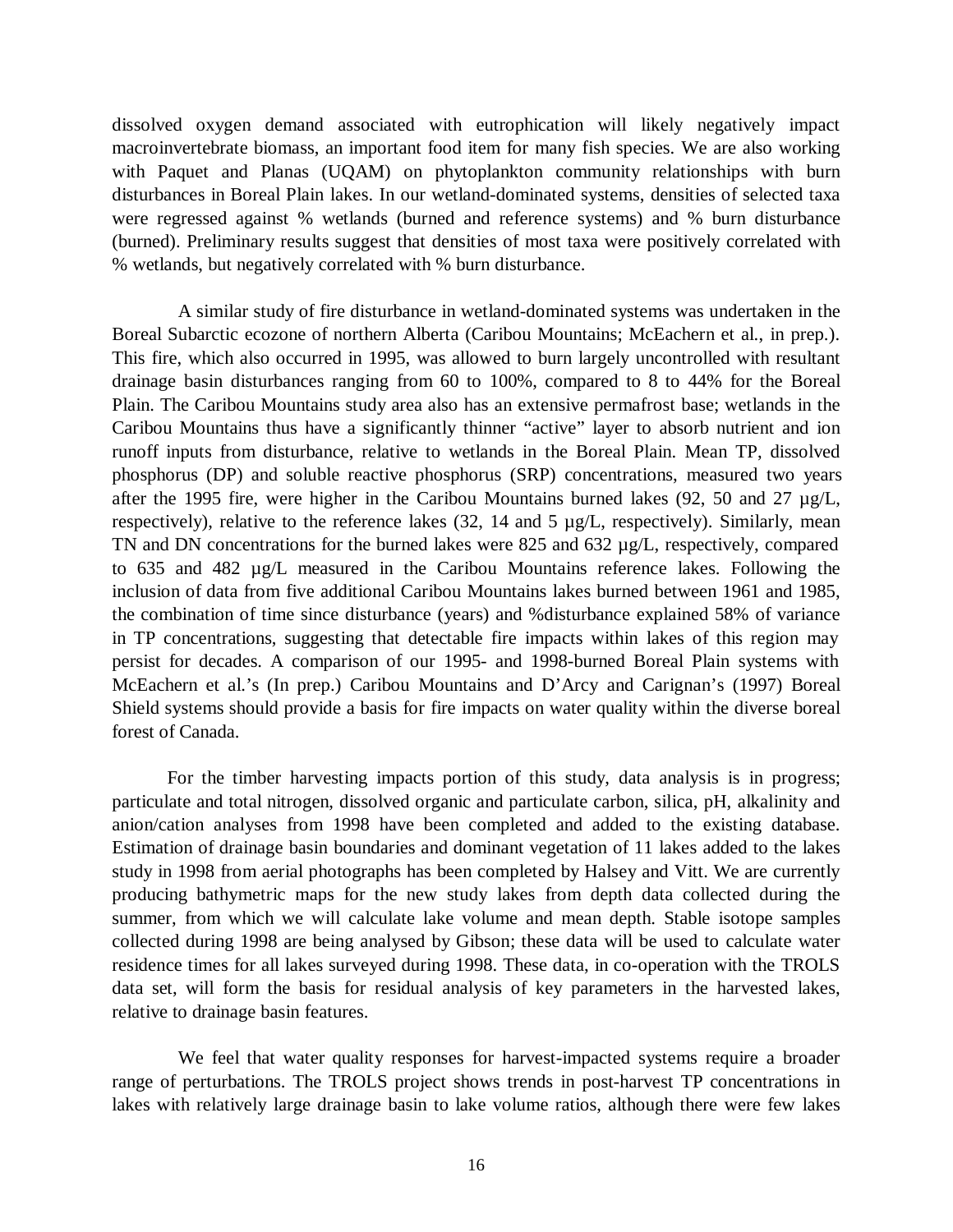dissolved oxygen demand associated with eutrophication will likely negatively impact macroinvertebrate biomass, an important food item for many fish species. We are also working with Paquet and Planas (UQAM) on phytoplankton community relationships with burn disturbances in Boreal Plain lakes. In our wetland-dominated systems, densities of selected taxa were regressed against % wetlands (burned and reference systems) and % burn disturbance (burned). Preliminary results suggest that densities of most taxa were positively correlated with % wetlands, but negatively correlated with % burn disturbance.

A similar study of fire disturbance in wetland-dominated systems was undertaken in the Boreal Subarctic ecozone of northern Alberta (Caribou Mountains; McEachern et al., in prep.). This fire, which also occurred in 1995, was allowed to burn largely uncontrolled with resultant drainage basin disturbances ranging from 60 to 100%, compared to 8 to 44% for the Boreal Plain. The Caribou Mountains study area also has an extensive permafrost base; wetlands in the Caribou Mountains thus have a significantly thinner "active" layer to absorb nutrient and ion runoff inputs from disturbance, relative to wetlands in the Boreal Plain. Mean TP, dissolved phosphorus (DP) and soluble reactive phosphorus (SRP) concentrations, measured two years after the 1995 fire, were higher in the Caribou Mountains burned lakes  $(92, 50, 50, 27, \mu g/L)$ respectively), relative to the reference lakes (32, 14 and 5 µg/L, respectively). Similarly, mean TN and DN concentrations for the burned lakes were 825 and 632 µg/L, respectively, compared to 635 and 482 µg/L measured in the Caribou Mountains reference lakes. Following the inclusion of data from five additional Caribou Mountains lakes burned between 1961 and 1985, the combination of time since disturbance (years) and %disturbance explained 58% of variance in TP concentrations, suggesting that detectable fire impacts within lakes of this region may persist for decades. A comparison of our 1995- and 1998-burned Boreal Plain systems with McEachern et al.'s (In prep.) Caribou Mountains and D'Arcy and Carignan's (1997) Boreal Shield systems should provide a basis for fire impacts on water quality within the diverse boreal forest of Canada.

For the timber harvesting impacts portion of this study, data analysis is in progress; particulate and total nitrogen, dissolved organic and particulate carbon, silica, pH, alkalinity and anion/cation analyses from 1998 have been completed and added to the existing database. Estimation of drainage basin boundaries and dominant vegetation of 11 lakes added to the lakes study in 1998 from aerial photographs has been completed by Halsey and Vitt. We are currently producing bathymetric maps for the new study lakes from depth data collected during the summer, from which we will calculate lake volume and mean depth. Stable isotope samples collected during 1998 are being analysed by Gibson; these data will be used to calculate water residence times for all lakes surveyed during 1998. These data, in co-operation with the TROLS data set, will form the basis for residual analysis of key parameters in the harvested lakes, relative to drainage basin features.

We feel that water quality responses for harvest-impacted systems require a broader range of perturbations. The TROLS project shows trends in post-harvest TP concentrations in lakes with relatively large drainage basin to lake volume ratios, although there were few lakes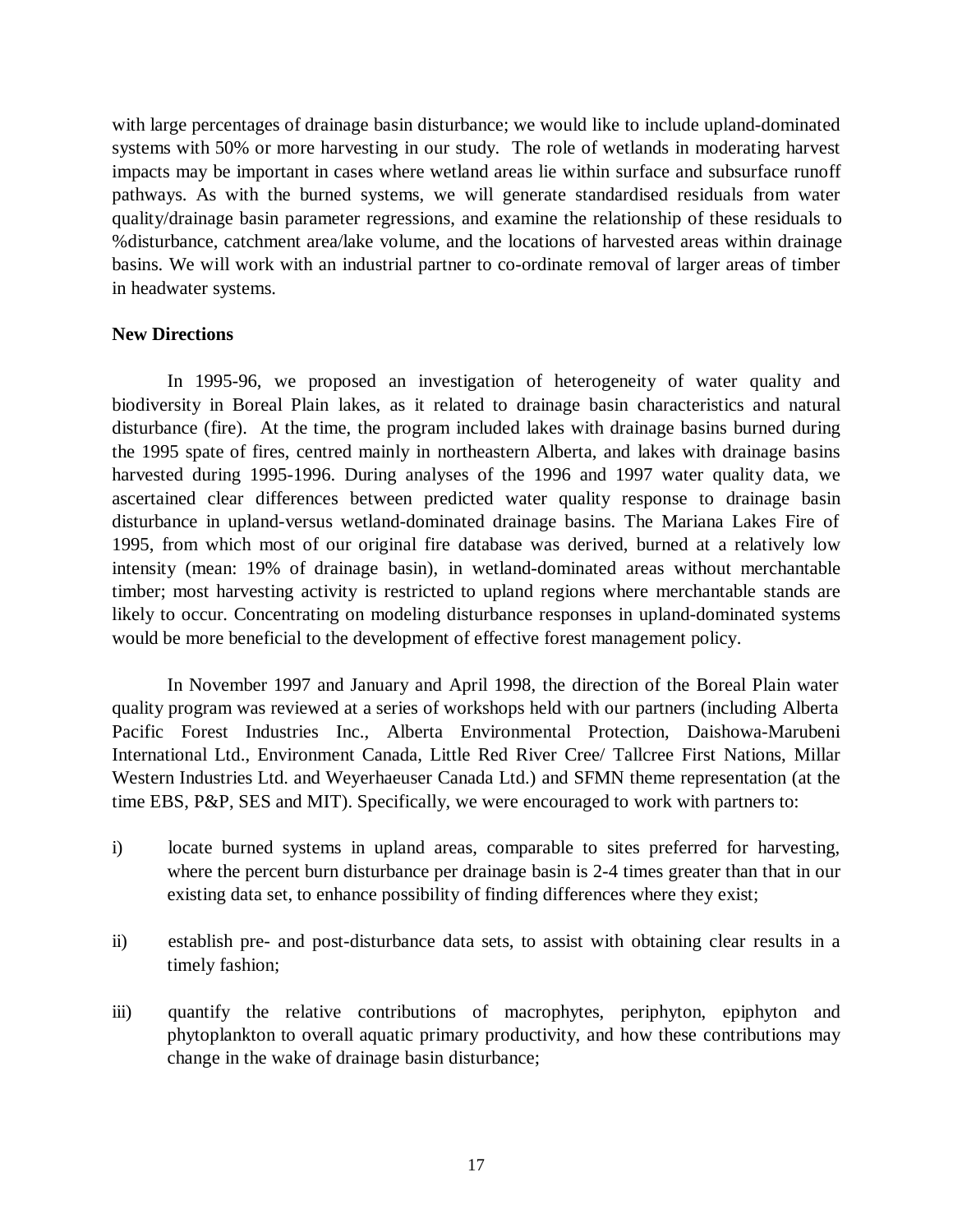with large percentages of drainage basin disturbance; we would like to include upland-dominated systems with 50% or more harvesting in our study. The role of wetlands in moderating harvest impacts may be important in cases where wetland areas lie within surface and subsurface runoff pathways. As with the burned systems, we will generate standardised residuals from water quality/drainage basin parameter regressions, and examine the relationship of these residuals to %disturbance, catchment area/lake volume, and the locations of harvested areas within drainage basins. We will work with an industrial partner to co-ordinate removal of larger areas of timber in headwater systems.

# **New Directions**

In 1995-96, we proposed an investigation of heterogeneity of water quality and biodiversity in Boreal Plain lakes, as it related to drainage basin characteristics and natural disturbance (fire). At the time, the program included lakes with drainage basins burned during the 1995 spate of fires, centred mainly in northeastern Alberta, and lakes with drainage basins harvested during 1995-1996. During analyses of the 1996 and 1997 water quality data, we ascertained clear differences between predicted water quality response to drainage basin disturbance in upland-versus wetland-dominated drainage basins. The Mariana Lakes Fire of 1995, from which most of our original fire database was derived, burned at a relatively low intensity (mean: 19% of drainage basin), in wetland-dominated areas without merchantable timber; most harvesting activity is restricted to upland regions where merchantable stands are likely to occur. Concentrating on modeling disturbance responses in upland-dominated systems would be more beneficial to the development of effective forest management policy.

In November 1997 and January and April 1998, the direction of the Boreal Plain water quality program was reviewed at a series of workshops held with our partners (including Alberta Pacific Forest Industries Inc., Alberta Environmental Protection, Daishowa-Marubeni International Ltd., Environment Canada, Little Red River Cree/ Tallcree First Nations, Millar Western Industries Ltd. and Weyerhaeuser Canada Ltd.) and SFMN theme representation (at the time EBS, P&P, SES and MIT). Specifically, we were encouraged to work with partners to:

- i) locate burned systems in upland areas, comparable to sites preferred for harvesting, where the percent burn disturbance per drainage basin is 2-4 times greater than that in our existing data set, to enhance possibility of finding differences where they exist;
- ii) establish pre- and post-disturbance data sets, to assist with obtaining clear results in a timely fashion;
- iii) quantify the relative contributions of macrophytes, periphyton, epiphyton and phytoplankton to overall aquatic primary productivity, and how these contributions may change in the wake of drainage basin disturbance;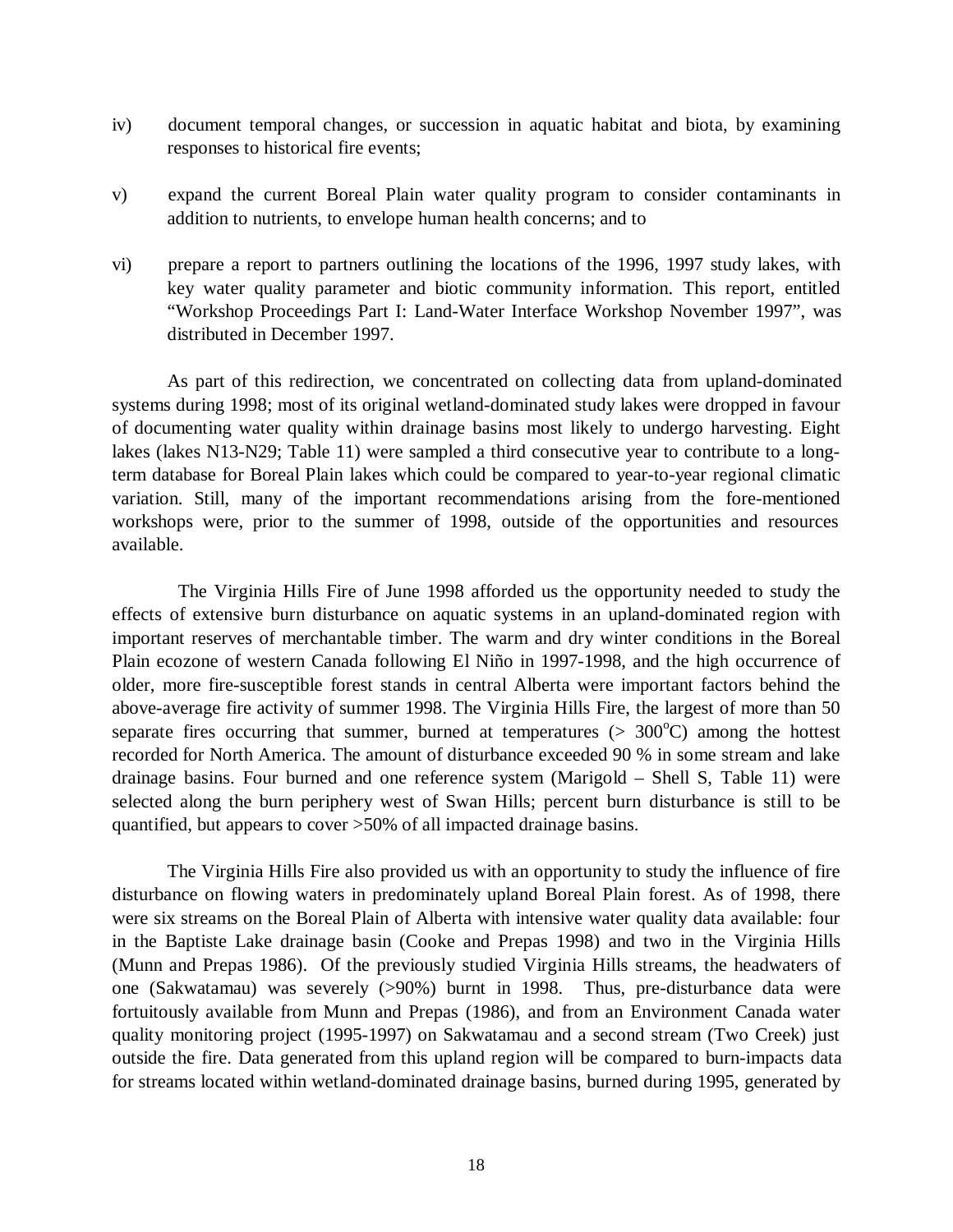- iv) document temporal changes, or succession in aquatic habitat and biota, by examining responses to historical fire events;
- v) expand the current Boreal Plain water quality program to consider contaminants in addition to nutrients, to envelope human health concerns; and to
- vi) prepare a report to partners outlining the locations of the 1996, 1997 study lakes, with key water quality parameter and biotic community information. This report, entitled "Workshop Proceedings Part I: Land-Water Interface Workshop November 1997", was distributed in December 1997.

As part of this redirection, we concentrated on collecting data from upland-dominated systems during 1998; most of its original wetland-dominated study lakes were dropped in favour of documenting water quality within drainage basins most likely to undergo harvesting. Eight lakes (lakes N13-N29; Table 11) were sampled a third consecutive year to contribute to a longterm database for Boreal Plain lakes which could be compared to year-to-year regional climatic variation. Still, many of the important recommendations arising from the fore-mentioned workshops were, prior to the summer of 1998, outside of the opportunities and resources available.

The Virginia Hills Fire of June 1998 afforded us the opportunity needed to study the effects of extensive burn disturbance on aquatic systems in an upland-dominated region with important reserves of merchantable timber. The warm and dry winter conditions in the Boreal Plain ecozone of western Canada following El Niño in 1997-1998, and the high occurrence of older, more fire-susceptible forest stands in central Alberta were important factors behind the above-average fire activity of summer 1998. The Virginia Hills Fire, the largest of more than 50 separate fires occurring that summer, burned at temperatures  $(> 300^{\circ}C)$  among the hottest recorded for North America. The amount of disturbance exceeded 90 % in some stream and lake drainage basins. Four burned and one reference system (Marigold – Shell S, Table 11) were selected along the burn periphery west of Swan Hills; percent burn disturbance is still to be quantified, but appears to cover >50% of all impacted drainage basins.

The Virginia Hills Fire also provided us with an opportunity to study the influence of fire disturbance on flowing waters in predominately upland Boreal Plain forest. As of 1998, there were six streams on the Boreal Plain of Alberta with intensive water quality data available: four in the Baptiste Lake drainage basin (Cooke and Prepas 1998) and two in the Virginia Hills (Munn and Prepas 1986). Of the previously studied Virginia Hills streams, the headwaters of one (Sakwatamau) was severely (>90%) burnt in 1998. Thus, pre-disturbance data were fortuitously available from Munn and Prepas (1986), and from an Environment Canada water quality monitoring project (1995-1997) on Sakwatamau and a second stream (Two Creek) just outside the fire. Data generated from this upland region will be compared to burn-impacts data for streams located within wetland-dominated drainage basins, burned during 1995, generated by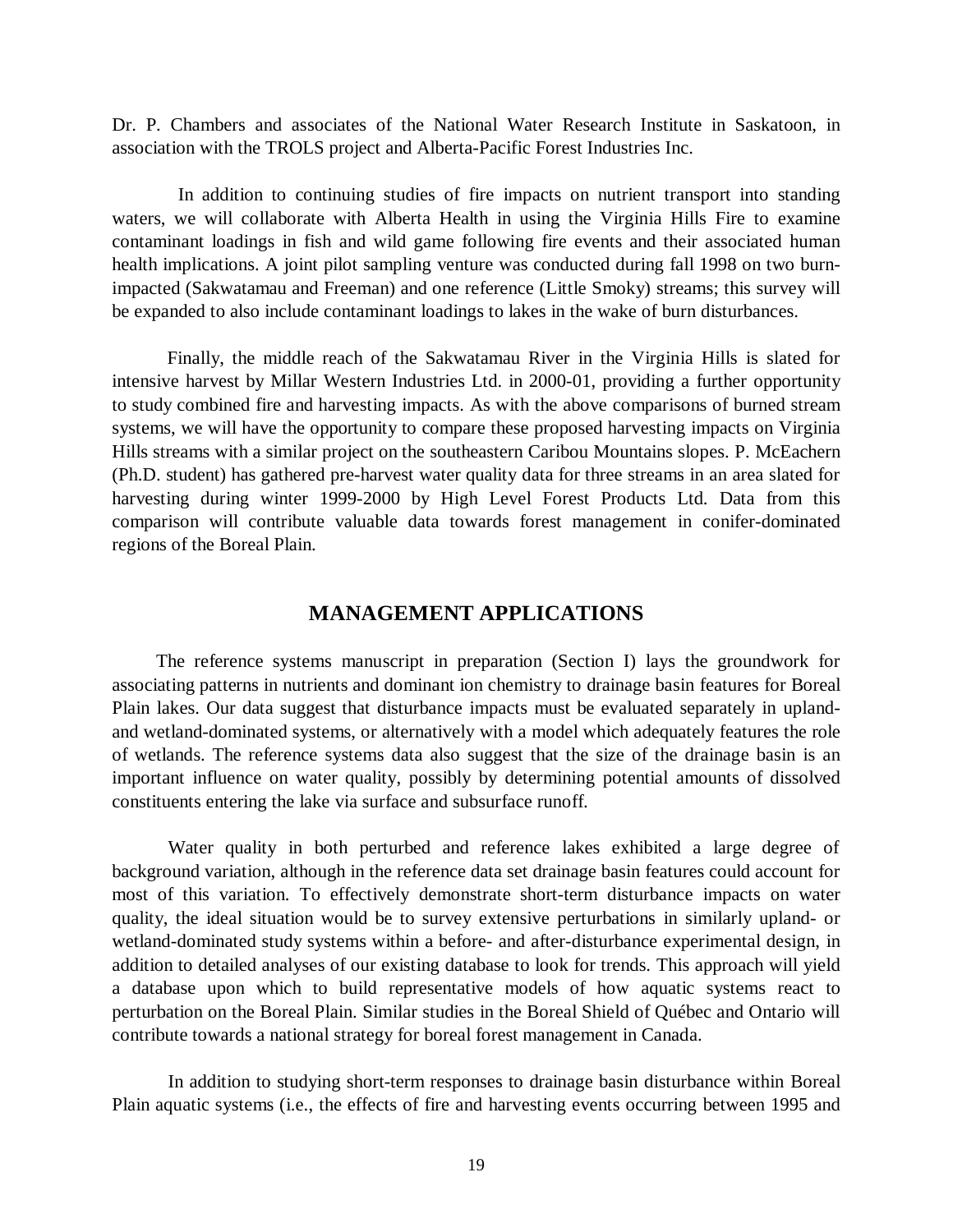Dr. P. Chambers and associates of the National Water Research Institute in Saskatoon, in association with the TROLS project and Alberta-Pacific Forest Industries Inc.

In addition to continuing studies of fire impacts on nutrient transport into standing waters, we will collaborate with Alberta Health in using the Virginia Hills Fire to examine contaminant loadings in fish and wild game following fire events and their associated human health implications. A joint pilot sampling venture was conducted during fall 1998 on two burnimpacted (Sakwatamau and Freeman) and one reference (Little Smoky) streams; this survey will be expanded to also include contaminant loadings to lakes in the wake of burn disturbances.

Finally, the middle reach of the Sakwatamau River in the Virginia Hills is slated for intensive harvest by Millar Western Industries Ltd. in 2000-01, providing a further opportunity to study combined fire and harvesting impacts. As with the above comparisons of burned stream systems, we will have the opportunity to compare these proposed harvesting impacts on Virginia Hills streams with a similar project on the southeastern Caribou Mountains slopes. P. McEachern (Ph.D. student) has gathered pre-harvest water quality data for three streams in an area slated for harvesting during winter 1999-2000 by High Level Forest Products Ltd. Data from this comparison will contribute valuable data towards forest management in conifer-dominated regions of the Boreal Plain.

# **MANAGEMENT APPLICATIONS**

The reference systems manuscript in preparation (Section I) lays the groundwork for associating patterns in nutrients and dominant ion chemistry to drainage basin features for Boreal Plain lakes. Our data suggest that disturbance impacts must be evaluated separately in uplandand wetland-dominated systems, or alternatively with a model which adequately features the role of wetlands. The reference systems data also suggest that the size of the drainage basin is an important influence on water quality, possibly by determining potential amounts of dissolved constituents entering the lake via surface and subsurface runoff.

Water quality in both perturbed and reference lakes exhibited a large degree of background variation, although in the reference data set drainage basin features could account for most of this variation. To effectively demonstrate short-term disturbance impacts on water quality, the ideal situation would be to survey extensive perturbations in similarly upland- or wetland-dominated study systems within a before- and after-disturbance experimental design, in addition to detailed analyses of our existing database to look for trends. This approach will yield a database upon which to build representative models of how aquatic systems react to perturbation on the Boreal Plain. Similar studies in the Boreal Shield of Québec and Ontario will contribute towards a national strategy for boreal forest management in Canada.

In addition to studying short-term responses to drainage basin disturbance within Boreal Plain aquatic systems (i.e., the effects of fire and harvesting events occurring between 1995 and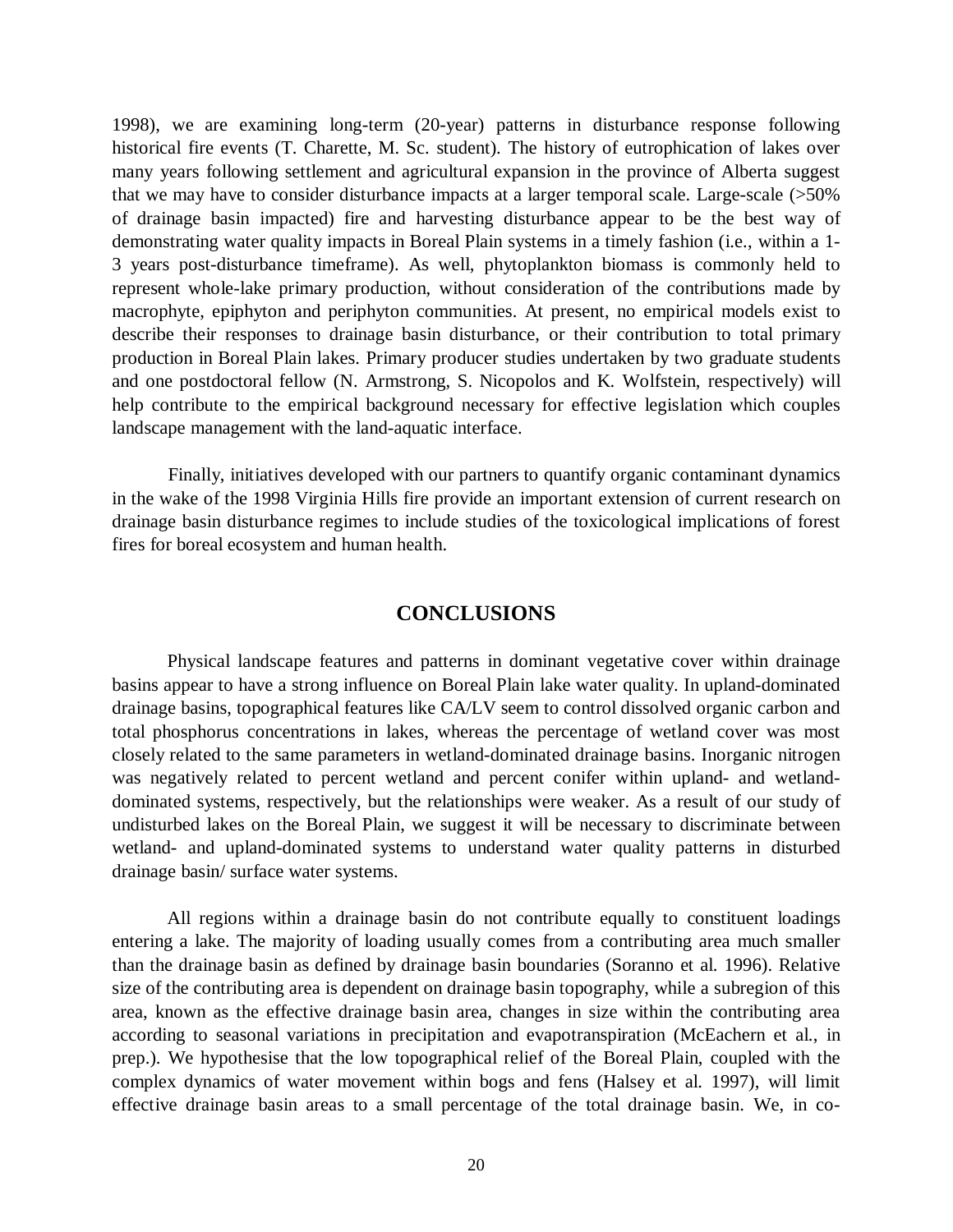1998), we are examining long-term (20-year) patterns in disturbance response following historical fire events (T. Charette, M. Sc. student). The history of eutrophication of lakes over many years following settlement and agricultural expansion in the province of Alberta suggest that we may have to consider disturbance impacts at a larger temporal scale. Large-scale (>50% of drainage basin impacted) fire and harvesting disturbance appear to be the best way of demonstrating water quality impacts in Boreal Plain systems in a timely fashion (i.e., within a 1- 3 years post-disturbance timeframe). As well, phytoplankton biomass is commonly held to represent whole-lake primary production, without consideration of the contributions made by macrophyte, epiphyton and periphyton communities. At present, no empirical models exist to describe their responses to drainage basin disturbance, or their contribution to total primary production in Boreal Plain lakes. Primary producer studies undertaken by two graduate students and one postdoctoral fellow (N. Armstrong, S. Nicopolos and K. Wolfstein, respectively) will help contribute to the empirical background necessary for effective legislation which couples landscape management with the land-aquatic interface.

Finally, initiatives developed with our partners to quantify organic contaminant dynamics in the wake of the 1998 Virginia Hills fire provide an important extension of current research on drainage basin disturbance regimes to include studies of the toxicological implications of forest fires for boreal ecosystem and human health.

# **CONCLUSIONS**

Physical landscape features and patterns in dominant vegetative cover within drainage basins appear to have a strong influence on Boreal Plain lake water quality. In upland-dominated drainage basins, topographical features like CA/LV seem to control dissolved organic carbon and total phosphorus concentrations in lakes, whereas the percentage of wetland cover was most closely related to the same parameters in wetland-dominated drainage basins. Inorganic nitrogen was negatively related to percent wetland and percent conifer within upland- and wetlanddominated systems, respectively, but the relationships were weaker. As a result of our study of undisturbed lakes on the Boreal Plain, we suggest it will be necessary to discriminate between wetland- and upland-dominated systems to understand water quality patterns in disturbed drainage basin/ surface water systems.

All regions within a drainage basin do not contribute equally to constituent loadings entering a lake. The majority of loading usually comes from a contributing area much smaller than the drainage basin as defined by drainage basin boundaries (Soranno et al. 1996). Relative size of the contributing area is dependent on drainage basin topography, while a subregion of this area, known as the effective drainage basin area, changes in size within the contributing area according to seasonal variations in precipitation and evapotranspiration (McEachern et al., in prep.). We hypothesise that the low topographical relief of the Boreal Plain, coupled with the complex dynamics of water movement within bogs and fens (Halsey et al. 1997), will limit effective drainage basin areas to a small percentage of the total drainage basin. We, in co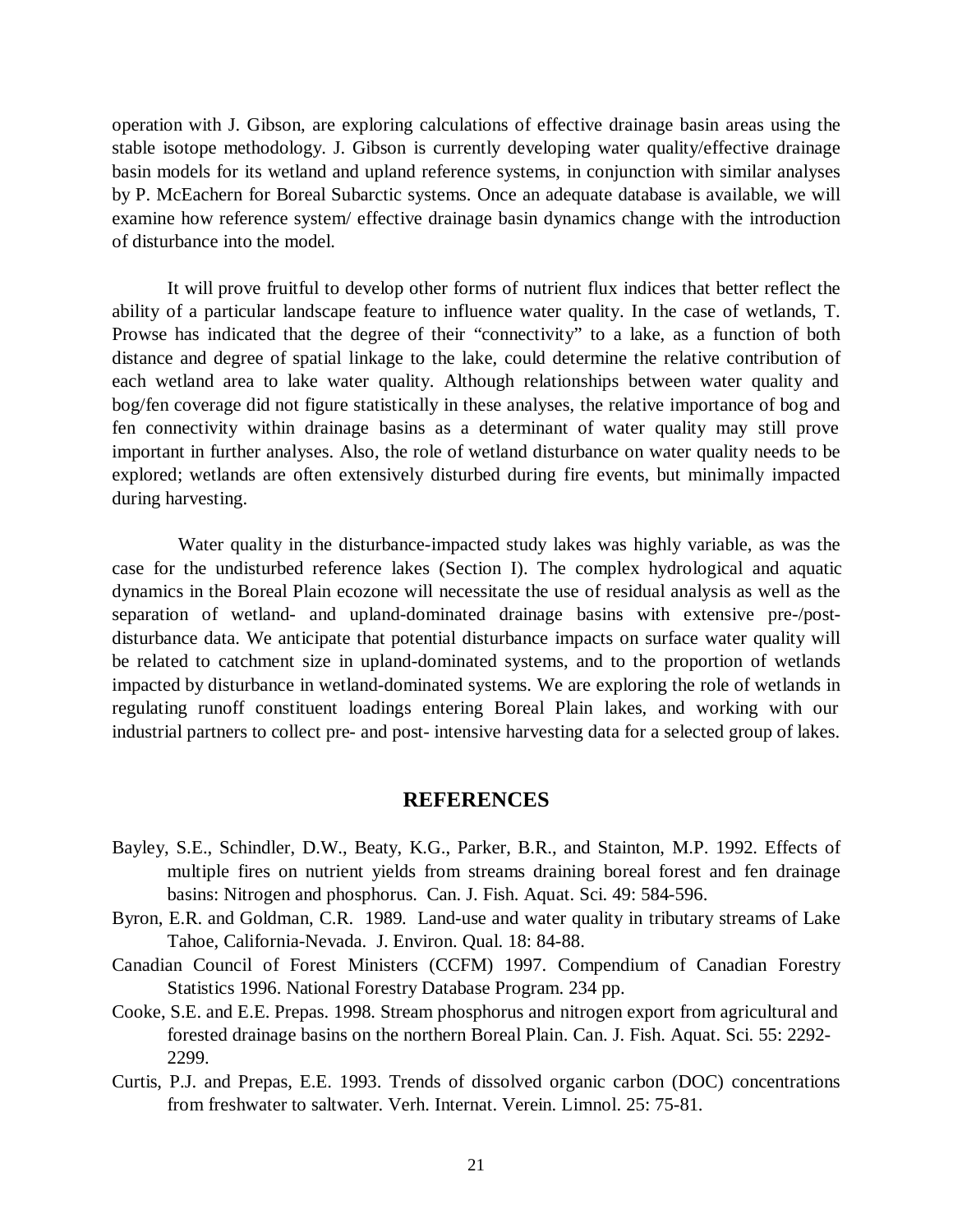operation with J. Gibson, are exploring calculations of effective drainage basin areas using the stable isotope methodology. J. Gibson is currently developing water quality/effective drainage basin models for its wetland and upland reference systems, in conjunction with similar analyses by P. McEachern for Boreal Subarctic systems. Once an adequate database is available, we will examine how reference system/ effective drainage basin dynamics change with the introduction of disturbance into the model.

It will prove fruitful to develop other forms of nutrient flux indices that better reflect the ability of a particular landscape feature to influence water quality. In the case of wetlands, T. Prowse has indicated that the degree of their "connectivity" to a lake, as a function of both distance and degree of spatial linkage to the lake, could determine the relative contribution of each wetland area to lake water quality. Although relationships between water quality and bog/fen coverage did not figure statistically in these analyses, the relative importance of bog and fen connectivity within drainage basins as a determinant of water quality may still prove important in further analyses. Also, the role of wetland disturbance on water quality needs to be explored; wetlands are often extensively disturbed during fire events, but minimally impacted during harvesting.

Water quality in the disturbance-impacted study lakes was highly variable, as was the case for the undisturbed reference lakes (Section I). The complex hydrological and aquatic dynamics in the Boreal Plain ecozone will necessitate the use of residual analysis as well as the separation of wetland- and upland-dominated drainage basins with extensive pre-/postdisturbance data. We anticipate that potential disturbance impacts on surface water quality will be related to catchment size in upland-dominated systems, and to the proportion of wetlands impacted by disturbance in wetland-dominated systems. We are exploring the role of wetlands in regulating runoff constituent loadings entering Boreal Plain lakes, and working with our industrial partners to collect pre- and post- intensive harvesting data for a selected group of lakes.

# **REFERENCES**

- Bayley, S.E., Schindler, D.W., Beaty, K.G., Parker, B.R., and Stainton, M.P. 1992. Effects of multiple fires on nutrient yields from streams draining boreal forest and fen drainage basins: Nitrogen and phosphorus. Can. J. Fish. Aquat. Sci. 49: 584-596.
- Byron, E.R. and Goldman, C.R. 1989. Land-use and water quality in tributary streams of Lake Tahoe, California-Nevada. J. Environ. Qual. 18: 84-88.
- Canadian Council of Forest Ministers (CCFM) 1997. Compendium of Canadian Forestry Statistics 1996. National Forestry Database Program. 234 pp.
- Cooke, S.E. and E.E. Prepas. 1998. Stream phosphorus and nitrogen export from agricultural and forested drainage basins on the northern Boreal Plain. Can. J. Fish. Aquat. Sci. 55: 2292- 2299.
- Curtis, P.J. and Prepas, E.E. 1993. Trends of dissolved organic carbon (DOC) concentrations from freshwater to saltwater. Verh. Internat. Verein. Limnol. 25: 75-81.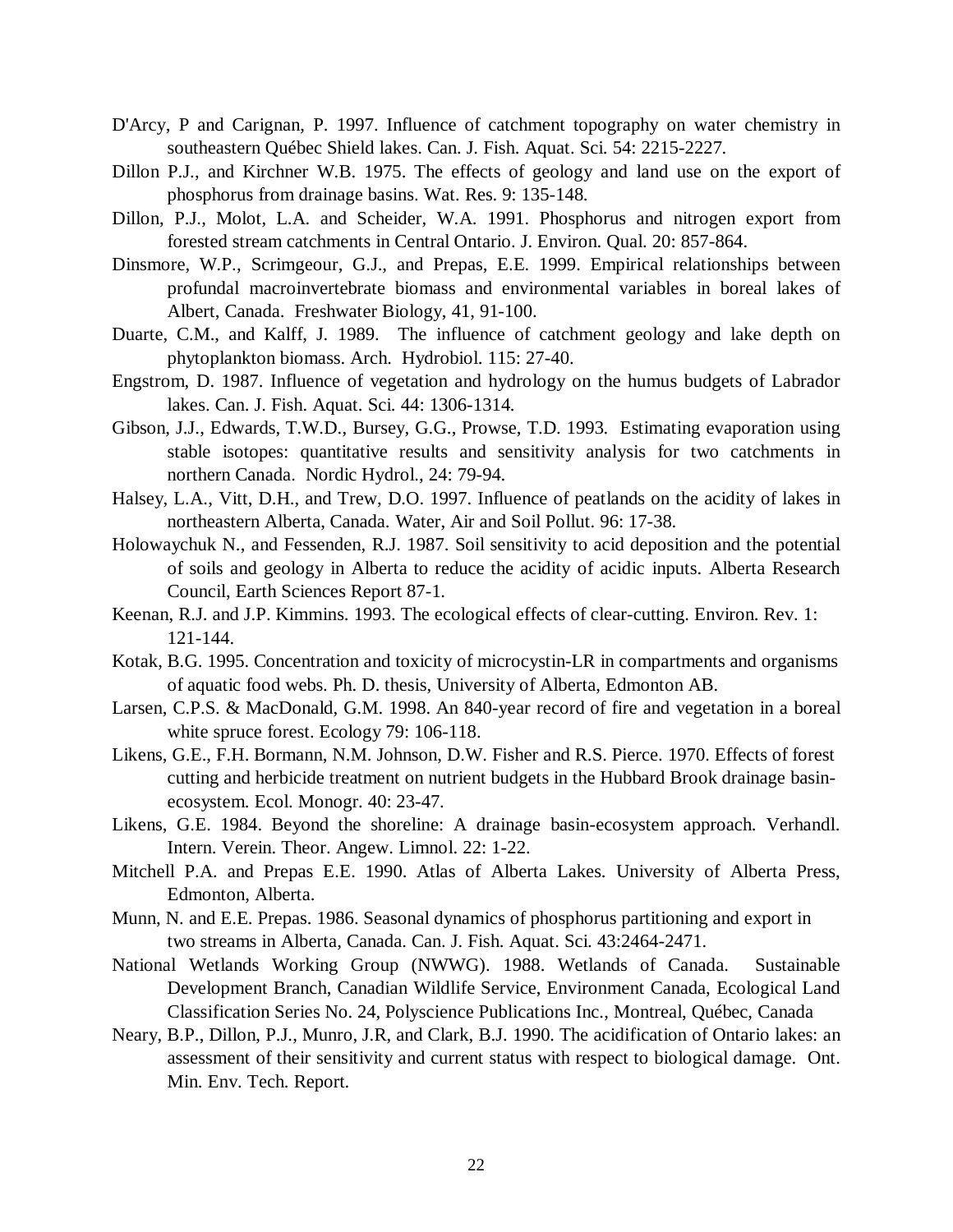- D'Arcy, P and Carignan, P. 1997. Influence of catchment topography on water chemistry in southeastern Québec Shield lakes. Can. J. Fish. Aquat. Sci. 54: 2215-2227.
- Dillon P.J., and Kirchner W.B. 1975. The effects of geology and land use on the export of phosphorus from drainage basins. Wat. Res. 9: 135-148.
- Dillon, P.J., Molot, L.A. and Scheider, W.A. 1991. Phosphorus and nitrogen export from forested stream catchments in Central Ontario. J. Environ. Qual. 20: 857-864.
- Dinsmore, W.P., Scrimgeour, G.J., and Prepas, E.E. 1999. Empirical relationships between profundal macroinvertebrate biomass and environmental variables in boreal lakes of Albert, Canada. Freshwater Biology, 41, 91-100.
- Duarte, C.M., and Kalff, J. 1989. The influence of catchment geology and lake depth on phytoplankton biomass. Arch. Hydrobiol. 115: 27-40.
- Engstrom, D. 1987. Influence of vegetation and hydrology on the humus budgets of Labrador lakes. Can. J. Fish. Aquat. Sci. 44: 1306-1314.
- Gibson, J.J., Edwards, T.W.D., Bursey, G.G., Prowse, T.D. 1993. Estimating evaporation using stable isotopes: quantitative results and sensitivity analysis for two catchments in northern Canada. Nordic Hydrol., 24: 79-94.
- Halsey, L.A., Vitt, D.H., and Trew, D.O. 1997. Influence of peatlands on the acidity of lakes in northeastern Alberta, Canada. Water, Air and Soil Pollut. 96: 17-38.
- Holowaychuk N., and Fessenden, R.J. 1987. Soil sensitivity to acid deposition and the potential of soils and geology in Alberta to reduce the acidity of acidic inputs. Alberta Research Council, Earth Sciences Report 87-1.
- Keenan, R.J. and J.P. Kimmins. 1993. The ecological effects of clear-cutting. Environ. Rev. 1: 121-144.
- Kotak, B.G. 1995. Concentration and toxicity of microcystin-LR in compartments and organisms of aquatic food webs. Ph. D. thesis, University of Alberta, Edmonton AB.
- Larsen, C.P.S. & MacDonald, G.M. 1998. An 840-year record of fire and vegetation in a boreal white spruce forest. Ecology 79: 106-118.
- Likens, G.E., F.H. Bormann, N.M. Johnson, D.W. Fisher and R.S. Pierce. 1970. Effects of forest cutting and herbicide treatment on nutrient budgets in the Hubbard Brook drainage basinecosystem. Ecol. Monogr. 40: 23-47.
- Likens, G.E. 1984. Beyond the shoreline: A drainage basin-ecosystem approach. Verhandl. Intern. Verein. Theor. Angew. Limnol. 22: 1-22.
- Mitchell P.A. and Prepas E.E. 1990. Atlas of Alberta Lakes. University of Alberta Press, Edmonton, Alberta.
- Munn, N. and E.E. Prepas. 1986. Seasonal dynamics of phosphorus partitioning and export in two streams in Alberta, Canada. Can. J. Fish. Aquat. Sci. 43:2464-2471.
- National Wetlands Working Group (NWWG). 1988. Wetlands of Canada. Sustainable Development Branch, Canadian Wildlife Service, Environment Canada, Ecological Land Classification Series No. 24, Polyscience Publications Inc., Montreal, Québec, Canada
- Neary, B.P., Dillon, P.J., Munro, J.R, and Clark, B.J. 1990. The acidification of Ontario lakes: an assessment of their sensitivity and current status with respect to biological damage. Ont. Min. Env. Tech. Report.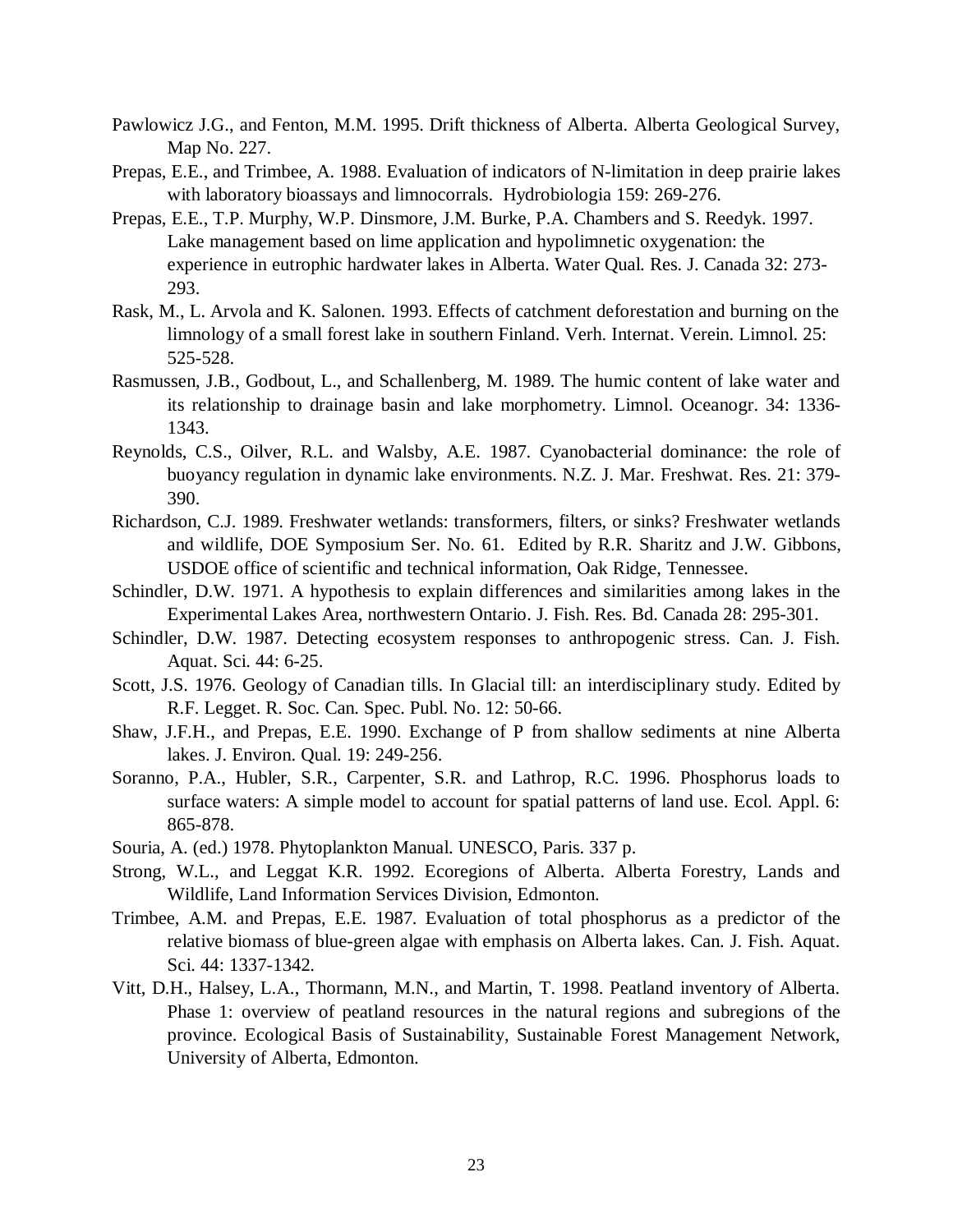- Pawlowicz J.G., and Fenton, M.M. 1995. Drift thickness of Alberta. Alberta Geological Survey, Map No. 227.
- Prepas, E.E., and Trimbee, A. 1988. Evaluation of indicators of N-limitation in deep prairie lakes with laboratory bioassays and limnocorrals. Hydrobiologia 159: 269-276.
- Prepas, E.E., T.P. Murphy, W.P. Dinsmore, J.M. Burke, P.A. Chambers and S. Reedyk. 1997. Lake management based on lime application and hypolimnetic oxygenation: the experience in eutrophic hardwater lakes in Alberta. Water Qual. Res. J. Canada 32: 273- 293.
- Rask, M., L. Arvola and K. Salonen. 1993. Effects of catchment deforestation and burning on the limnology of a small forest lake in southern Finland. Verh. Internat. Verein. Limnol. 25: 525-528.
- Rasmussen, J.B., Godbout, L., and Schallenberg, M. 1989. The humic content of lake water and its relationship to drainage basin and lake morphometry. Limnol. Oceanogr. 34: 1336- 1343.
- Reynolds, C.S., Oilver, R.L. and Walsby, A.E. 1987. Cyanobacterial dominance: the role of buoyancy regulation in dynamic lake environments. N.Z. J. Mar. Freshwat. Res. 21: 379- 390.
- Richardson, C.J. 1989. Freshwater wetlands: transformers, filters, or sinks? Freshwater wetlands and wildlife, DOE Symposium Ser. No. 61. Edited by R.R. Sharitz and J.W. Gibbons, USDOE office of scientific and technical information, Oak Ridge, Tennessee.
- Schindler, D.W. 1971. A hypothesis to explain differences and similarities among lakes in the Experimental Lakes Area, northwestern Ontario. J. Fish. Res. Bd. Canada 28: 295-301.
- Schindler, D.W. 1987. Detecting ecosystem responses to anthropogenic stress. Can. J. Fish. Aquat. Sci. 44: 6-25.
- Scott, J.S. 1976. Geology of Canadian tills. In Glacial till: an interdisciplinary study. Edited by R.F. Legget. R. Soc. Can. Spec. Publ. No. 12: 50-66.
- Shaw, J.F.H., and Prepas, E.E. 1990. Exchange of P from shallow sediments at nine Alberta lakes. J. Environ. Qual. 19: 249-256.
- Soranno, P.A., Hubler, S.R., Carpenter, S.R. and Lathrop, R.C. 1996. Phosphorus loads to surface waters: A simple model to account for spatial patterns of land use. Ecol. Appl. 6: 865-878.
- Souria, A. (ed.) 1978. Phytoplankton Manual. UNESCO, Paris. 337 p.
- Strong, W.L., and Leggat K.R. 1992. Ecoregions of Alberta. Alberta Forestry, Lands and Wildlife, Land Information Services Division, Edmonton.
- Trimbee, A.M. and Prepas, E.E. 1987. Evaluation of total phosphorus as a predictor of the relative biomass of blue-green algae with emphasis on Alberta lakes. Can. J. Fish. Aquat. Sci. 44: 1337-1342.
- Vitt, D.H., Halsey, L.A., Thormann, M.N., and Martin, T. 1998. Peatland inventory of Alberta. Phase 1: overview of peatland resources in the natural regions and subregions of the province. Ecological Basis of Sustainability, Sustainable Forest Management Network, University of Alberta, Edmonton.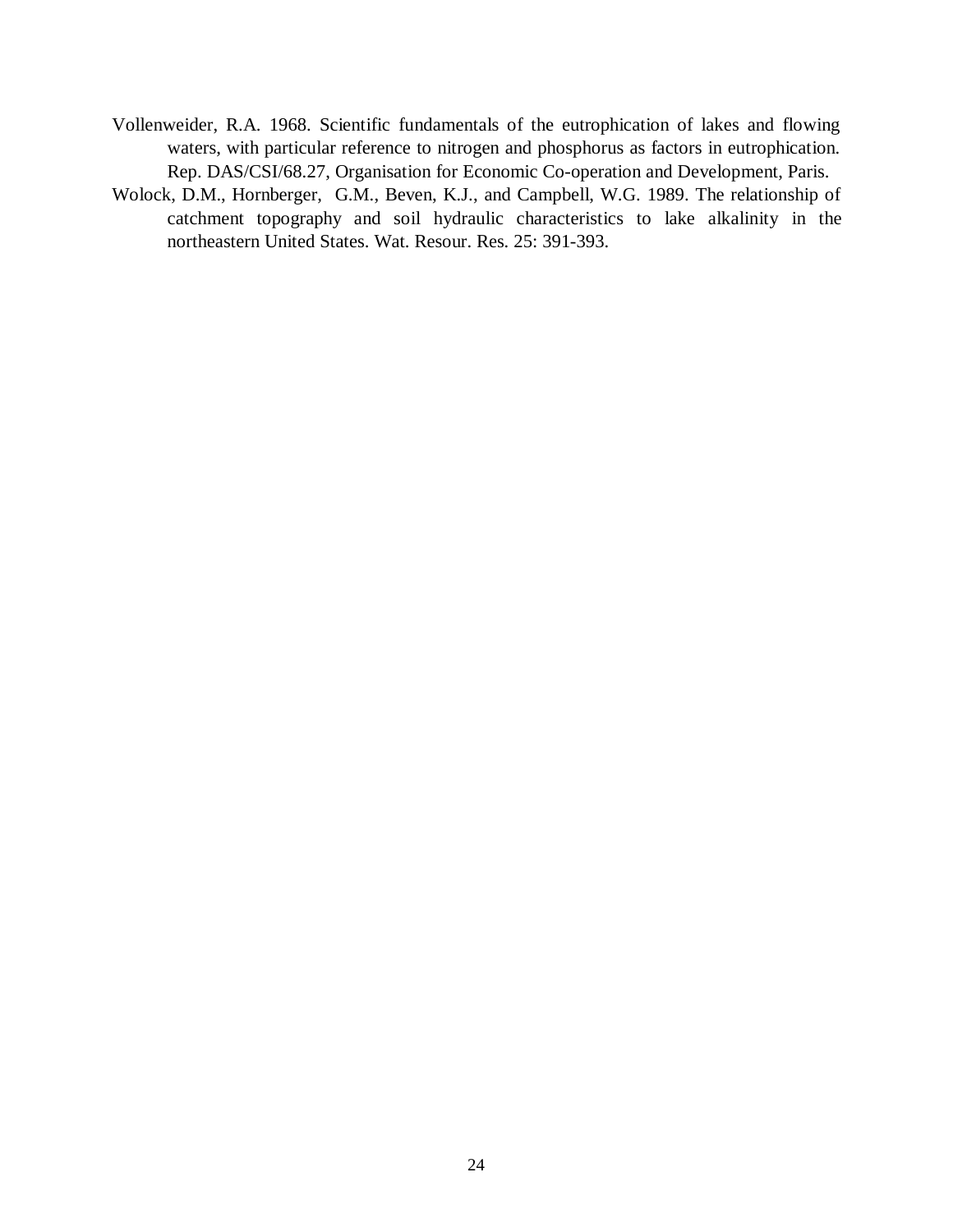- Vollenweider, R.A. 1968. Scientific fundamentals of the eutrophication of lakes and flowing waters, with particular reference to nitrogen and phosphorus as factors in eutrophication. Rep. DAS/CSI/68.27, Organisation for Economic Co-operation and Development, Paris.
- Wolock, D.M., Hornberger, G.M., Beven, K.J., and Campbell, W.G. 1989. The relationship of catchment topography and soil hydraulic characteristics to lake alkalinity in the northeastern United States. Wat. Resour. Res. 25: 391-393.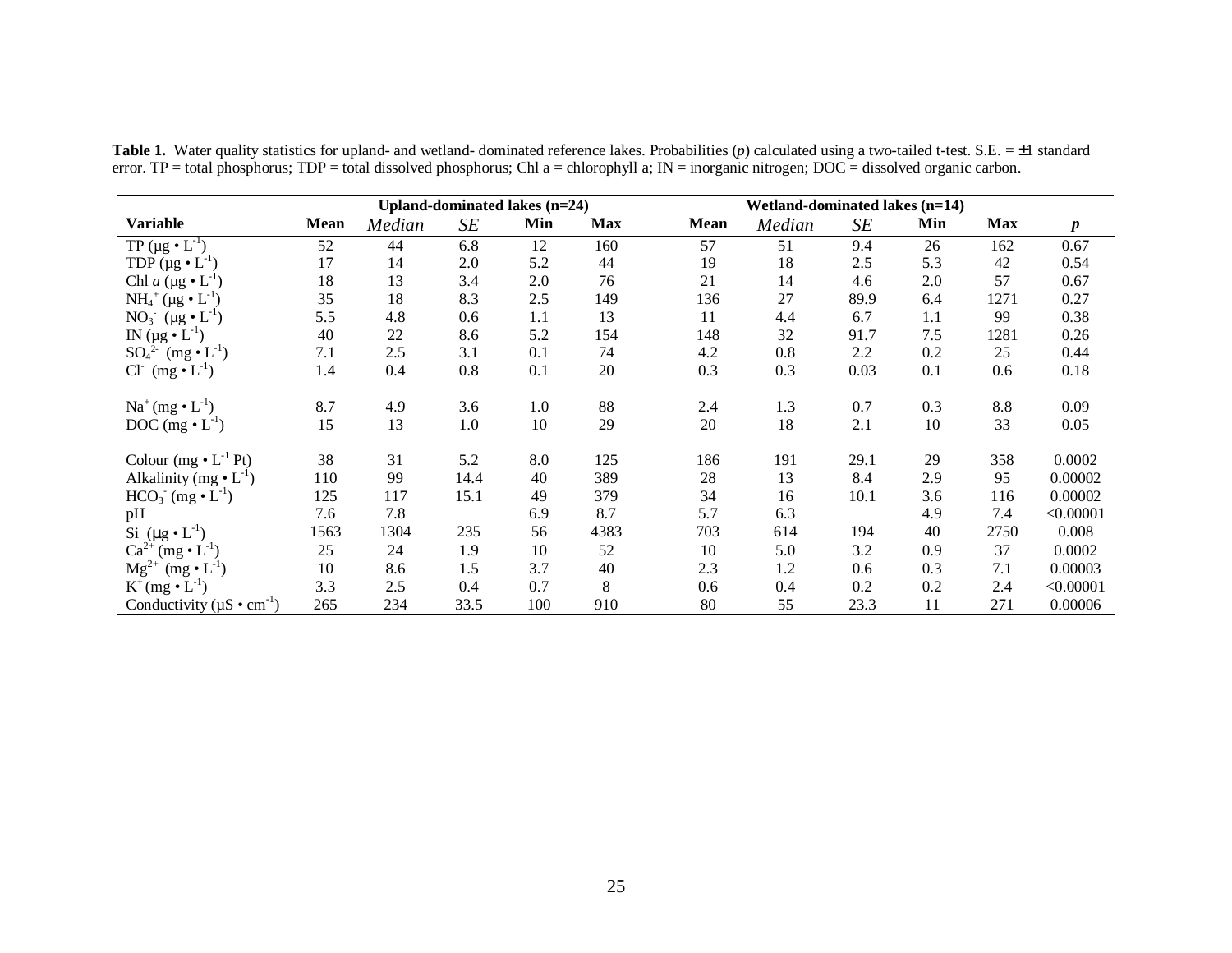|                                                                                             |             |        |      | Upland-dominated lakes (n=24) |            |      | Wetland-dominated lakes (n=14) |      |     |            |                  |
|---------------------------------------------------------------------------------------------|-------------|--------|------|-------------------------------|------------|------|--------------------------------|------|-----|------------|------------------|
| <b>Variable</b>                                                                             | <b>Mean</b> | Median | SE   | Min                           | <b>Max</b> | Mean | Median                         | SE   | Min | <b>Max</b> | $\boldsymbol{p}$ |
| TP ( $\mu$ g • $L^{-1}$ )                                                                   | 52          | 44     | 6.8  | 12                            | 160        | 57   | 51                             | 9.4  | 26  | 162        | 0.67             |
| TDP $(\mu g \cdot L^{-1})$                                                                  | 17          | 14     | 2.0  | 5.2                           | 44         | 19   | 18                             | 2.5  | 5.3 | 42         | 0.54             |
| Chl a ( $\mu$ g • $L^{-1}$ )                                                                | 18          | 13     | 3.4  | 2.0                           | 76         | 21   | 14                             | 4.6  | 2.0 | 57         | 0.67             |
| $NH_4^+(\mu g \bullet L^{-1})$                                                              | 35          | 18     | 8.3  | 2.5                           | 149        | 136  | 27                             | 89.9 | 6.4 | 1271       | 0.27             |
| NO <sub>3</sub> ( $\mu$ g • L <sup>-1</sup> )                                               | 5.5         | 4.8    | 0.6  | 1.1                           | 13         | 11   | 4.4                            | 6.7  | 1.1 | 99         | 0.38             |
| IN $(\mu g \bullet L^{-1})$                                                                 | 40          | 22     | 8.6  | 5.2                           | 154        | 148  | 32                             | 91.7 | 7.5 | 1281       | 0.26             |
| $SO_4^2$ (mg $\cdot L^{-1}$ )                                                               | 7.1         | 2.5    | 3.1  | 0.1                           | 74         | 4.2  | 0.8                            | 2.2  | 0.2 | 25         | 0.44             |
| $Cl^-(mg \cdot L^{-1})$                                                                     | 1.4         | 0.4    | 0.8  | 0.1                           | 20         | 0.3  | 0.3                            | 0.03 | 0.1 | 0.6        | 0.18             |
| $\mathrm{Na}^{\scriptscriptstyle +}(\mathrm{mg}\bullet \mathrm{L}^{\scriptscriptstyle -1})$ | 8.7         | 4.9    | 3.6  | $1.0\,$                       | 88         | 2.4  | 1.3                            | 0.7  | 0.3 | 8.8        | 0.09             |
| DOC $(mg \cdot L^{-1})$                                                                     | 15          | 13     | 1.0  | 10                            | 29         | 20   | 18                             | 2.1  | 10  | 33         | 0.05             |
| Colour $(mg \cdot L^{-1} Pt)$                                                               | 38          | 31     | 5.2  | 8.0                           | 125        | 186  | 191                            | 29.1 | 29  | 358        | 0.0002           |
| Alkalinity (mg $\bullet$ L <sup>-1</sup> )                                                  | 110         | 99     | 14.4 | 40                            | 389        | 28   | 13                             | 8.4  | 2.9 | 95         | 0.00002          |
| $HCO3- (mg • L-1)$                                                                          | 125         | 117    | 15.1 | 49                            | 379        | 34   | 16                             | 10.1 | 3.6 | 116        | 0.00002          |
| pH                                                                                          | 7.6         | 7.8    |      | 6.9                           | 8.7        | 5.7  | 6.3                            |      | 4.9 | 7.4        | < 0.00001        |
| Si $(\mu g \cdot L^{-1})$                                                                   | 1563        | 1304   | 235  | 56                            | 4383       | 703  | 614                            | 194  | 40  | 2750       | 0.008            |
| $Ca^{2+}$ (mg $\bullet$ L <sup>-1</sup> )                                                   | 25          | 24     | 1.9  | 10                            | 52         | 10   | 5.0                            | 3.2  | 0.9 | 37         | 0.0002           |
| $Mg^{2+}$ (mg $\bullet$ L <sup>-1</sup> )                                                   | 10          | 8.6    | 1.5  | 3.7                           | 40         | 2.3  | 1.2                            | 0.6  | 0.3 | 7.1        | 0.00003          |
| $K^+(mg \cdot L^{-1})$                                                                      | 3.3         | 2.5    | 0.4  | 0.7                           | 8          | 0.6  | 0.4                            | 0.2  | 0.2 | 2.4        | < 0.00001        |
| Conductivity ( $\mu$ S • cm <sup>-1</sup> )                                                 | 265         | 234    | 33.5 | 100                           | 910        | 80   | 55                             | 23.3 | 11  | 271        | 0.00006          |

**Table 1.** Water quality statistics for upland- and wetland- dominated reference lakes. Probabilities (*p*) calculated using a two-tailed t-test. S.E. = ±1 standard error. TP = total phosphorus; TDP = total dissolved phosphorus; Chl a = chlorophyll a; IN = inorganic nitrogen; DOC = dissolved organic carbon.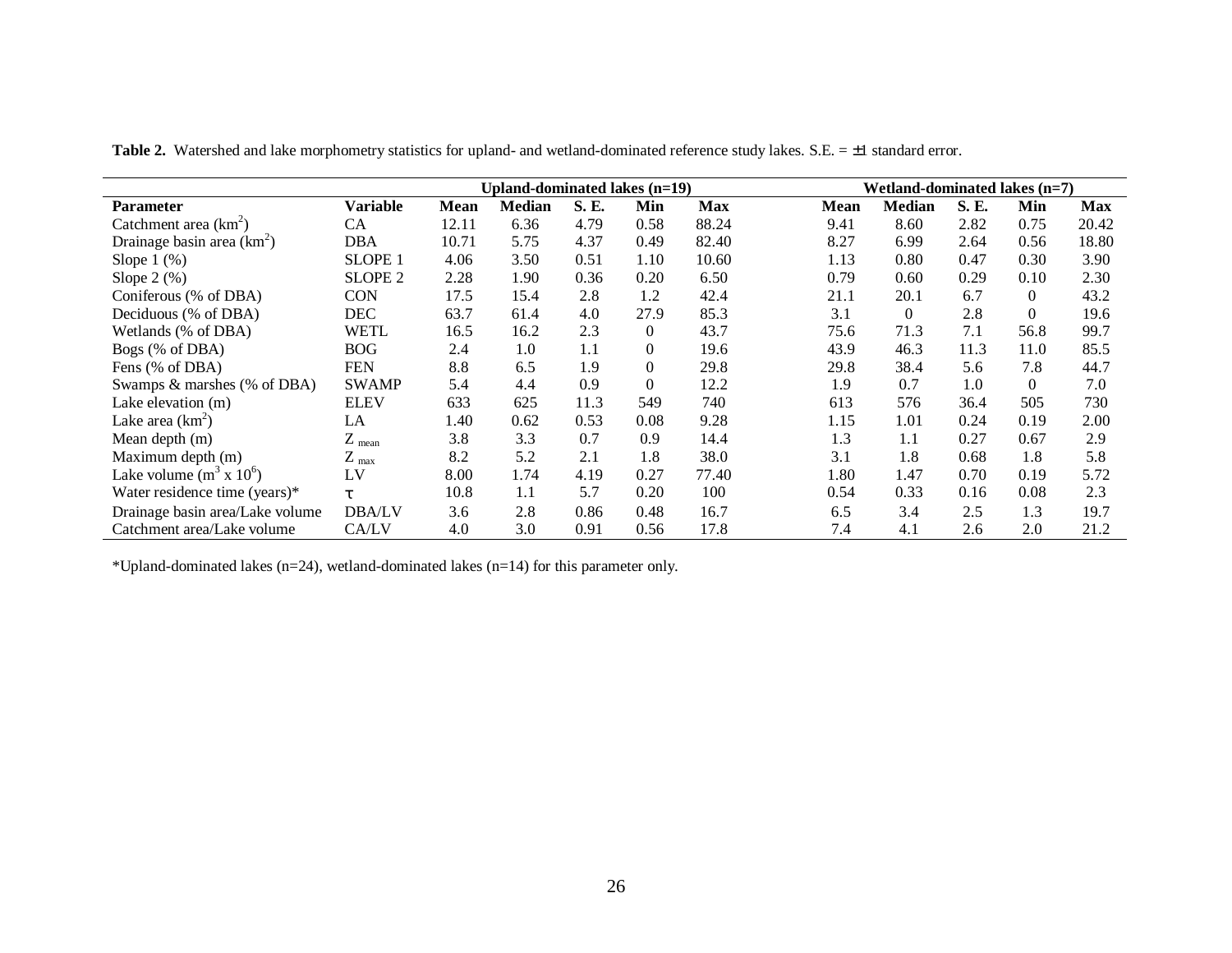|                                   |                    |             | Upland-dominated lakes (n=19) |       |                |            |             | Wetland-dominated lakes $(n=7)$ |       |                |            |
|-----------------------------------|--------------------|-------------|-------------------------------|-------|----------------|------------|-------------|---------------------------------|-------|----------------|------------|
| <b>Parameter</b>                  | <b>Variable</b>    | <b>Mean</b> | <b>Median</b>                 | S. E. | Min            | <b>Max</b> | <b>Mean</b> | <b>Median</b>                   | S. E. | Min            | <b>Max</b> |
| Catchment area $(km^2)$           | <b>CA</b>          | 12.11       | 6.36                          | 4.79  | 0.58           | 88.24      | 9.41        | 8.60                            | 2.82  | 0.75           | 20.42      |
| Drainage basin area $(km^2)$      | DBA                | 10.71       | 5.75                          | 4.37  | 0.49           | 82.40      | 8.27        | 6.99                            | 2.64  | 0.56           | 18.80      |
| Slope $1$ $(\%)$                  | SLOPE <sub>1</sub> | 4.06        | 3.50                          | 0.51  | 1.10           | 10.60      | 1.13        | 0.80                            | 0.47  | 0.30           | 3.90       |
| Slope $2\left(\frac{9}{6}\right)$ | SLOPE <sub>2</sub> | 2.28        | 1.90                          | 0.36  | 0.20           | 6.50       | 0.79        | 0.60                            | 0.29  | 0.10           | 2.30       |
| Coniferous (% of DBA)             | <b>CON</b>         | 17.5        | 15.4                          | 2.8   | 1.2            | 42.4       | 21.1        | 20.1                            | 6.7   | $\overline{0}$ | 43.2       |
| Deciduous (% of DBA)              | DEC                | 63.7        | 61.4                          | 4.0   | 27.9           | 85.3       | 3.1         | $\Omega$                        | 2.8   | $\Omega$       | 19.6       |
| Wetlands (% of DBA)               | WETL               | 16.5        | 16.2                          | 2.3   | $\overline{0}$ | 43.7       | 75.6        | 71.3                            | 7.1   | 56.8           | 99.7       |
| Bogs (% of DBA)                   | <b>BOG</b>         | 2.4         | 1.0                           | 1.1   | $\Omega$       | 19.6       | 43.9        | 46.3                            | 11.3  | 11.0           | 85.5       |
| Fens (% of DBA)                   | <b>FEN</b>         | 8.8         | 6.5                           | 1.9   | $\Omega$       | 29.8       | 29.8        | 38.4                            | 5.6   | 7.8            | 44.7       |
| Swamps & marshes (% of DBA)       | <b>SWAMP</b>       | 5.4         | 4.4                           | 0.9   | $\Omega$       | 12.2       | 1.9         | 0.7                             | 1.0   | $\theta$       | 7.0        |
| Lake elevation (m)                | <b>ELEV</b>        | 633         | 625                           | 11.3  | 549            | 740        | 613         | 576                             | 36.4  | 505            | 730        |
| Lake area $(km^2)$                | LA                 | 1.40        | 0.62                          | 0.53  | 0.08           | 9.28       | 1.15        | 1.01                            | 0.24  | 0.19           | 2.00       |
| Mean depth $(m)$                  | $Z_{mean}$         | 3.8         | 3.3                           | 0.7   | 0.9            | 14.4       | 1.3         | 1.1                             | 0.27  | 0.67           | 2.9        |
| Maximum depth (m)                 | $Z_{\text{ max}}$  | 8.2         | 5.2                           | 2.1   | 1.8            | 38.0       | 3.1         | 1.8                             | 0.68  | 1.8            | 5.8        |
| Lake volume $(m^3 \times 10^6)$   | LV                 | 8.00        | 1.74                          | 4.19  | 0.27           | 77.40      | 1.80        | 1.47                            | 0.70  | 0.19           | 5.72       |
| Water residence time (years)*     | $\tau$             | 10.8        | 1.1                           | 5.7   | 0.20           | 100        | 0.54        | 0.33                            | 0.16  | 0.08           | 2.3        |
| Drainage basin area/Lake volume   | <b>DBA/LV</b>      | 3.6         | 2.8                           | 0.86  | 0.48           | 16.7       | 6.5         | 3.4                             | 2.5   | 1.3            | 19.7       |
| Catchment area/Lake volume        | CA/LV              | 4.0         | 3.0                           | 0.91  | 0.56           | 17.8       | 7.4         | 4.1                             | 2.6   | 2.0            | 21.2       |

Table 2. Watershed and lake morphometry statistics for upland- and wetland-dominated reference study lakes. S.E. = ±1 standard error.

\*Upland-dominated lakes (n=24), wetland-dominated lakes (n=14) for this parameter only.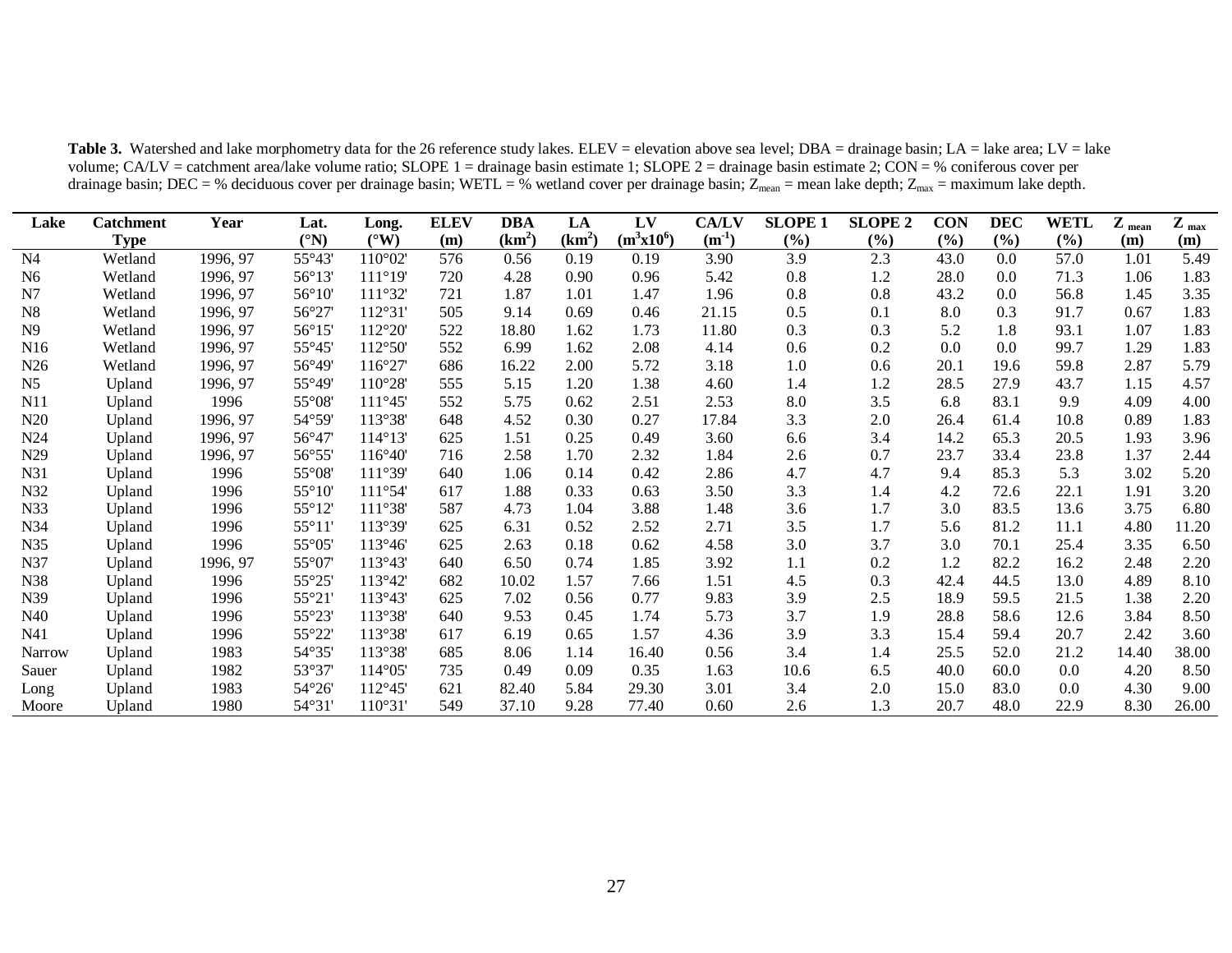| Lake            | <b>Catchment</b> | Year     | Lat.                  | Long.            | <b>ELEV</b> | DBA      | LA       | LV           | <b>CA/LV</b> | <b>SLOPE 1</b> | <b>SLOPE 2</b> | <b>CON</b> | <b>DEC</b> | WETL | $\mathbf{Z}$ mean | $Z_{\text{max}}$ |
|-----------------|------------------|----------|-----------------------|------------------|-------------|----------|----------|--------------|--------------|----------------|----------------|------------|------------|------|-------------------|------------------|
|                 | <b>Type</b>      |          | $({}^{\circ}{\rm N})$ | $(^{\circ}W)$    | (m)         | $(km^2)$ | $(km^2)$ | $(m^3x10^6)$ | $(m^{-1})$   | (%)            | (%)            | (%)        | (%)        | (%)  | (m)               | (m)              |
| N <sub>4</sub>  | Wetland          | 1996, 97 | 55°43'                | 110°02'          | 576         | 0.56     | 0.19     | 0.19         | 3.90         | 3.9            | 2.3            | 43.0       | 0.0        | 57.0 | 1.01              | 5.49             |
| N <sub>6</sub>  | Wetland          | 1996, 97 | 56°13'                | 111°19'          | 720         | 4.28     | 0.90     | 0.96         | 5.42         | 0.8            | 1.2            | 28.0       | 0.0        | 71.3 | 1.06              | 1.83             |
| N7              | Wetland          | 1996, 97 | $56^{\circ}10'$       | 111°32           | 721         | 1.87     | 1.01     | 1.47         | 1.96         | 0.8            | 0.8            | 43.2       | 0.0        | 56.8 | 1.45              | 3.35             |
| N <sub>8</sub>  | Wetland          | 1996, 97 | 56°27                 | 112°31           | 505         | 9.14     | 0.69     | 0.46         | 21.15        | 0.5            | 0.1            | 8.0        | 0.3        | 91.7 | 0.67              | 1.83             |
| N <sub>9</sub>  | Wetland          | 1996, 97 | $56^{\circ}15'$       | 112°20'          | 522         | 18.80    | 1.62     | 1.73         | 11.80        | 0.3            | 0.3            | 5.2        | 1.8        | 93.1 | 1.07              | 1.83             |
| N <sub>16</sub> | Wetland          | 1996, 97 | $55^{\circ}45$        | 112°50'          | 552         | 6.99     | 1.62     | 2.08         | 4.14         | 0.6            | 0.2            | 0.0        | 0.0        | 99.7 | 1.29              | 1.83             |
| N <sub>26</sub> | Wetland          | 1996, 97 | 56°49'                | $116^{\circ}27$  | 686         | 16.22    | 2.00     | 5.72         | 3.18         | 1.0            | 0.6            | 20.1       | 19.6       | 59.8 | 2.87              | 5.79             |
| N <sub>5</sub>  | Upland           | 1996, 97 | $55^{\circ}49'$       | $110^{\circ}28'$ | 555         | 5.15     | 1.20     | 1.38         | 4.60         | 1.4            | 1.2            | 28.5       | 27.9       | 43.7 | 1.15              | 4.57             |
| N11             | Upland           | 1996     | $55^{\circ}08'$       | 111°45           | 552         | 5.75     | 0.62     | 2.51         | 2.53         | 8.0            | 3.5            | 6.8        | 83.1       | 9.9  | 4.09              | 4.00             |
| N20             | Upland           | 1996, 97 | $54^{\circ}59'$       | 113°38'          | 648         | 4.52     | 0.30     | 0.27         | 17.84        | 3.3            | 2.0            | 26.4       | 61.4       | 10.8 | 0.89              | 1.83             |
| N <sub>24</sub> | Upland           | 1996, 97 | $56^{\circ}47$        | 114°13'          | 625         | 1.51     | 0.25     | 0.49         | 3.60         | 6.6            | 3.4            | 14.2       | 65.3       | 20.5 | 1.93              | 3.96             |
| N <sub>29</sub> | Upland           | 1996, 97 | 56°55                 | 116°40'          | 716         | 2.58     | 1.70     | 2.32         | 1.84         | 2.6            | 0.7            | 23.7       | 33.4       | 23.8 | 1.37              | 2.44             |
| N31             | Upland           | 1996     | $55^{\circ}08'$       | 111°39'          | 640         | 1.06     | 0.14     | 0.42         | 2.86         | 4.7            | 4.7            | 9.4        | 85.3       | 5.3  | 3.02              | 5.20             |
| N32             | Upland           | 1996     | $55^{\circ}10'$       | 111°54'          | 617         | 1.88     | 0.33     | 0.63         | 3.50         | 3.3            | 1.4            | 4.2        | 72.6       | 22.1 | 1.91              | 3.20             |
| N33             | Upland           | 1996     | $55^{\circ}12$        | 111°38'          | 587         | 4.73     | 1.04     | 3.88         | 1.48         | 3.6            | 1.7            | 3.0        | 83.5       | 13.6 | 3.75              | 6.80             |
| N34             | Upland           | 1996     | $55^{\circ}11$        | 113°39'          | 625         | 6.31     | 0.52     | 2.52         | 2.71         | 3.5            | 1.7            | 5.6        | 81.2       | 11.1 | 4.80              | 11.20            |
| N35             | Upland           | 1996     | $55^{\circ}05$        | 113°46'          | 625         | 2.63     | 0.18     | 0.62         | 4.58         | 3.0            | 3.7            | 3.0        | 70.1       | 25.4 | 3.35              | 6.50             |
| N37             | Upland           | 1996, 97 | $55^{\circ}07$        | 113°43'          | 640         | 6.50     | 0.74     | 1.85         | 3.92         | 1.1            | 0.2            | 1.2        | 82.2       | 16.2 | 2.48              | 2.20             |
| N38             | Upland           | 1996     | 55°25                 | 113°42'          | 682         | 10.02    | 1.57     | 7.66         | 1.51         | 4.5            | 0.3            | 42.4       | 44.5       | 13.0 | 4.89              | 8.10             |
| N39             | Upland           | 1996     | 55°21'                | 113°43'          | 625         | 7.02     | 0.56     | 0.77         | 9.83         | 3.9            | 2.5            | 18.9       | 59.5       | 21.5 | 1.38              | 2.20             |
| N40             | Upland           | 1996     | 55°23'                | 113°38'          | 640         | 9.53     | 0.45     | 1.74         | 5.73         | 3.7            | 1.9            | 28.8       | 58.6       | 12.6 | 3.84              | 8.50             |
| N41             | Upland           | 1996     | 55°22'                | 113°38'          | 617         | 6.19     | 0.65     | 1.57         | 4.36         | 3.9            | 3.3            | 15.4       | 59.4       | 20.7 | 2.42              | 3.60             |
| <b>Narrow</b>   | Upland           | 1983     | 54°35'                | 113°38'          | 685         | 8.06     | 1.14     | 16.40        | 0.56         | 3.4            | 1.4            | 25.5       | 52.0       | 21.2 | 14.40             | 38.00            |
| Sauer           | Upland           | 1982     | 53°37'                | $114^{\circ}05$  | 735         | 0.49     | 0.09     | 0.35         | 1.63         | 10.6           | 6.5            | 40.0       | 60.0       | 0.0  | 4.20              | 8.50             |
| Long            | Upland           | 1983     | $54^{\circ}26$        | 112°45           | 621         | 82.40    | 5.84     | 29.30        | 3.01         | 3.4            | 2.0            | 15.0       | 83.0       | 0.0  | 4.30              | 9.00             |
| Moore           | Upland           | 1980     | 54°31'                | 110°31           | 549         | 37.10    | 9.28     | 77.40        | 0.60         | 2.6            | 1.3            | 20.7       | 48.0       | 22.9 | 8.30              | 26.00            |

Table 3. Watershed and lake morphometry data for the 26 reference study lakes. ELEV = elevation above sea level; DBA = drainage basin; LA = lake area; LV = lake volume; CA/LV = catchment area/lake volume ratio; SLOPE 1 = drainage basin estimate 1; SLOPE 2 = drainage basin estimate 2; CON = % coniferous cover per drainage basin; DEC = % deciduous cover per drainage basin; WETL = % wetland cover per drainage basin; Z<sub>mean</sub> = mean lake depth; Z<sub>max</sub> = maximum lake depth.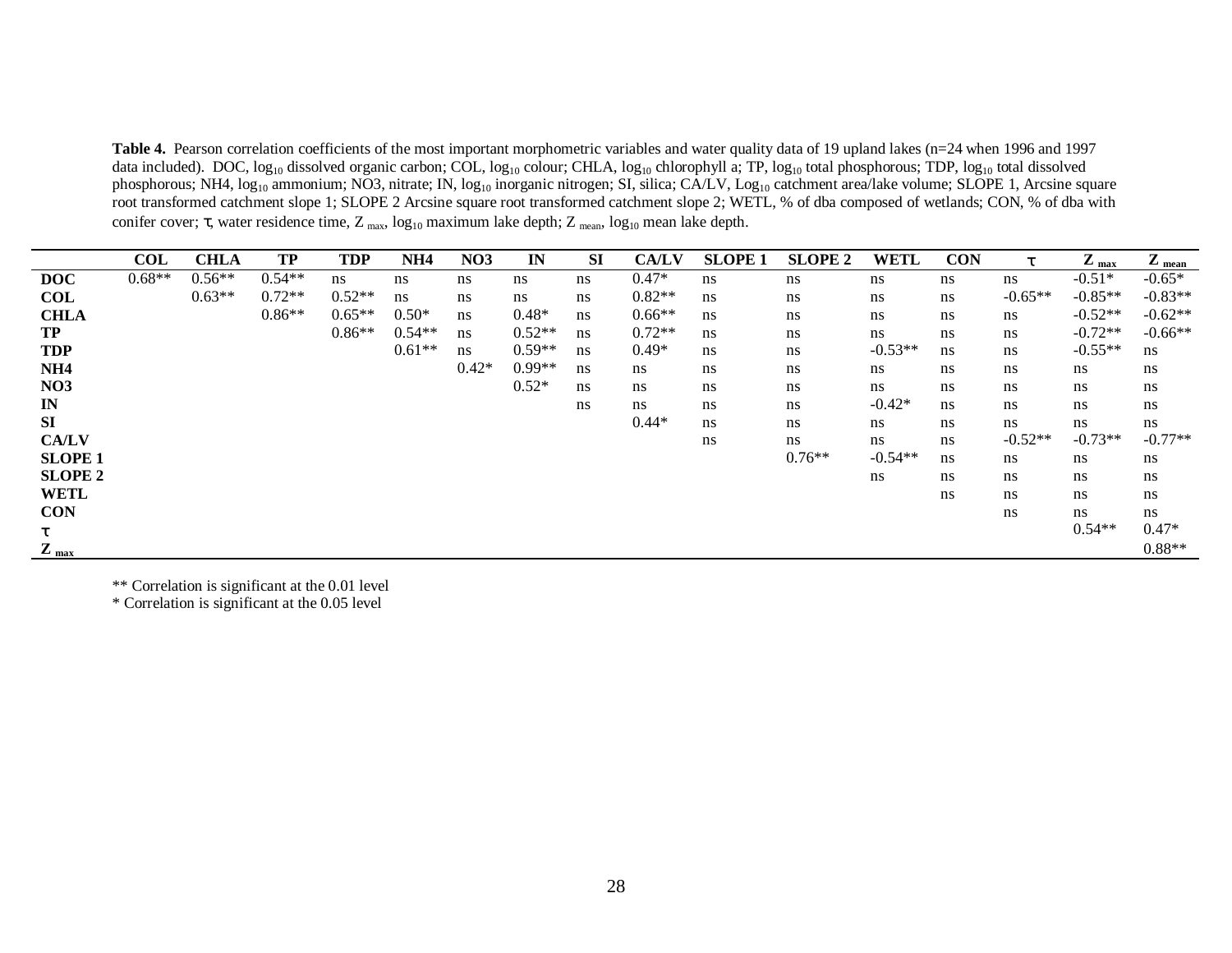**Table 4.** Pearson correlation coefficients of the most important morphometric variables and water quality data of 19 upland lakes (n=24 when 1996 and 1997 data included). DOC, log<sub>10</sub> dissolved organic carbon; COL, log<sub>10</sub> colour; CHLA, log<sub>10</sub> chlorophyll a; TP, log<sub>10</sub> total phosphorous; TDP, log<sub>10</sub> total dissolved phosphorous; NH4, log<sub>10</sub> ammonium; NO3, nitrate; IN, log<sub>10</sub> inorganic nitrogen; SI, silica; CA/LV, Log<sub>10</sub> catchment area/lake volume; SLOPE 1, Arcsine square root transformed catchment slope 1; SLOPE 2 Arcsine square root transformed catchment slope 2; WETL, % of dba composed of wetlands; CON, % of dba with conifer cover;  $\tau$ , water residence time,  $Z_{\text{max}}$ , log<sub>10</sub> maximum lake depth;  $Z_{\text{mean}}$ , log<sub>10</sub> mean lake depth.

|                  | <b>COL</b> | <b>CHLA</b> | <b>TP</b> | <b>TDP</b> | NH4      | NO <sub>3</sub> | IN       | SI | <b>CA/LV</b> | <b>SLOPE 1</b> | <b>SLOPE 2</b> | <b>WETL</b> | <b>CON</b> | τ         | $\mathbf{Z}_{\text{max}}$ | $Z_{mean}$ |
|------------------|------------|-------------|-----------|------------|----------|-----------------|----------|----|--------------|----------------|----------------|-------------|------------|-----------|---------------------------|------------|
| <b>DOC</b>       | $0.68**$   | $0.56**$    | $0.54**$  | ns         | ns       | ns              | ns       | ns | $0.47*$      | ns             | ns             | ns          | ns         | ns        | $-0.51*$                  | $-0.65*$   |
| <b>COL</b>       |            | $0.63**$    | $0.72**$  | $0.52**$   | ns       | ns              | ns       | ns | $0.82**$     | ns             | ns             | ns          | ns         | $-0.65**$ | $-0.85**$                 | $-0.83**$  |
| <b>CHLA</b>      |            |             | $0.86**$  | $0.65**$   | $0.50*$  | ns              | $0.48*$  | ns | $0.66**$     | ns             | ns             | ns          | ns         | ns        | $-0.52**$                 | $-0.62**$  |
| <b>TP</b>        |            |             |           | $0.86**$   | $0.54**$ | ns              | $0.52**$ | ns | $0.72**$     | ns             | ns             | ns          | ns         | ns        | $-0.72**$                 | $-0.66**$  |
| <b>TDP</b>       |            |             |           |            | $0.61**$ | ns              | $0.59**$ | ns | $0.49*$      | ns             | ns             | $-0.53**$   | ns.        | ns        | $-0.55**$                 | ns         |
| NH <sub>4</sub>  |            |             |           |            |          | $0.42*$         | $0.99**$ | ns | ns           | ns             | ns             | ns          | ns         | ns        | ns                        | ns         |
| <b>NO3</b>       |            |             |           |            |          |                 | $0.52*$  | ns | ns           | ns             | ns             | ns          | ns         | ns        | ns                        | ns         |
| IN               |            |             |           |            |          |                 |          | ns | ns           | ns             | ns             | $-0.42*$    | ns         | ns        | ns                        | ns         |
| SI               |            |             |           |            |          |                 |          |    | $0.44*$      | ns             | ns             | ns          | ns         | ns        | ns                        | ns         |
| <b>CA/LV</b>     |            |             |           |            |          |                 |          |    |              | ns             | ns             | ns          | ns.        | $-0.52**$ | $-0.73**$                 | $-0.77**$  |
| <b>SLOPE 1</b>   |            |             |           |            |          |                 |          |    |              |                | $0.76**$       | $-0.54**$   | ns         | ns        | ns                        | ns         |
| <b>SLOPE 2</b>   |            |             |           |            |          |                 |          |    |              |                |                | ns          | ns         | ns        | ns                        | ns         |
| <b>WETL</b>      |            |             |           |            |          |                 |          |    |              |                |                |             | ns.        | ns        | ns                        | ns         |
| <b>CON</b>       |            |             |           |            |          |                 |          |    |              |                |                |             |            | ns        | ns                        | ns         |
| τ                |            |             |           |            |          |                 |          |    |              |                |                |             |            |           | $0.54**$                  | $0.47*$    |
| $Z_{\text{max}}$ |            |             |           |            |          |                 |          |    |              |                |                |             |            |           |                           | $0.88**$   |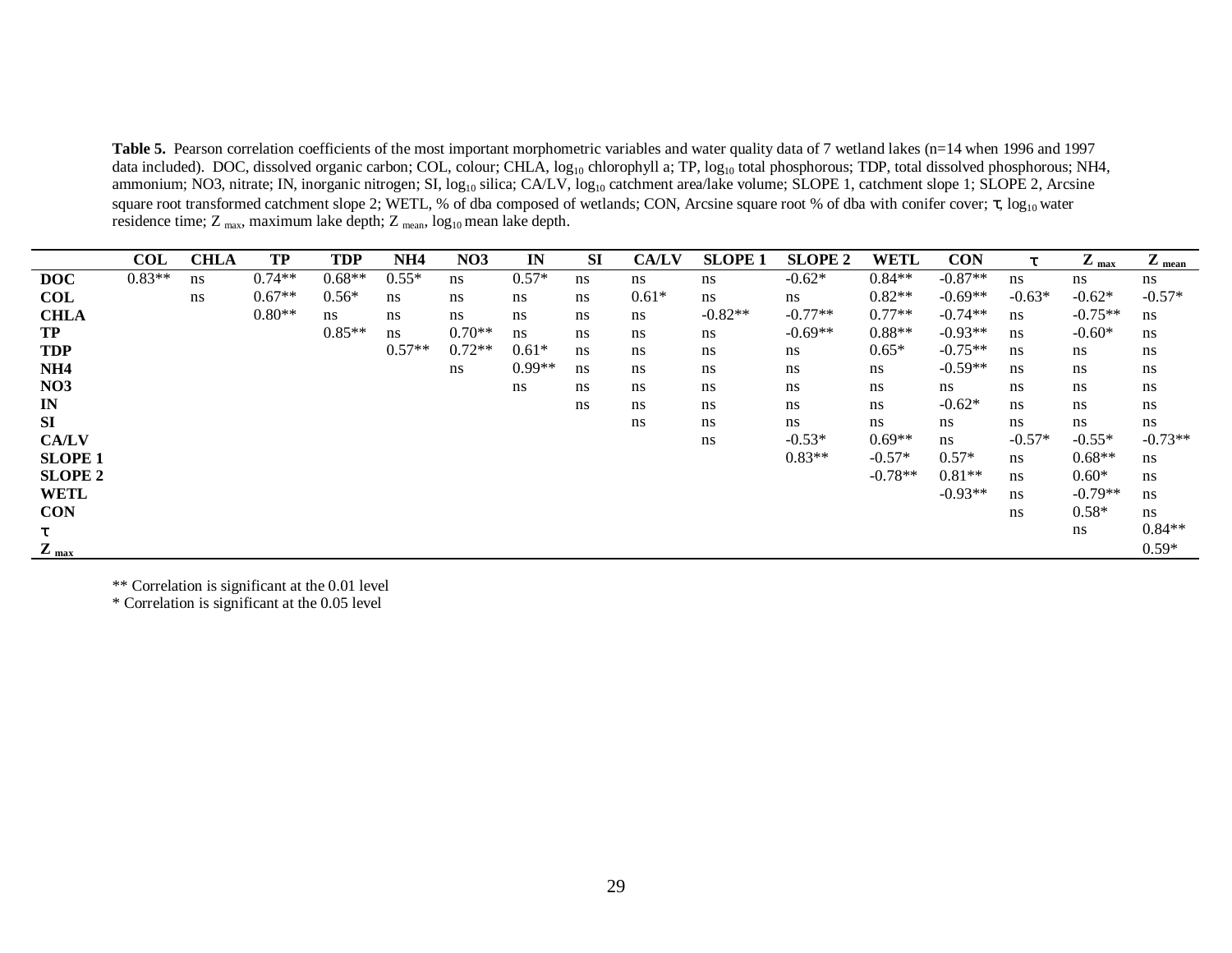Table 5. Pearson correlation coefficients of the most important morphometric variables and water quality data of 7 wetland lakes (n=14 when 1996 and 1997) data included). DOC, dissolved organic carbon; COL, colour; CHLA, log<sub>10</sub> chlorophyll a; TP, log<sub>10</sub> total phosphorous; TDP, total dissolved phosphorous; NH4, ammonium; NO3, nitrate; IN, inorganic nitrogen; SI, log<sub>10</sub> silica; CA/LV, log<sub>10</sub> catchment area/lake volume; SLOPE 1, catchment slope 1; SLOPE 2, Arcsine square root transformed catchment slope 2; WETL, % of dba composed of wetlands; CON, Arcsine square root % of dba with conifer cover;  $\tau$ , log<sub>10</sub> water residence time; Z <sub>max</sub>, maximum lake depth; Z <sub>mean</sub>,  $\log_{10}$  mean lake depth.

|                  | <b>COL</b> | <b>CHLA</b> | <b>TP</b> | <b>TDP</b> | NH <sub>4</sub> | NO <sub>3</sub> | IN       | <b>SI</b> | <b>CA/LV</b> | <b>SLOPE 1</b> | <b>SLOPE 2</b> | <b>WETL</b> | <b>CON</b>     | τ        | $Z_{\text{max}}$ | $Z_{mean}$ |
|------------------|------------|-------------|-----------|------------|-----------------|-----------------|----------|-----------|--------------|----------------|----------------|-------------|----------------|----------|------------------|------------|
| <b>DOC</b>       | $0.83**$   | ns          | $0.74**$  | $0.68**$   | $0.55*$         | ns              | $0.57*$  | ns        | ns           | ns             | $-0.62*$       | $0.84**$    | $-0.87**$      | ns.      | ns               | ns         |
| <b>COL</b>       |            | ns          | $0.67**$  | $0.56*$    | ns              | ns              | ns       | ns        | $0.61*$      | ns             | ns             | $0.82**$    | $-0.69**$      | $-0.63*$ | $-0.62*$         | $-0.57*$   |
| <b>CHLA</b>      |            |             | $0.80**$  | ns         | ns              | ns              | ns       | ns        | ns           | $-0.82**$      | $-0.77**$      | $0.77**$    | $-0.74**$      | ns       | $-0.75**$        | ns         |
| <b>TP</b>        |            |             |           | $0.85**$   | ns              | $0.70**$        | ns       | ns        | ns           | ns             | $-0.69**$      | $0.88**$    | $-0.93**$      | ns       | $-0.60*$         | ns         |
| <b>TDP</b>       |            |             |           |            | $0.57**$        | $0.72**$        | $0.61*$  | ns        | ns           | ns             | ns             | $0.65*$     | $-0.75**$      | ns       | ns               | ns         |
| NH <sub>4</sub>  |            |             |           |            |                 | ns              | $0.99**$ | ns        | ns           | ns             | ns             | ns          | $-0.59**$      | ns       | ns               | ns         |
| <b>NO3</b>       |            |             |           |            |                 |                 | ns       | ns        | ns           | ns             | ns             | ns          | ns             | ns.      | ns               | ns         |
| $\mathbf{I}$ N   |            |             |           |            |                 |                 |          | ns        | ns           | ns             | ns             | ns          | $-0.62*$       | ns       | ns               | ns         |
| SI               |            |             |           |            |                 |                 |          |           | ns           | ns             | ns             | ns          | ns             | ns       | ns               | ns         |
| <b>CA/LV</b>     |            |             |           |            |                 |                 |          |           |              | ns             | $-0.53*$       | $0.69**$    | $\mathbf{n}$ s | $-0.57*$ | $-0.55*$         | $-0.73**$  |
| <b>SLOPE 1</b>   |            |             |           |            |                 |                 |          |           |              |                | $0.83**$       | $-0.57*$    | $0.57*$        | ns       | $0.68**$         | ns         |
| <b>SLOPE 2</b>   |            |             |           |            |                 |                 |          |           |              |                |                | $-0.78**$   | $0.81**$       | ns       | $0.60*$          | ns         |
| <b>WETL</b>      |            |             |           |            |                 |                 |          |           |              |                |                |             | $-0.93**$      | ns       | $-0.79**$        | ns         |
| <b>CON</b>       |            |             |           |            |                 |                 |          |           |              |                |                |             |                | ns       | $0.58*$          | ns         |
| τ                |            |             |           |            |                 |                 |          |           |              |                |                |             |                |          | ns               | $0.84**$   |
| $Z_{\text{max}}$ |            |             |           |            |                 |                 |          |           |              |                |                |             |                |          |                  | $0.59*$    |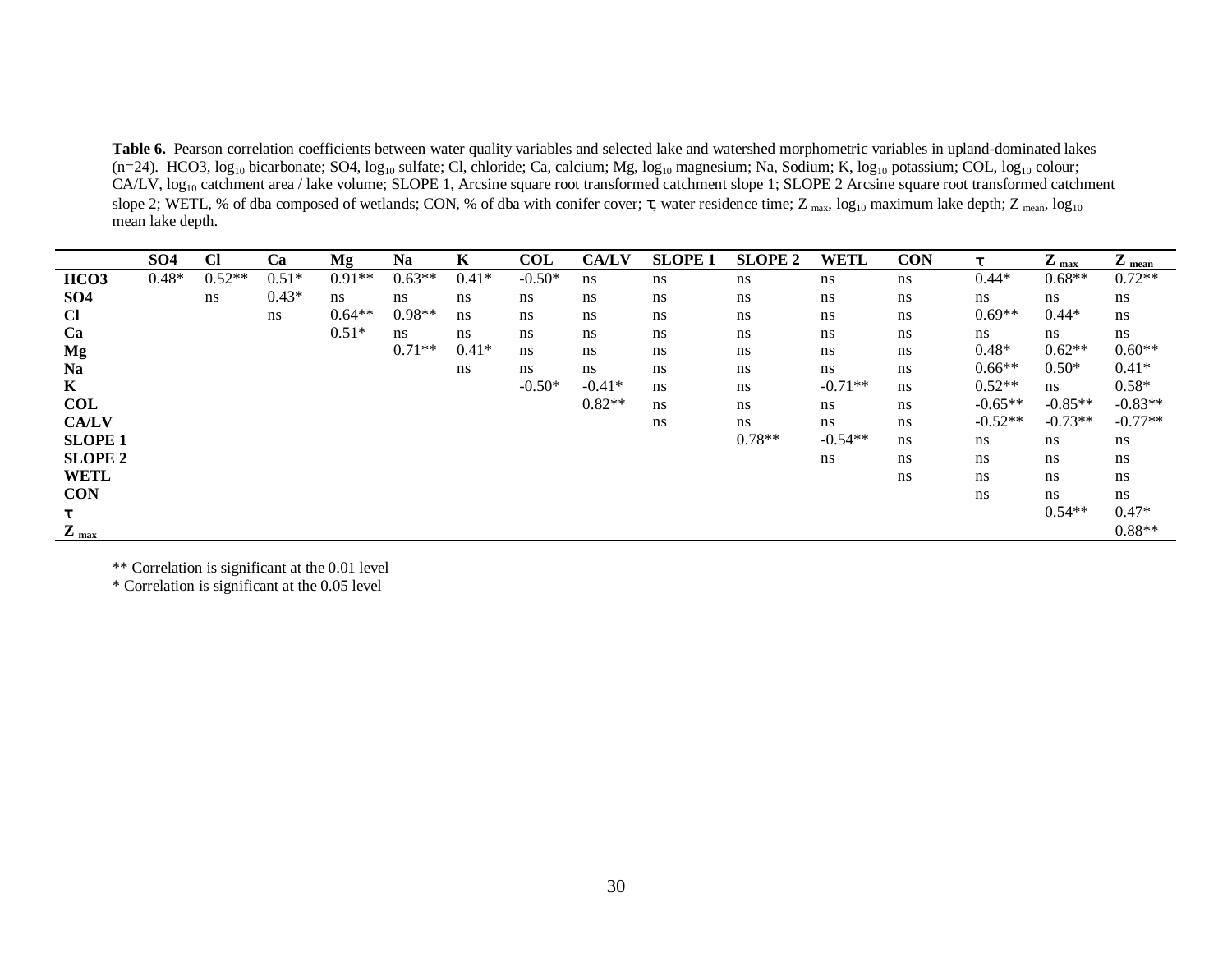**Table 6.** Pearson correlation coefficients between water quality variables and selected lake and watershed morphometric variables in upland-dominated lakes (n=24). HCO3, log<sub>10</sub> bicarbonate; SO4, log<sub>10</sub> sulfate; Cl, chloride; Ca, calcium; Mg, log<sub>10</sub> magnesium; Na, Sodium; K, log<sub>10</sub> potassium; COL, log<sub>10</sub> colour; CA/LV, log<sub>10</sub> catchment area / lake volume; SLOPE 1, Arcsine square root transformed catchment slope 1; SLOPE 2 Arcsine square root transformed catchment slope 2; WETL, % of dba composed of wetlands; CON, % of dba with conifer cover;  $\tau$ , water residence time; Z  $_{\text{max}}$ , log<sub>10</sub> maximum lake depth; Z  $_{\text{mean}}$ , log<sub>10</sub> mean lake depth.

|                  | SO <sub>4</sub> | Cl       | Ca      | Mg       | Na       | K       | COL      | <b>CA/LV</b> | <b>SLOPE 1</b> | <b>SLOPE 2</b> | <b>WETL</b> | <b>CON</b> | $\tau$    | $Z_{\text{max}}$ | $Z_{mean}$ |
|------------------|-----------------|----------|---------|----------|----------|---------|----------|--------------|----------------|----------------|-------------|------------|-----------|------------------|------------|
| HCO <sub>3</sub> | $0.48*$         | $0.52**$ | $0.51*$ | $0.91**$ | $0.63**$ | $0.41*$ | $-0.50*$ | ns           | ns             | ns             | ns          | ns         | $0.44*$   | $0.68**$         | $0.72**$   |
| SO <sub>4</sub>  |                 | ns       | $0.43*$ | ns       | ns       | ns      | ns       | ns           | ns             | ns             | ns          | ns         | ns        | ns               | ns         |
| <b>Cl</b>        |                 |          | ns.     | $0.64**$ | $0.98**$ | ns      | ns       | ns           | ns             | ns             | ns          | ns         | $0.69**$  | $0.44*$          | ns         |
| Ca               |                 |          |         | $0.51*$  | ns       | ns      | ns       | ns           | ns             | ns             | ns          | ns         | ns        | ns               | ns         |
| Mg               |                 |          |         |          | $0.71**$ | $0.41*$ | ns       | ns           | ns             | ns             | ns          | ns         | $0.48*$   | $0.62**$         | $0.60**$   |
| <b>Na</b>        |                 |          |         |          |          | ns      | ns       | ns           | ns             | ns             | ns          | ns         | $0.66**$  | $0.50*$          | $0.41*$    |
| $\mathbf K$      |                 |          |         |          |          |         | $-0.50*$ | $-0.41*$     | ns             | ns             | $-0.71**$   | ns         | $0.52**$  | ns               | $0.58*$    |
| <b>COL</b>       |                 |          |         |          |          |         |          | $0.82**$     | ns             | ns             | ns          | ns         | $-0.65**$ | $-0.85**$        | $-0.83**$  |
| <b>CA/LV</b>     |                 |          |         |          |          |         |          |              | ns             | ns             | ns          | ns         | $-0.52**$ | $-0.73**$        | $-0.77**$  |
| <b>SLOPE 1</b>   |                 |          |         |          |          |         |          |              |                | $0.78**$       | $-0.54**$   | ns         | ns        | ns               | ns         |
| <b>SLOPE 2</b>   |                 |          |         |          |          |         |          |              |                |                | ns          | ns         | ns        | ns               | ns         |
| <b>WETL</b>      |                 |          |         |          |          |         |          |              |                |                |             | ns         | ns        | ns               | ns         |
| <b>CON</b>       |                 |          |         |          |          |         |          |              |                |                |             |            | ns        | ns               | ns         |
|                  |                 |          |         |          |          |         |          |              |                |                |             |            |           | $0.54**$         | $0.47*$    |
| $L_{\text{max}}$ |                 |          |         |          |          |         |          |              |                |                |             |            |           |                  | $0.88**$   |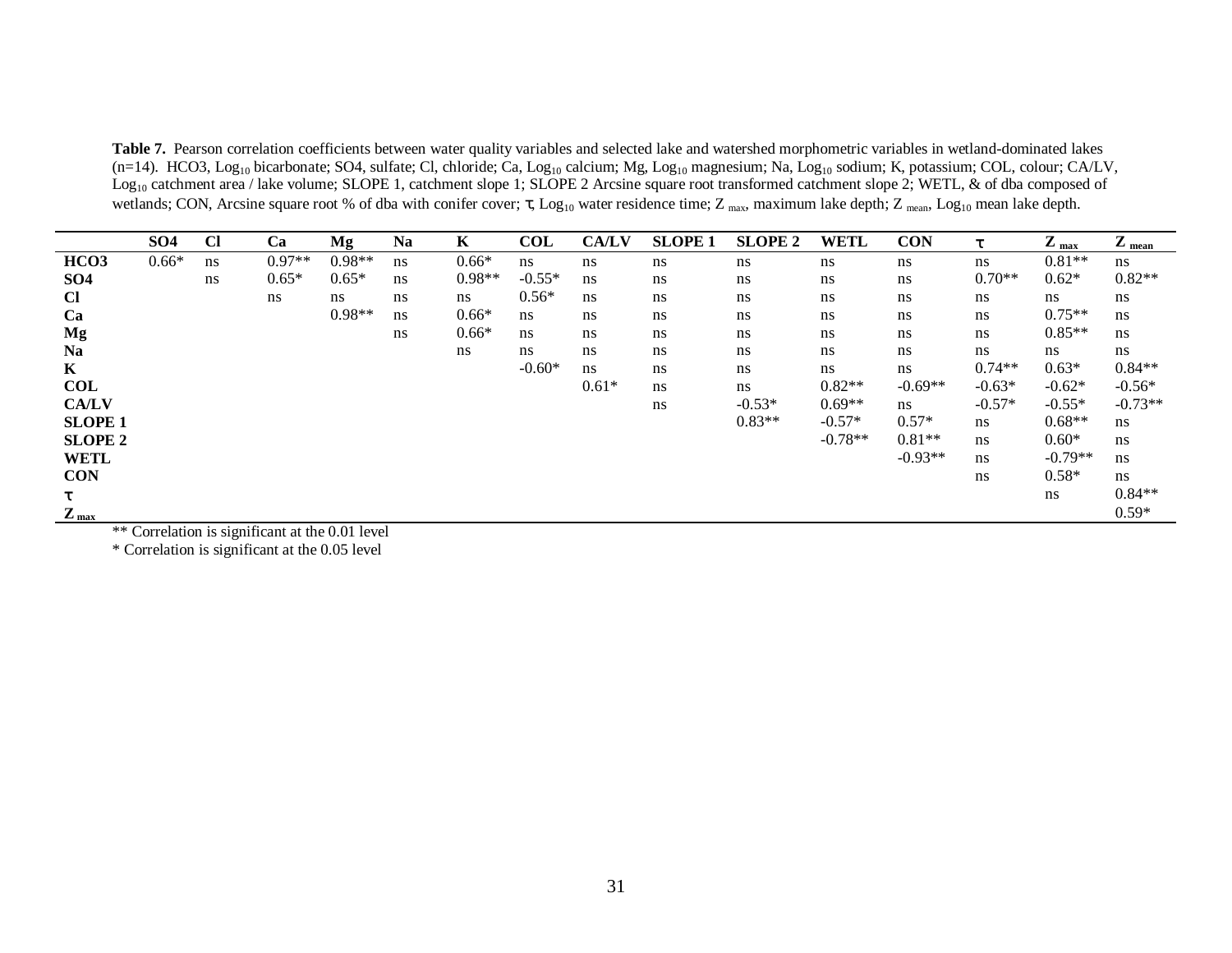**Table 7.** Pearson correlation coefficients between water quality variables and selected lake and watershed morphometric variables in wetland-dominated lakes (n=14). HCO3, Log<sub>10</sub> bicarbonate; SO4, sulfate; Cl, chloride; Ca, Log<sub>10</sub> calcium; Mg, Log<sub>10</sub> magnesium; Na, Log<sub>10</sub> sodium; K, potassium; COL, colour; CA/LV, Log<sub>10</sub> catchment area / lake volume; SLOPE 1, catchment slope 1; SLOPE 2 Arcsine square root transformed catchment slope 2; WETL, & of dba composed of wetlands; CON, Arcsine square root % of dba with conifer cover;  $\tau$ , Log<sub>10</sub> water residence time; Z <sub>max</sub>, maximum lake depth; Z <sub>mean</sub>, Log<sub>10</sub> mean lake depth.

|                       | SO <sub>4</sub> | $CI$ | Ca                                                                                                                                                                                                                                        | Mg       | <b>Na</b> | $\mathbf K$ | <b>COL</b> | <b>CA/LV</b> | <b>SLOPE 1</b> | <b>SLOPE 2</b> | <b>WETL</b> | <b>CON</b>     | τ        | $Z_{\text{max}}$ | $Z_{mean}$ |
|-----------------------|-----------------|------|-------------------------------------------------------------------------------------------------------------------------------------------------------------------------------------------------------------------------------------------|----------|-----------|-------------|------------|--------------|----------------|----------------|-------------|----------------|----------|------------------|------------|
| HCO <sub>3</sub>      | $0.66*$         | ns   | $0.97**$                                                                                                                                                                                                                                  | $0.98**$ | ns        | $0.66*$     | ns         | ns           | ns             | ns             | ns          | ns             | ns       | $0.81**$         | ns         |
| SO <sub>4</sub>       |                 | ns   | $0.65*$                                                                                                                                                                                                                                   | $0.65*$  | ns        | $0.98**$    | $-0.55*$   | ns           | ns             | ns             | ns          | ns             | $0.70**$ | $0.62*$          | $0.82**$   |
| <b>Cl</b>             |                 |      | ns                                                                                                                                                                                                                                        | ns       | ns        | ns          | $0.56*$    | ns           | ns             | ns             | ns          | ns             | ns       | ns               | ns         |
| Ca                    |                 |      |                                                                                                                                                                                                                                           | $0.98**$ | ns        | $0.66*$     | ns         | ns           | ns             | ns             | ns          | ns             | ns       | $0.75**$         | ns         |
| Mg                    |                 |      |                                                                                                                                                                                                                                           |          | ns        | $0.66*$     | ns         | ns           | ns             | ns             | ns          | ns             | ns       | $0.85**$         | ns         |
| <b>Na</b>             |                 |      |                                                                                                                                                                                                                                           |          |           | ns          | ns         | ns           | ns             | ns             | ns          | ns             | ns       | ns               | ns         |
| $\mathbf{K}$          |                 |      |                                                                                                                                                                                                                                           |          |           |             | $-0.60*$   | ns           | ns             | ns             | ns          | ns             | $0.74**$ | $0.63*$          | $0.84**$   |
| <b>COL</b>            |                 |      |                                                                                                                                                                                                                                           |          |           |             |            | $0.61*$      | ns             | ns             | $0.82**$    | $-0.69**$      | $-0.63*$ | $-0.62*$         | $-0.56*$   |
| <b>CA/LV</b>          |                 |      |                                                                                                                                                                                                                                           |          |           |             |            |              | ns             | $-0.53*$       | $0.69**$    | $\mathbf{n}$ s | $-0.57*$ | $-0.55*$         | $-0.73**$  |
| <b>SLOPE 1</b>        |                 |      |                                                                                                                                                                                                                                           |          |           |             |            |              |                | $0.83**$       | $-0.57*$    | $0.57*$        | ns       | $0.68**$         | ns         |
| <b>SLOPE 2</b>        |                 |      |                                                                                                                                                                                                                                           |          |           |             |            |              |                |                | $-0.78**$   | $0.81**$       | ns       | $0.60*$          | ns         |
| <b>WETL</b>           |                 |      |                                                                                                                                                                                                                                           |          |           |             |            |              |                |                |             | $-0.93**$      | ns       | $-0.79**$        | ns         |
| <b>CON</b>            |                 |      |                                                                                                                                                                                                                                           |          |           |             |            |              |                |                |             |                | ns       | $0.58*$          | ns         |
| $\tau$                |                 |      |                                                                                                                                                                                                                                           |          |           |             |            |              |                |                |             |                |          | ns               | $0.84**$   |
| 7<br>$L_{\text{max}}$ |                 |      | $\mathbf{1}$ $\mathbf{1}$ $\mathbf{1}$ $\mathbf{1}$ $\mathbf{1}$ $\mathbf{1}$ $\mathbf{1}$ $\mathbf{1}$ $\mathbf{1}$ $\mathbf{1}$ $\mathbf{1}$ $\mathbf{1}$ $\mathbf{1}$ $\mathbf{1}$ $\mathbf{1}$ $\mathbf{1}$ $\mathbf{1}$ $\mathbf{1}$ |          |           |             |            |              |                |                |             |                |          |                  | $0.59*$    |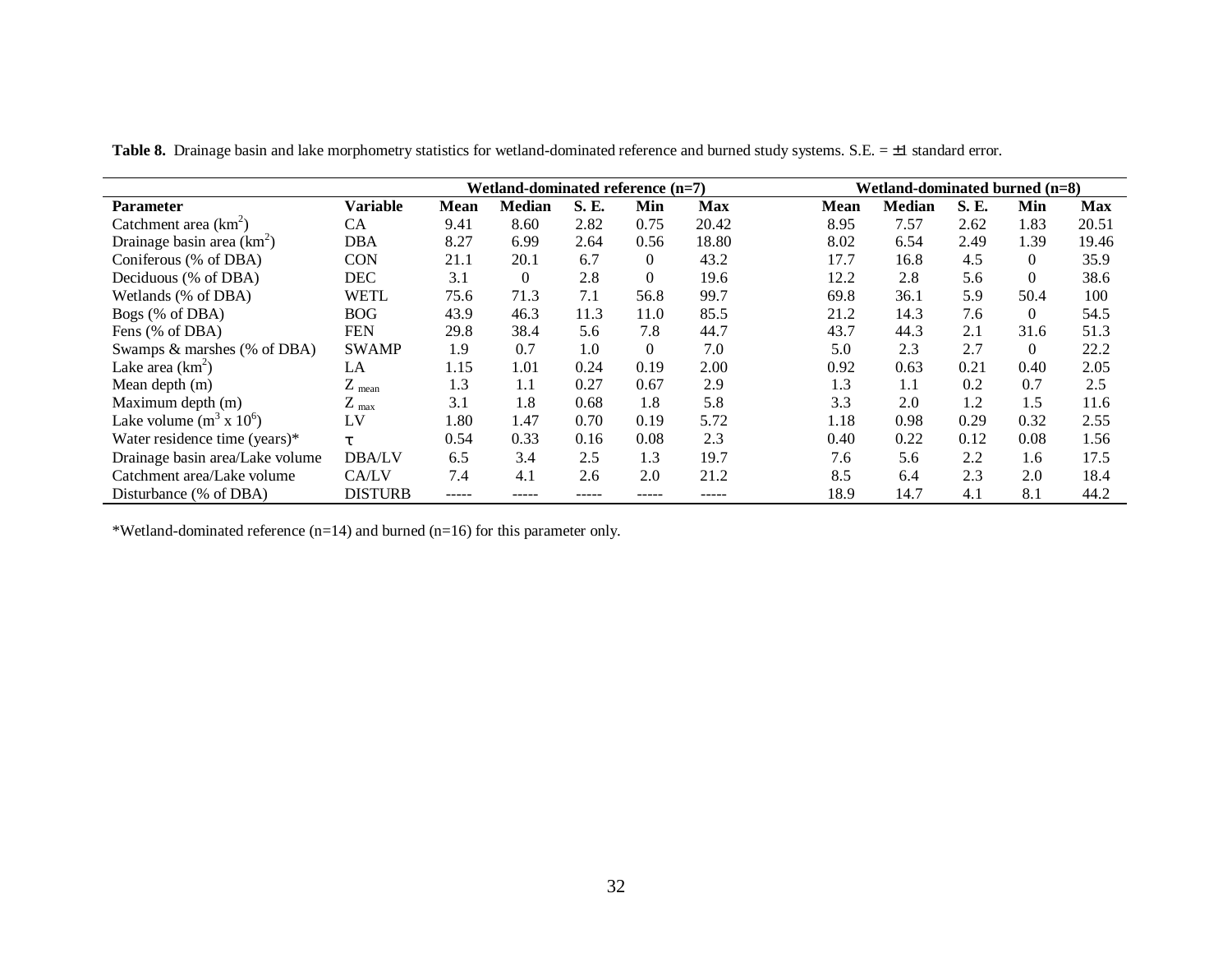|                                 |                  |             | Wetland-dominated reference $(n=7)$ |              |          |            |             | Wetland-dominated burned $(n=8)$ |             |                |            |
|---------------------------------|------------------|-------------|-------------------------------------|--------------|----------|------------|-------------|----------------------------------|-------------|----------------|------------|
| <b>Parameter</b>                | <b>Variable</b>  | <b>Mean</b> | <b>Median</b>                       | <b>S. E.</b> | Min      | <b>Max</b> | <b>Mean</b> | <b>Median</b>                    | <b>S.E.</b> | Min            | <b>Max</b> |
| Catchment area $(km^2)$         | CA               | 9.41        | 8.60                                | 2.82         | 0.75     | 20.42      | 8.95        | 7.57                             | 2.62        | 1.83           | 20.51      |
| Drainage basin area $(km^2)$    | <b>DBA</b>       | 8.27        | 6.99                                | 2.64         | 0.56     | 18.80      | 8.02        | 6.54                             | 2.49        | 1.39           | 19.46      |
| Coniferous (% of DBA)           | <b>CON</b>       | 21.1        | 20.1                                | 6.7          | $\Omega$ | 43.2       | 17.7        | 16.8                             | 4.5         | $\overline{0}$ | 35.9       |
| Deciduous (% of DBA)            | <b>DEC</b>       | 3.1         | $\overline{0}$                      | 2.8          | $\Omega$ | 19.6       | 12.2        | 2.8                              | 5.6         | $\theta$       | 38.6       |
| Wetlands (% of DBA)             | <b>WETL</b>      | 75.6        | 71.3                                | 7.1          | 56.8     | 99.7       | 69.8        | 36.1                             | 5.9         | 50.4           | 100        |
| Bogs (% of DBA)                 | <b>BOG</b>       | 43.9        | 46.3                                | 11.3         | 11.0     | 85.5       | 21.2        | 14.3                             | 7.6         | $\Omega$       | 54.5       |
| Fens (% of DBA)                 | <b>FEN</b>       | 29.8        | 38.4                                | 5.6          | 7.8      | 44.7       | 43.7        | 44.3                             | 2.1         | 31.6           | 51.3       |
| Swamps & marshes (% of DBA)     | <b>SWAMP</b>     | 1.9         | 0.7                                 | 1.0          | $\theta$ | 7.0        | 5.0         | 2.3                              | 2.7         | $\overline{0}$ | 22.2       |
| Lake area $(km^2)$              | LA               | 1.15        | 1.01                                | 0.24         | 0.19     | 2.00       | 0.92        | 0.63                             | 0.21        | 0.40           | 2.05       |
| Mean depth (m)                  | $Z_{mean}$       | 1.3         | 1.1                                 | 0.27         | 0.67     | 2.9        | 1.3         | 1.1                              | 0.2         | 0.7            | 2.5        |
| Maximum depth (m)               | $Z_{\text{max}}$ | 3.1         | 1.8                                 | 0.68         | 1.8      | 5.8        | 3.3         | 2.0                              | 1.2         | 1.5            | 11.6       |
| Lake volume $(m^3 \times 10^6)$ | LV               | 1.80        | 1.47                                | 0.70         | 0.19     | 5.72       | 1.18        | 0.98                             | 0.29        | 0.32           | 2.55       |
| Water residence time (years)*   | T.               | 0.54        | 0.33                                | 0.16         | 0.08     | 2.3        | 0.40        | 0.22                             | 0.12        | 0.08           | 1.56       |
| Drainage basin area/Lake volume | <b>DBA/LV</b>    | 6.5         | 3.4                                 | 2.5          | 1.3      | 19.7       | 7.6         | 5.6                              | 2.2         | 1.6            | 17.5       |
| Catchment area/Lake volume      | CA/LV            | 7.4         | 4.1                                 | 2.6          | 2.0      | 21.2       | 8.5         | 6.4                              | 2.3         | 2.0            | 18.4       |
| Disturbance (% of DBA)          | <b>DISTURB</b>   | -----       |                                     |              |          |            | 18.9        | 14.7                             | 4.1         | 8.1            | 44.2       |

Table 8. Drainage basin and lake morphometry statistics for wetland-dominated reference and burned study systems. S.E. = ±1 standard error.

\*Wetland-dominated reference  $(n=14)$  and burned  $(n=16)$  for this parameter only.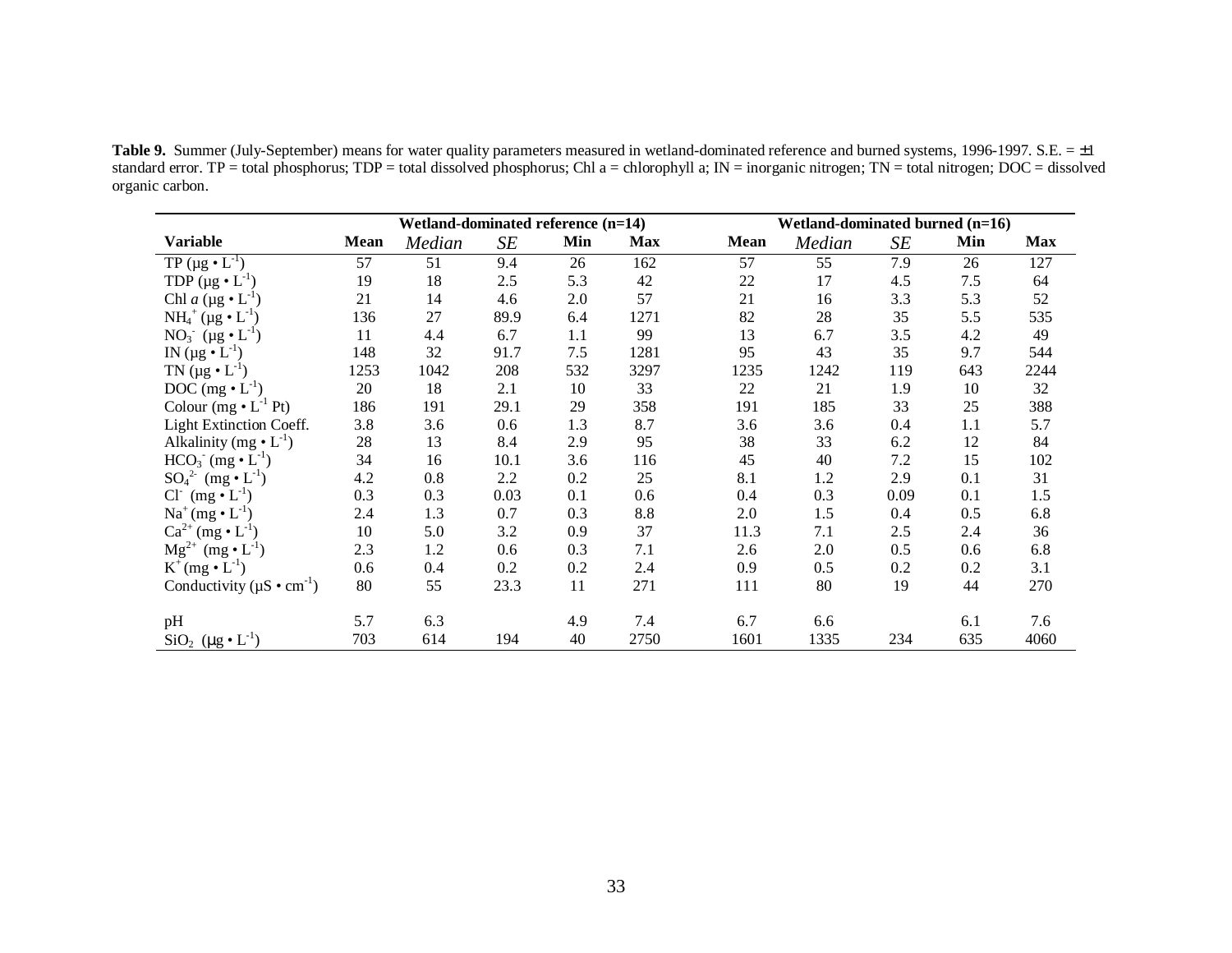**Table 9.** Summer (July-September) means for water quality parameters measured in wetland-dominated reference and burned systems, 1996-1997. S.E. = ±1 standard error. TP = total phosphorus; TDP = total dissolved phosphorus; Chl a = chlorophyll a; IN = inorganic nitrogen; TN = total nitrogen; DOC = dissolved organic carbon.

|                                               |             | Wetland-dominated reference (n=14) |      |     |            |      | Wetland-dominated burned (n=16) |      |       |            |
|-----------------------------------------------|-------------|------------------------------------|------|-----|------------|------|---------------------------------|------|-------|------------|
| <b>Variable</b>                               | <b>Mean</b> | Median                             | SE   | Min | <b>Max</b> | Mean | Median                          | SE   | Min   | <b>Max</b> |
| TP ( $\mu$ g • $L^{-1}$ )                     | 57          | 51                                 | 9.4  | 26  | 162        | 57   | 55                              | 7.9  | 26    | 127        |
| TDP $(\mu g \cdot L^{-1})$                    | 19          | 18                                 | 2.5  | 5.3 | 42         | 22   | 17                              | 4.5  | $7.5$ | 64         |
| Chl a ( $\mu$ g • $L^{-1}$                    | 21          | 14                                 | 4.6  | 2.0 | 57         | 21   | 16                              | 3.3  | 5.3   | 52         |
| $NH_4^+(\mu g \bullet L^{-1})$                | 136         | 27                                 | 89.9 | 6.4 | 1271       | 82   | 28                              | 35   | 5.5   | 535        |
| NO <sub>3</sub> ( $\mu$ g • L <sup>-1</sup> ) | 11          | 4.4                                | 6.7  | 1.1 | 99         | 13   | 6.7                             | 3.5  | 4.2   | 49         |
| IN $(\mu g \bullet L^{-1})$                   | 148         | 32                                 | 91.7 | 7.5 | 1281       | 95   | 43                              | 35   | 9.7   | 544        |
| TN $(\mu g \cdot L^{-1})$                     | 1253        | 1042                               | 208  | 532 | 3297       | 1235 | 1242                            | 119  | 643   | 2244       |
| DOC $(mg \cdot L^{-1})$                       | 20          | 18                                 | 2.1  | 10  | 33         | 22   | 21                              | 1.9  | 10    | 32         |
| Colour (mg $\cdot$ L <sup>-1</sup> Pt)        | 186         | 191                                | 29.1 | 29  | 358        | 191  | 185                             | 33   | 25    | 388        |
| Light Extinction Coeff.                       | 3.8         | 3.6                                | 0.6  | 1.3 | 8.7        | 3.6  | 3.6                             | 0.4  | 1.1   | 5.7        |
| Alkalinity (mg $\bullet$ L <sup>-1</sup> )    | 28          | 13                                 | 8.4  | 2.9 | 95         | 38   | 33                              | 6.2  | 12    | 84         |
| $HCO3- (mg • L-1)$                            | 34          | 16                                 | 10.1 | 3.6 | 116        | 45   | 40                              | 7.2  | 15    | 102        |
| $SO_4^2$ (mg $\cdot L^{-1}$ )                 | 4.2         | 0.8                                | 2.2  | 0.2 | 25         | 8.1  | 1.2                             | 2.9  | 0.1   | 31         |
| $Cl^-(mg \cdot L^{-1})$                       | 0.3         | 0.3                                | 0.03 | 0.1 | 0.6        | 0.4  | 0.3                             | 0.09 | 0.1   | 1.5        |
| $Na^{+}(mg \cdot L^{-1})$                     | 2.4         | 1.3                                | 0.7  | 0.3 | 8.8        | 2.0  | 1.5                             | 0.4  | 0.5   | 6.8        |
| $Ca^{2+}$ (mg $\bullet$ L <sup>-1</sup> )     | 10          | 5.0                                | 3.2  | 0.9 | 37         | 11.3 | 7.1                             | 2.5  | 2.4   | 36         |
| $Mg^{2+}$ (mg $\cdot L^{-1}$ )                | 2.3         | 1.2                                | 0.6  | 0.3 | 7.1        | 2.6  | 2.0                             | 0.5  | 0.6   | 6.8        |
| $K^+(mg \cdot L^{-1})$                        | 0.6         | 0.4                                | 0.2  | 0.2 | 2.4        | 0.9  | 0.5                             | 0.2  | 0.2   | 3.1        |
| Conductivity ( $\mu$ S • cm <sup>-1</sup> )   | 80          | 55                                 | 23.3 | 11  | 271        | 111  | 80                              | 19   | 44    | 270        |
| pH                                            | 5.7         | 6.3                                |      | 4.9 | 7.4        | 6.7  | 6.6                             |      | 6.1   | 7.6        |
| $SiO2$ (µg $\cdot$ L <sup>-1</sup> )          | 703         | 614                                | 194  | 40  | 2750       | 1601 | 1335                            | 234  | 635   | 4060       |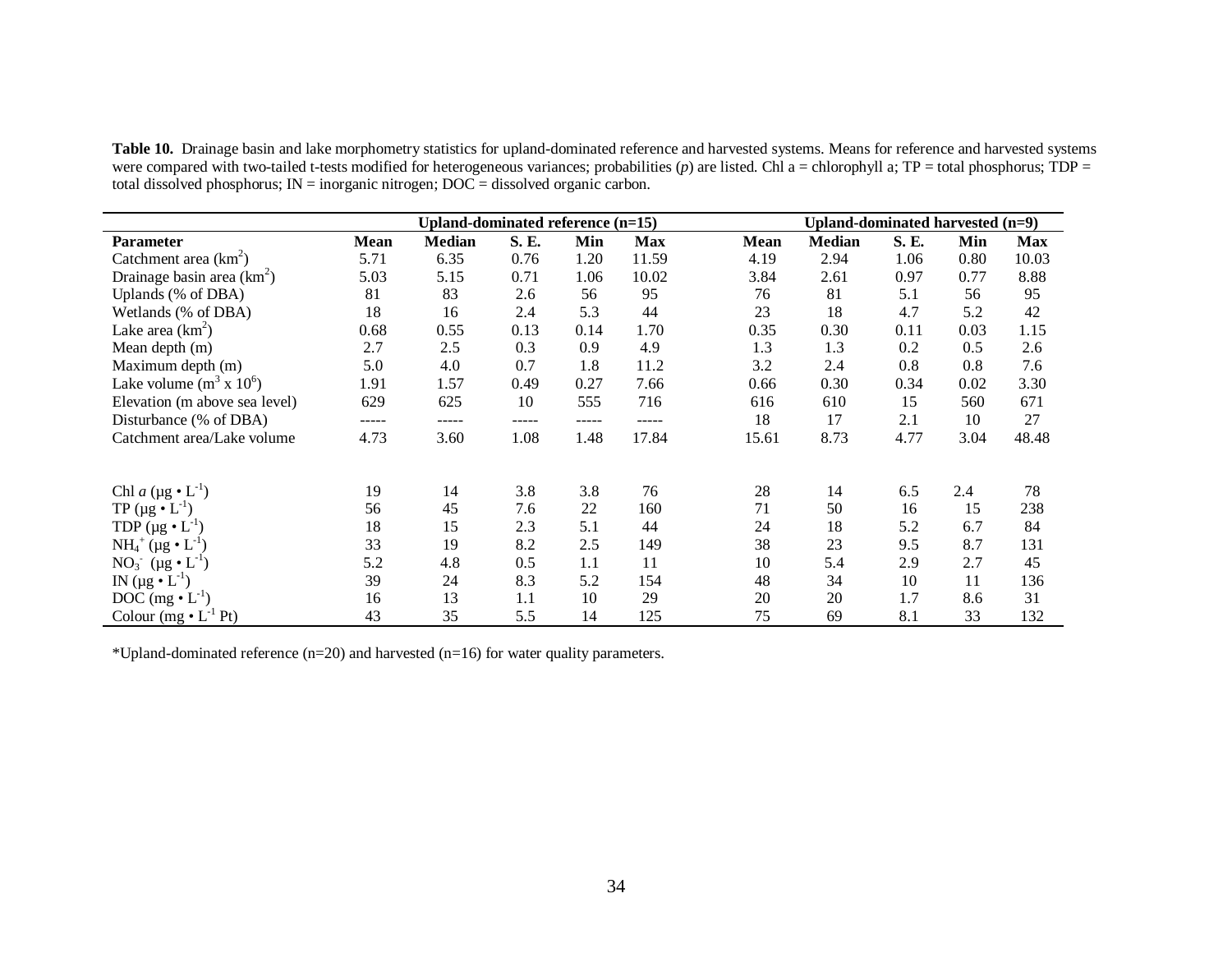**Table 10.** Drainage basin and lake morphometry statistics for upland-dominated reference and harvested systems. Means for reference and harvested systems were compared with two-tailed t-tests modified for heterogeneous variances; probabilities (p) are listed. Chl a = chlorophyll a; TP = total phosphorus; TDP = total dissolved phosphorus;  $IN = inorganic nitrogen$ ;  $DOC = dissolved organic carbon$ .

|                                 |       | Upland-dominated reference (n=15) |       |       |            |             | Upland-dominated harvested (n=9) |       |      |            |
|---------------------------------|-------|-----------------------------------|-------|-------|------------|-------------|----------------------------------|-------|------|------------|
| <b>Parameter</b>                | Mean  | <b>Median</b>                     | S. E. | Min   | <b>Max</b> | <b>Mean</b> | <b>Median</b>                    | S. E. | Min  | <b>Max</b> |
| Catchment area $(km^2)$         | 5.71  | 6.35                              | 0.76  | 1.20  | 11.59      | 4.19        | 2.94                             | 1.06  | 0.80 | 10.03      |
| Drainage basin area $(km^2)$    | 5.03  | 5.15                              | 0.71  | 1.06  | 10.02      | 3.84        | 2.61                             | 0.97  | 0.77 | 8.88       |
| Uplands (% of DBA)              | 81    | 83                                | 2.6   | 56    | 95         | 76          | 81                               | 5.1   | 56   | 95         |
| Wetlands (% of DBA)             | 18    | 16                                | 2.4   | 5.3   | 44         | 23          | 18                               | 4.7   | 5.2  | 42         |
| Lake area $(km^2)$              | 0.68  | 0.55                              | 0.13  | 0.14  | 1.70       | 0.35        | 0.30                             | 0.11  | 0.03 | 1.15       |
| Mean depth (m)                  | 2.7   | 2.5                               | 0.3   | 0.9   | 4.9        | 1.3         | 1.3                              | 0.2   | 0.5  | 2.6        |
| Maximum depth (m)               | 5.0   | 4.0                               | 0.7   | 1.8   | 11.2       | 3.2         | 2.4                              | 0.8   | 0.8  | 7.6        |
| Lake volume $(m^3 \times 10^6)$ | 1.91  | 1.57                              | 0.49  | 0.27  | 7.66       | 0.66        | 0.30                             | 0.34  | 0.02 | 3.30       |
| Elevation (m above sea level)   | 629   | 625                               | 10    | 555   | 716        | 616         | 610                              | 15    | 560  | 671        |
| Disturbance (% of DBA)          | ----- | -----                             | ----- | ----- | -----      | 18          | 17                               | 2.1   | 10   | 27         |
| Catchment area/Lake volume      | 4.73  | 3.60                              | 1.08  | 1.48  | 17.84      | 15.61       | 8.73                             | 4.77  | 3.04 | 48.48      |
|                                 |       |                                   |       |       |            |             |                                  |       |      |            |
| Chl a $(\mu g \cdot L^{-1})$    | 19    | 14                                | 3.8   | 3.8   | 76         | 28          | 14                               | 6.5   | 2.4  | 78         |
| TP ( $\mu$ g • $L^{-1}$ )       | 56    | 45                                | 7.6   | 22    | 160        | 71          | 50                               | 16    | 15   | 238        |
| TDP $(\mu g \cdot L^{-1})$      | 18    | 15                                | 2.3   | 5.1   | 44         | 24          | 18                               | 5.2   | 6.7  | 84         |
| $NH_4^+(\mu g \bullet L^{-1})$  | 33    | 19                                | 8.2   | 2.5   | 149        | 38          | 23                               | 9.5   | 8.7  | 131        |
| $NO_3$ (µg $\cdot L^{-1}$ )     | 5.2   | 4.8                               | 0.5   | 1.1   | 11         | 10          | 5.4                              | 2.9   | 2.7  | 45         |
| IN $(\mu g \bullet L^{-1})$     | 39    | 24                                | 8.3   | 5.2   | 154        | 48          | 34                               | 10    | 11   | 136        |
| DOC $(mg \cdot L^{-1})$         | 16    | 13                                | 1.1   | 10    | 29         | 20          | 20                               | 1.7   | 8.6  | 31         |
| Colour $(mg \cdot L^{-1} Pt)$   | 43    | 35                                | 5.5   | 14    | 125        | 75          | 69                               | 8.1   | 33   | 132        |

\*Upland-dominated reference (n=20) and harvested (n=16) for water quality parameters.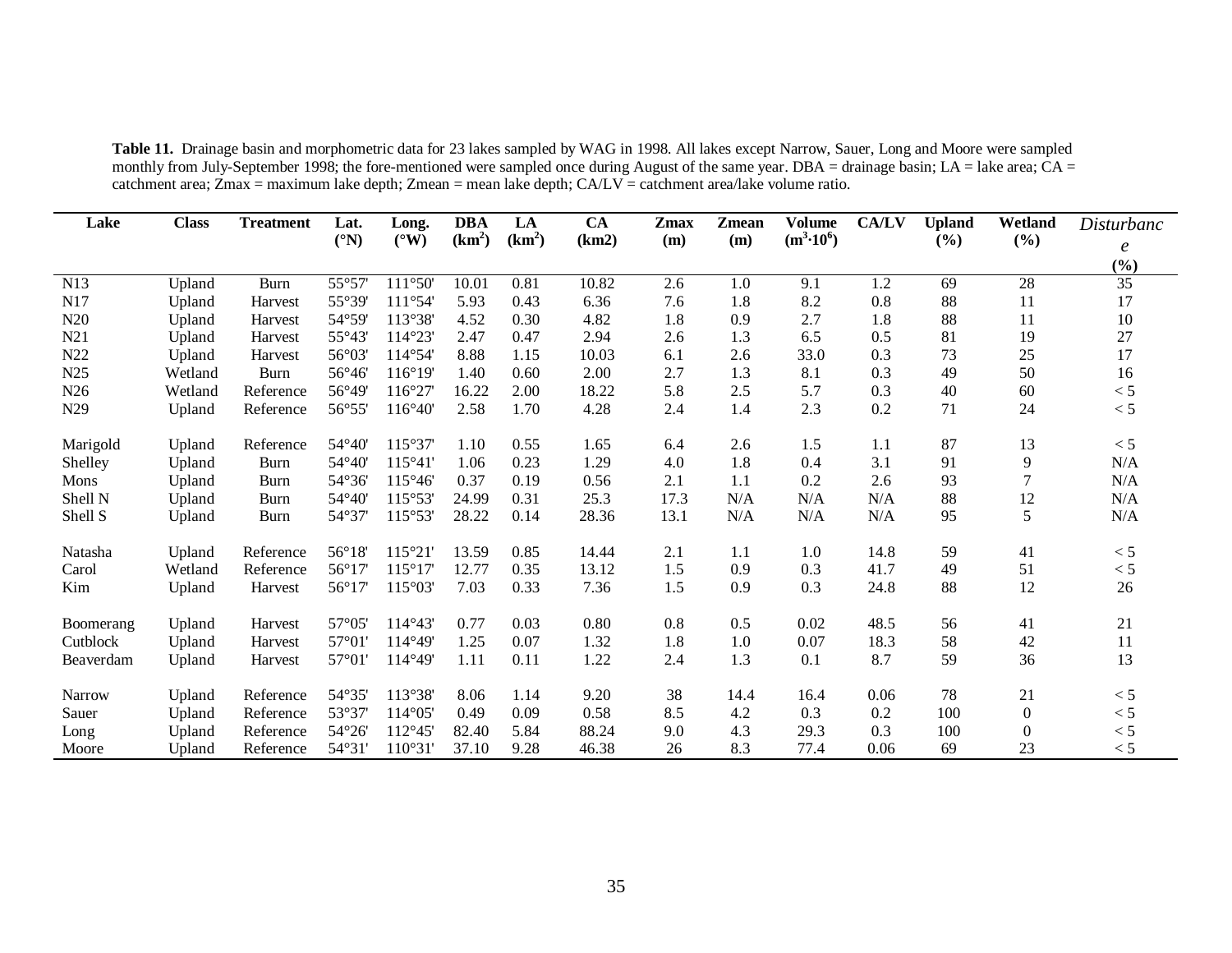| Lake      | <b>Class</b> | <b>Treatment</b> | Lat.            | Long.            | <b>DBA</b>         | LA                 | CA    | Zmax | Zmean | <b>Volume</b>      | <b>CA/LV</b> | <b>Upland</b> | Wetland          | Disturbanc       |
|-----------|--------------|------------------|-----------------|------------------|--------------------|--------------------|-------|------|-------|--------------------|--------------|---------------|------------------|------------------|
|           |              |                  | $({}^{\circ}N)$ | $(^{\circ}W)$    | (km <sup>2</sup> ) | (km <sup>2</sup> ) | (km2) | (m)  | (m)   | $(m^3 \cdot 10^6)$ |              | (%)           | (%)              | $\boldsymbol{e}$ |
|           |              |                  |                 |                  |                    |                    |       |      |       |                    |              |               |                  | (%)              |
| N13       | Upland       | <b>Burn</b>      | 55°57           | 111°50'          | 10.01              | 0.81               | 10.82 | 2.6  | 1.0   | 9.1                | 1.2          | 69            | 28               | $\overline{35}$  |
| N17       | Upland       | Harvest          | 55°39'          | 111°54           | 5.93               | 0.43               | 6.36  | 7.6  | 1.8   | 8.2                | 0.8          | 88            | 11               | 17               |
| N20       | Upland       | Harvest          | 54°59           | 113°38'          | 4.52               | 0.30               | 4.82  | 1.8  | 0.9   | 2.7                | 1.8          | 88            | 11               | 10               |
| N21       | Upland       | Harvest          | 55°43'          | 114°23'          | 2.47               | 0.47               | 2.94  | 2.6  | 1.3   | 6.5                | 0.5          | 81            | 19               | 27               |
| N22       | Upland       | Harvest          | $56^{\circ}03$  | 114°54           | 8.88               | 1.15               | 10.03 | 6.1  | 2.6   | 33.0               | 0.3          | 73            | 25               | 17               |
| N25       | Wetland      | <b>Burn</b>      | $56^{\circ}46$  | 116°19'          | 1.40               | 0.60               | 2.00  | 2.7  | 1.3   | 8.1                | 0.3          | 49            | 50               | 16               |
| N26       | Wetland      | Reference        | 56°49           | 116°27           | 16.22              | 2.00               | 18.22 | 5.8  | 2.5   | 5.7                | 0.3          | 40            | 60               | < 5              |
| N29       | Upland       | Reference        | 56°55'          | 116°40'          | 2.58               | 1.70               | 4.28  | 2.4  | 1.4   | 2.3                | 0.2          | 71            | 24               | < 5              |
| Marigold  | Upland       | Reference        | 54°40'          | 115°37'          | 1.10               | 0.55               | 1.65  | 6.4  | 2.6   | 1.5                | 1.1          | 87            | 13               | < 5              |
| Shelley   | Upland       | <b>Burn</b>      | 54°40           | 115°41           | 1.06               | 0.23               | 1.29  | 4.0  | 1.8   | 0.4                | 3.1          | 91            | 9                | N/A              |
| Mons      | Upland       | Burn             | 54°36           | $115^{\circ}46'$ | 0.37               | 0.19               | 0.56  | 2.1  | 1.1   | 0.2                | 2.6          | 93            | 7                | N/A              |
| Shell N   | Upland       | Burn             | 54°40           | 115°53'          | 24.99              | 0.31               | 25.3  | 17.3 | N/A   | N/A                | N/A          | 88            | 12               | N/A              |
| Shell S   | Upland       | <b>Burn</b>      | 54°37           | 115°53'          | 28.22              | 0.14               | 28.36 | 13.1 | N/A   | N/A                | N/A          | 95            | 5                | N/A              |
| Natasha   | Upland       | Reference        | $56^{\circ}18'$ | 115°21           | 13.59              | 0.85               | 14.44 | 2.1  | 1.1   | 1.0                | 14.8         | 59            | 41               | < 5              |
| Carol     | Wetland      | Reference        | 56°17           | 115°17           | 12.77              | 0.35               | 13.12 | 1.5  | 0.9   | 0.3                | 41.7         | 49            | 51               | < 5              |
| Kim       | Upland       | Harvest          | 56°17           | 115°03'          | 7.03               | 0.33               | 7.36  | 1.5  | 0.9   | 0.3                | 24.8         | 88            | 12               | 26               |
| Boomerang | Upland       | Harvest          | 57°05'          | 114°43'          | 0.77               | 0.03               | 0.80  | 0.8  | 0.5   | 0.02               | 48.5         | 56            | 41               | 21               |
| Cutblock  | Upland       | Harvest          | 57°01           | 114°49'          | 1.25               | 0.07               | 1.32  | 1.8  | 1.0   | 0.07               | 18.3         | 58            | 42               | 11               |
| Beaverdam | Upland       | Harvest          | 57°01'          | 114°49'          | 1.11               | 0.11               | 1.22  | 2.4  | 1.3   | 0.1                | 8.7          | 59            | 36               | 13               |
|           |              |                  |                 |                  |                    |                    |       |      |       |                    |              |               |                  |                  |
| Narrow    | Upland       | Reference        | 54°35'          | 113°38'          | 8.06               | 1.14               | 9.20  | 38   | 14.4  | 16.4               | 0.06         | 78            | 21               | < 5              |
| Sauer     | Upland       | Reference        | 53°37           | $114^{\circ}05$  | 0.49               | 0.09               | 0.58  | 8.5  | 4.2   | 0.3                | 0.2          | 100           | $\boldsymbol{0}$ | < 5              |
| Long      | Upland       | Reference        | 54°26           | 112°45           | 82.40              | 5.84               | 88.24 | 9.0  | 4.3   | 29.3               | 0.3          | 100           | $\theta$         | < 5              |
| Moore     | Upland       | Reference        | $54^{\circ}31'$ | 110°31           | 37.10              | 9.28               | 46.38 | 26   | 8.3   | 77.4               | 0.06         | 69            | 23               | < 5              |

**Table 11.** Drainage basin and morphometric data for 23 lakes sampled by WAG in 1998. All lakes except Narrow, Sauer, Long and Moore were sampled monthly from July-September 1998; the fore-mentioned were sampled once during August of the same year. DBA = drainage basin; LA = lake area;  $CA =$ catchment area; Zmax = maximum lake depth; Zmean = mean lake depth; CA/LV = catchment area/lake volume ratio.